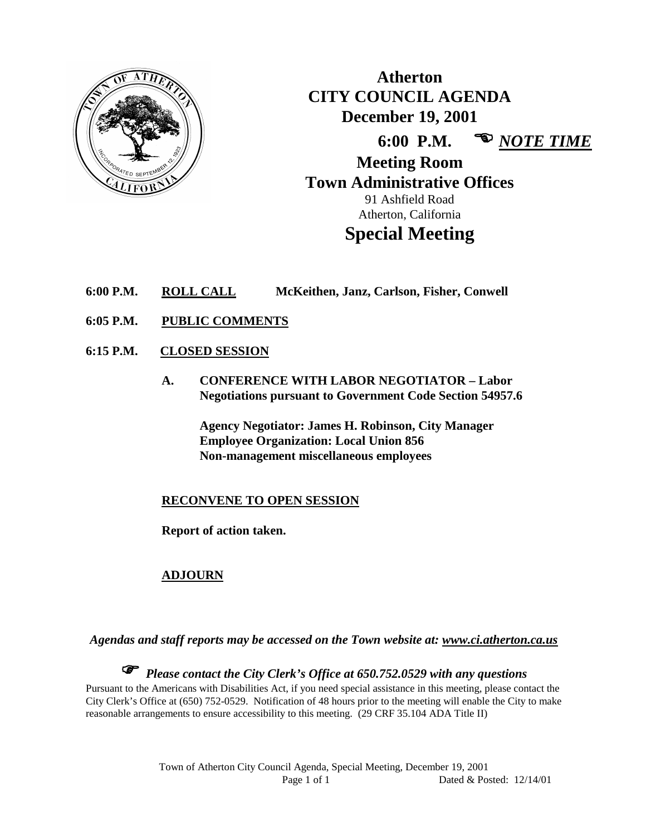

**Atherton CITY COUNCIL AGENDA December 19, 2001 6:00 P.M.**  *NOTE TIME* **Meeting Room Town Administrative Offices** 91 Ashfield Road Atherton, California

# **Special Meeting**

- **6:00 P.M. ROLL CALL McKeithen, Janz, Carlson, Fisher, Conwell**
- **6:05 P.M. PUBLIC COMMENTS**
- **6:15 P.M. CLOSED SESSION**
	- **A. CONFERENCE WITH LABOR NEGOTIATOR – Labor Negotiations pursuant to Government Code Section 54957.6**

**Agency Negotiator: James H. Robinson, City Manager Employee Organization: Local Union 856 Non-management miscellaneous employees**

# **RECONVENE TO OPEN SESSION**

**Report of action taken.**

# **ADJOURN**

*Agendas and staff reports may be accessed on the Town website at: www.ci.atherton.ca.us*

 *Please contact the City Clerk's Office at 650.752.0529 with any questions* Pursuant to the Americans with Disabilities Act, if you need special assistance in this meeting, please contact the City Clerk's Office at (650) 752-0529. Notification of 48 hours prior to the meeting will enable the City to make reasonable arrangements to ensure accessibility to this meeting. (29 CRF 35.104 ADA Title II)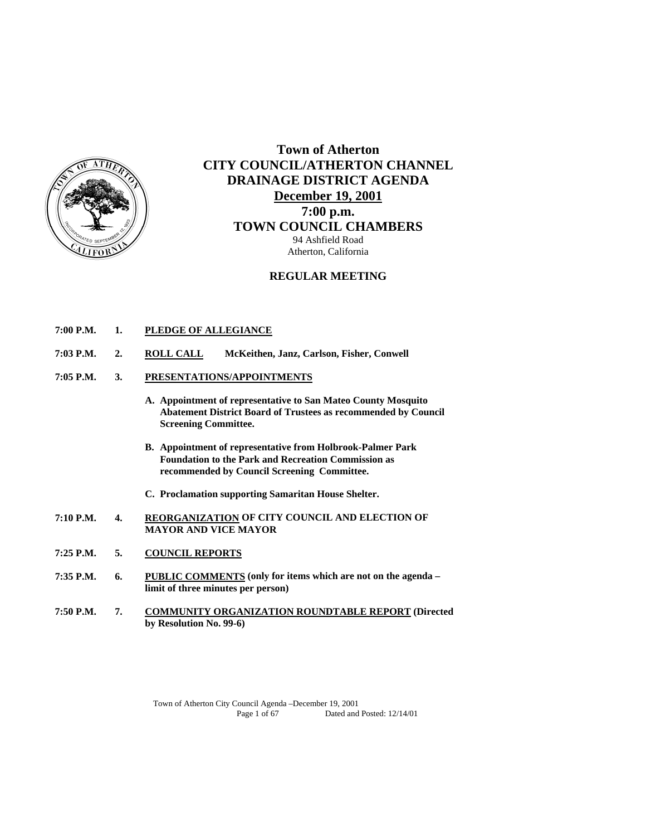

# **Town of Atherton CITY COUNCIL/ATHERTON CHANNEL DRAINAGE DISTRICT AGENDA December 19, 2001 7:00 p.m. TOWN COUNCIL CHAMBERS** 94 Ashfield Road Atherton, California

## **REGULAR MEETING**

- **7:00 P.M. 1. PLEDGE OF ALLEGIANCE**
- **7:03 P.M. 2. ROLL CALL McKeithen, Janz, Carlson, Fisher, Conwell**
- **7:05 P.M. 3. PRESENTATIONS/APPOINTMENTS**
	- **A. Appointment of representative to San Mateo County Mosquito Abatement District Board of Trustees as recommended by Council Screening Committee.**
	- **B. Appointment of representative from Holbrook-Palmer Park Foundation to the Park and Recreation Commission as recommended by Council Screening Committee.**
	- **C. Proclamation supporting Samaritan House Shelter.**
- **7:10 P.M. 4. REORGANIZATION OF CITY COUNCIL AND ELECTION OF MAYOR AND VICE MAYOR**
- **7:25 P.M. 5. COUNCIL REPORTS**
- **7:35 P.M. 6. PUBLIC COMMENTS (only for items which are not on the agenda limit of three minutes per person)**
- **7:50 P.M. 7. COMMUNITY ORGANIZATION ROUNDTABLE REPORT (Directed by Resolution No. 99-6)**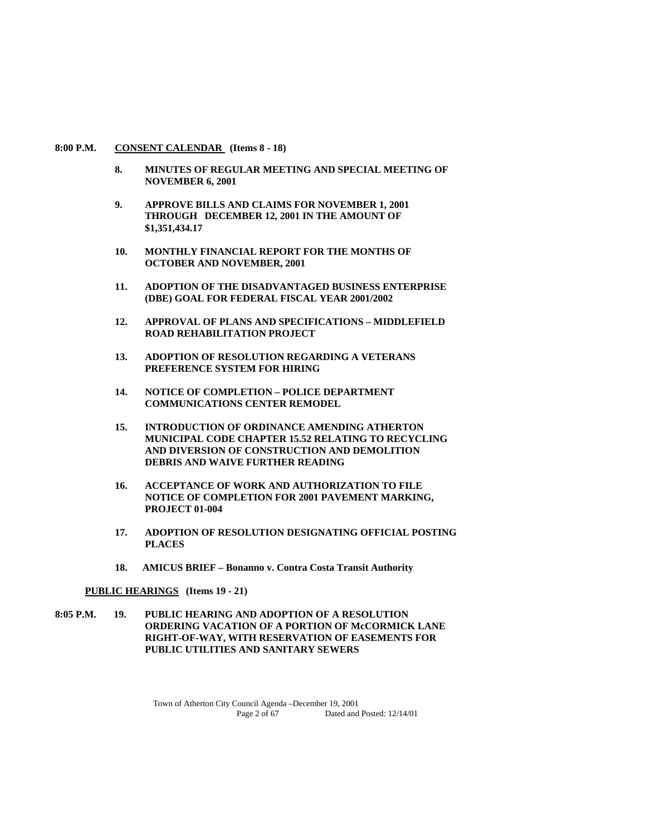#### **8:00 P.M. CONSENT CALENDAR (Items 8 - 18)**

- **8. MINUTES OF REGULAR MEETING AND SPECIAL MEETING OF NOVEMBER 6, 2001**
- **9. APPROVE BILLS AND CLAIMS FOR NOVEMBER 1, 2001 THROUGH DECEMBER 12, 2001 IN THE AMOUNT OF \$1,351,434.17**
- **10. MONTHLY FINANCIAL REPORT FOR THE MONTHS OF OCTOBER AND NOVEMBER, 2001**
- **11. ADOPTION OF THE DISADVANTAGED BUSINESS ENTERPRISE (DBE) GOAL FOR FEDERAL FISCAL YEAR 2001/2002**
- **12. APPROVAL OF PLANS AND SPECIFICATIONS MIDDLEFIELD ROAD REHABILITATION PROJECT**
- **13. ADOPTION OF RESOLUTION REGARDING A VETERANS PREFERENCE SYSTEM FOR HIRING**
- **14. NOTICE OF COMPLETION POLICE DEPARTMENT COMMUNICATIONS CENTER REMODEL**
- **15. INTRODUCTION OF ORDINANCE AMENDING ATHERTON MUNICIPAL CODE CHAPTER 15.52 RELATING TO RECYCLING AND DIVERSION OF CONSTRUCTION AND DEMOLITION DEBRIS AND WAIVE FURTHER READING**
- **16. ACCEPTANCE OF WORK AND AUTHORIZATION TO FILE NOTICE OF COMPLETION FOR 2001 PAVEMENT MARKING, PROJECT 01-004**
- **17. ADOPTION OF RESOLUTION DESIGNATING OFFICIAL POSTING PLACES**
- **18. AMICUS BRIEF Bonanno v. Contra Costa Transit Authority**

#### **PUBLIC HEARINGS (Items 19 - 21)**

**8:05 P.M. 19. PUBLIC HEARING AND ADOPTION OF A RESOLUTION ORDERING VACATION OF A PORTION OF McCORMICK LANE RIGHT-OF-WAY, WITH RESERVATION OF EASEMENTS FOR PUBLIC UTILITIES AND SANITARY SEWERS**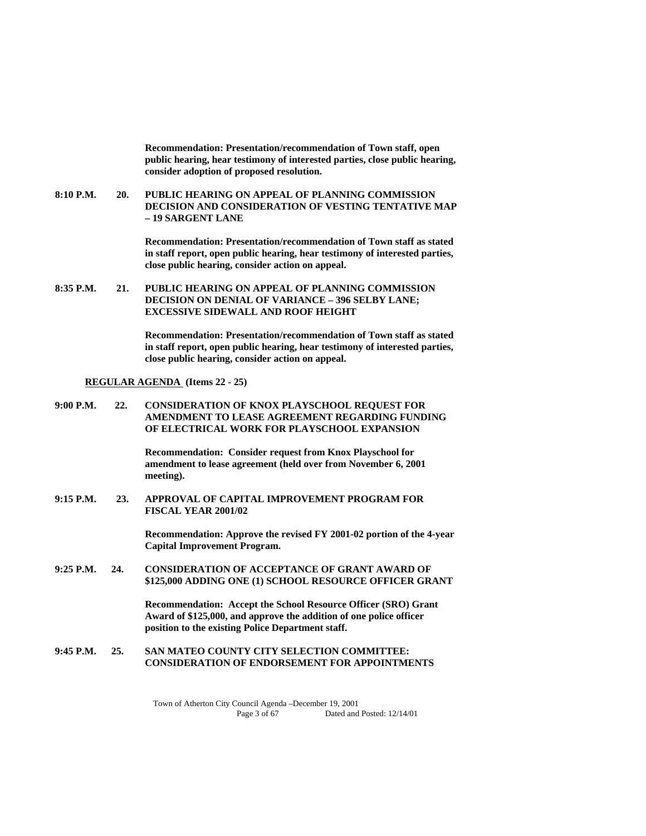**Recommendation: Presentation/recommendation of Town staff, open public hearing, hear testimony of interested parties, close public hearing, consider adoption of proposed resolution.** 

**8:10 P.M. 20. PUBLIC HEARING ON APPEAL OF PLANNING COMMISSION DECISION AND CONSIDERATION OF VESTING TENTATIVE MAP – 19 SARGENT LANE** 

> **Recommendation: Presentation/recommendation of Town staff as stated in staff report, open public hearing, hear testimony of interested parties, close public hearing, consider action on appeal.**

**8:35 P.M. 21. PUBLIC HEARING ON APPEAL OF PLANNING COMMISSION DECISION ON DENIAL OF VARIANCE – 396 SELBY LANE; EXCESSIVE SIDEWALL AND ROOF HEIGHT** 

> **Recommendation: Presentation/recommendation of Town staff as stated in staff report, open public hearing, hear testimony of interested parties, close public hearing, consider action on appeal.**

#### **REGULAR AGENDA (Items 22 - 25)**

**9:00 P.M. 22. CONSIDERATION OF KNOX PLAYSCHOOL REQUEST FOR AMENDMENT TO LEASE AGREEMENT REGARDING FUNDING OF ELECTRICAL WORK FOR PLAYSCHOOL EXPANSION** 

> **Recommendation: Consider request from Knox Playschool for amendment to lease agreement (held over from November 6, 2001 meeting).**

**9:15 P.M. 23. APPROVAL OF CAPITAL IMPROVEMENT PROGRAM FOR FISCAL YEAR 2001/02** 

> **Recommendation: Approve the revised FY 2001-02 portion of the 4-year Capital Improvement Program.**

**9:25 P.M. 24. CONSIDERATION OF ACCEPTANCE OF GRANT AWARD OF \$125,000 ADDING ONE (1) SCHOOL RESOURCE OFFICER GRANT** 

> **Recommendation: Accept the School Resource Officer (SRO) Grant Award of \$125,000, and approve the addition of one police officer position to the existing Police Department staff.**

## **9:45 P.M. 25. SAN MATEO COUNTY CITY SELECTION COMMITTEE: CONSIDERATION OF ENDORSEMENT FOR APPOINTMENTS**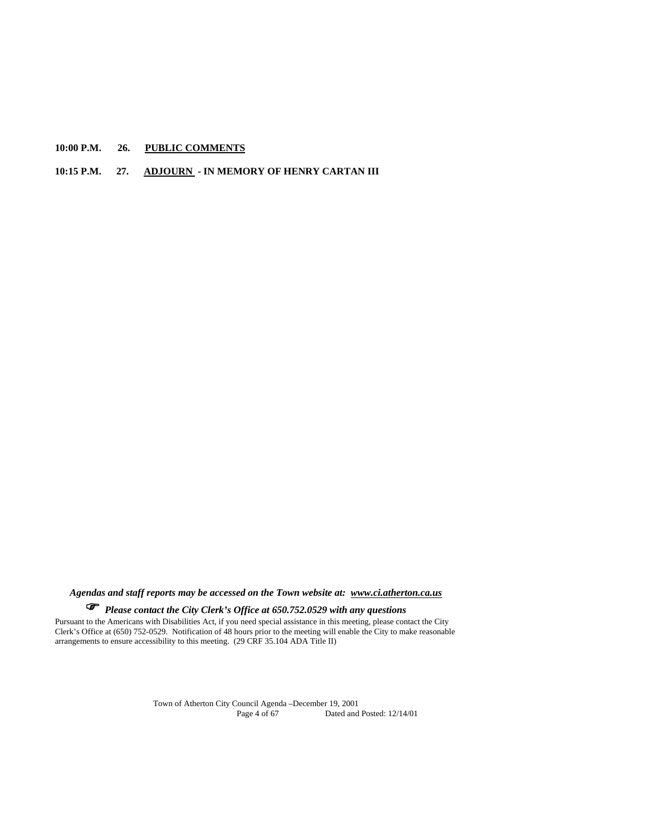**10:00 P.M. 26. PUBLIC COMMENTS**

## **10:15 P.M. 27. ADJOURN - IN MEMORY OF HENRY CARTAN III**

*Agendas and staff reports may be accessed on the Town website at: www.ci.atherton.ca.us*

*Please contact the City Clerk's Office at 650.752.0529 with any questions* 

Pursuant to the Americans with Disabilities Act, if you need special assistance in this meeting, please contact the City Clerk's Office at (650) 752-0529. Notification of 48 hours prior to the meeting will enable the City to make reasonable arrangements to ensure accessibility to this meeting. (29 CRF 35.104 ADA Title II)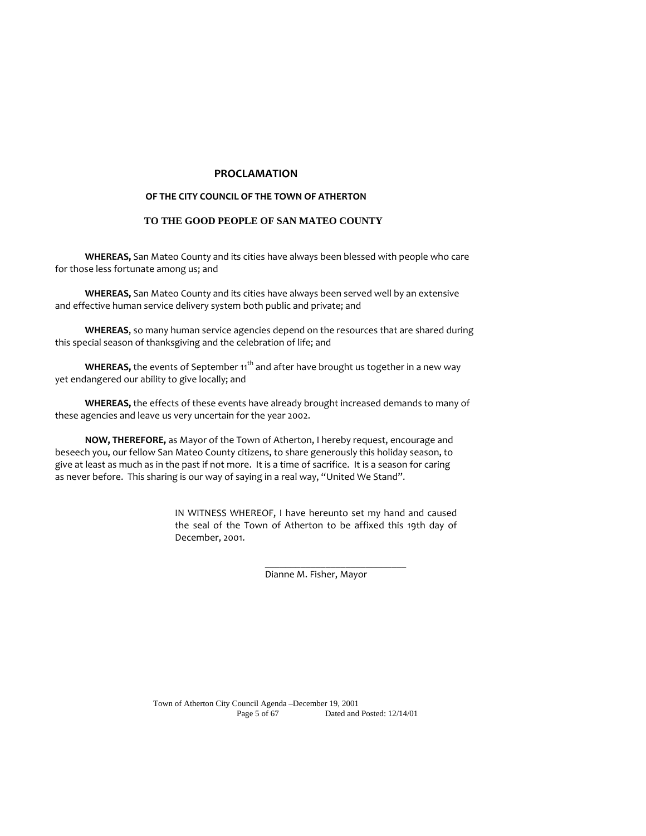## **PROCLAMATION**

#### **OF THE CITY COUNCIL OF THE TOWN OF ATHERTON**

## **TO THE GOOD PEOPLE OF SAN MATEO COUNTY**

**WHEREAS,** San Mateo County and its cities have always been blessed with people who care for those less fortunate among us; and

**WHEREAS,** San Mateo County and its cities have always been served well by an extensive and effective human service delivery system both public and private; and

**WHEREAS**, so many human service agencies depend on the resources that are shared during this special season of thanksgiving and the celebration of life; and

**WHEREAS,** the events of September 11<sup>th</sup> and after have brought us together in a new way yet endangered our ability to give locally; and

**WHEREAS,** the effects of these events have already brought increased demands to many of these agencies and leave us very uncertain for the year 2002.

**NOW, THEREFORE,** as Mayor of the Town of Atherton, I hereby request, encourage and beseech you, our fellow San Mateo County citizens, to share generously this holiday season, to give at least as much as in the past if not more. It is a time of sacrifice. It is a season for caring as never before. This sharing is our way of saying in a real way, "United We Stand".

\_\_\_\_\_\_\_\_\_\_\_\_\_\_\_\_\_\_\_\_\_\_\_\_\_\_\_\_

IN WITNESS WHEREOF, I have hereunto set my hand and caused the seal of the Town of Atherton to be affixed this 19th day of December, 2001.

Dianne M. Fisher, Mayor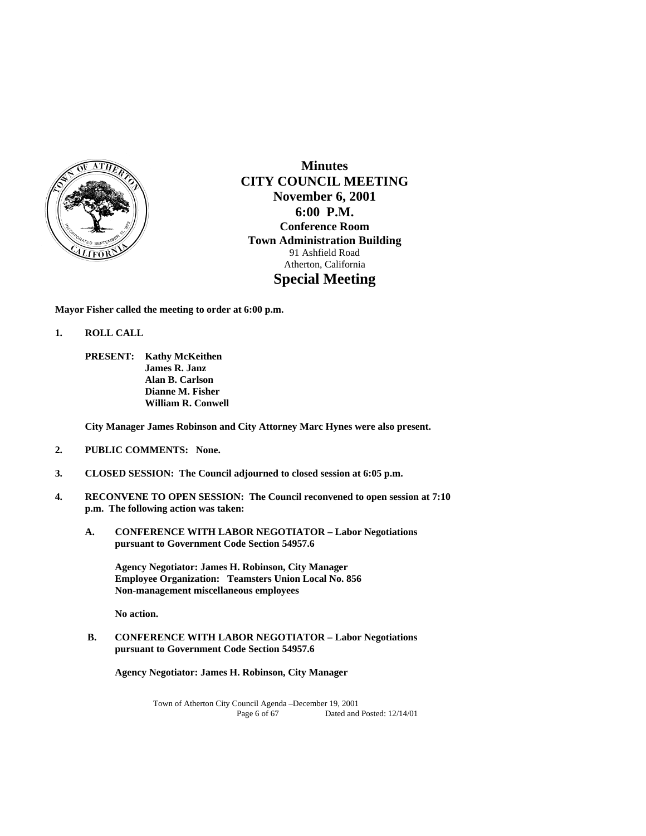

**Minutes CITY COUNCIL MEETING November 6, 2001 6:00 P.M. Conference Room Town Administration Building**  91 Ashfield Road Atherton, California **Special Meeting** 

**Mayor Fisher called the meeting to order at 6:00 p.m.** 

- **1. ROLL CALL** 
	- **PRESENT: Kathy McKeithen James R. Janz Alan B. Carlson Dianne M. Fisher William R. Conwell**

**City Manager James Robinson and City Attorney Marc Hynes were also present.** 

- **2. PUBLIC COMMENTS: None.**
- **3. CLOSED SESSION: The Council adjourned to closed session at 6:05 p.m.**
- **4. RECONVENE TO OPEN SESSION: The Council reconvened to open session at 7:10 p.m. The following action was taken:** 
	- **A. CONFERENCE WITH LABOR NEGOTIATOR Labor Negotiations pursuant to Government Code Section 54957.6**

 **Agency Negotiator: James H. Robinson, City Manager Employee Organization: Teamsters Union Local No. 856 Non-management miscellaneous employees** 

 **No action.** 

 **B. CONFERENCE WITH LABOR NEGOTIATOR – Labor Negotiations pursuant to Government Code Section 54957.6** 

**Agency Negotiator: James H. Robinson, City Manager**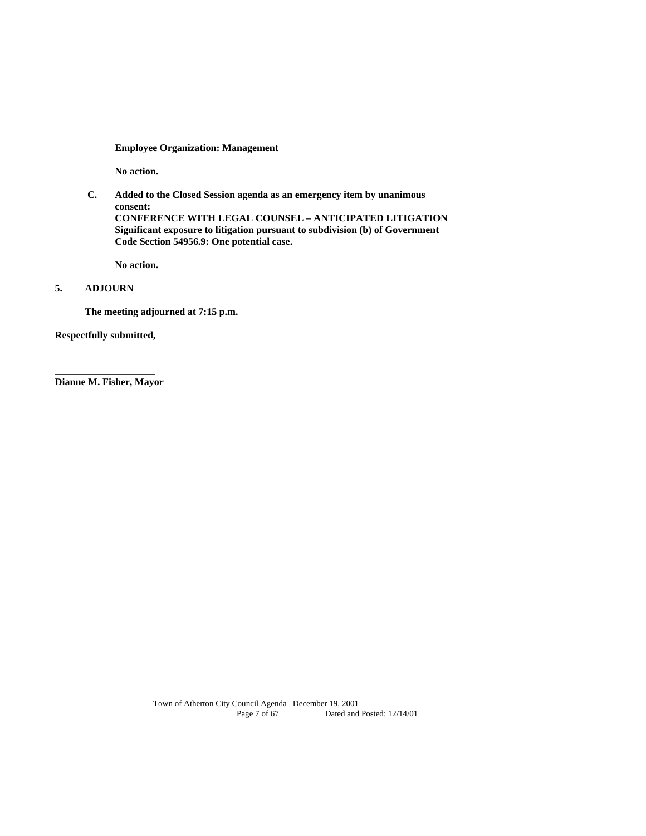**Employee Organization: Management** 

 **No action.** 

 **C. Added to the Closed Session agenda as an emergency item by unanimous consent: CONFERENCE WITH LEGAL COUNSEL – ANTICIPATED LITIGATION Significant exposure to litigation pursuant to subdivision (b) of Government Code Section 54956.9: One potential case.** 

 **No action.** 

## **5. ADJOURN**

 **The meeting adjourned at 7:15 p.m.** 

**Respectfully submitted,** 

**\_\_\_\_\_\_\_\_\_\_\_\_\_\_\_\_\_\_\_\_ Dianne M. Fisher, Mayor**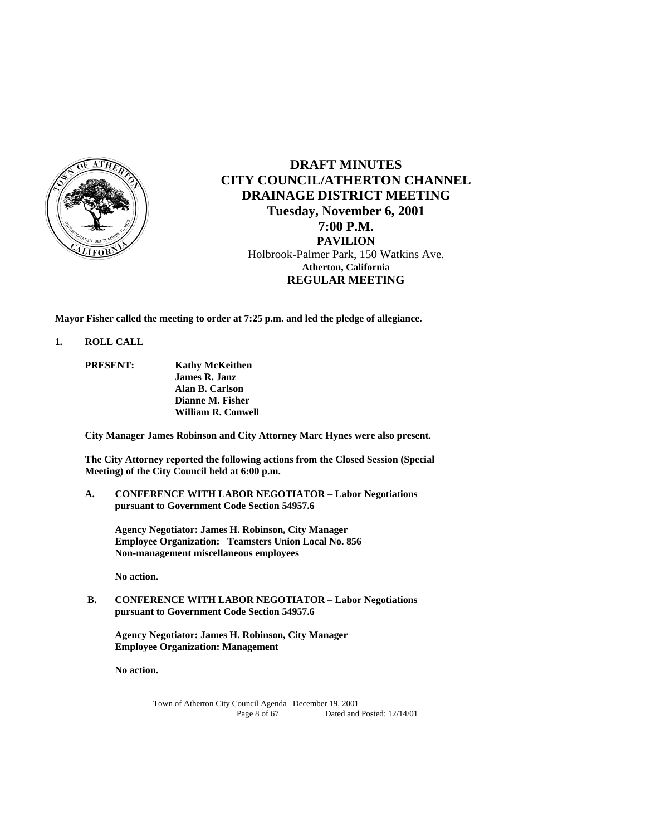

# **DRAFT MINUTES CITY COUNCIL/ATHERTON CHANNEL DRAINAGE DISTRICT MEETING Tuesday, November 6, 2001 7:00 P.M. PAVILION**  Holbrook-Palmer Park, 150 Watkins Ave. **Atherton, California REGULAR MEETING**

**Mayor Fisher called the meeting to order at 7:25 p.m. and led the pledge of allegiance.** 

## **1. ROLL CALL**

**PRESENT: Kathy McKeithen James R. Janz Alan B. Carlson Dianne M. Fisher William R. Conwell** 

 **City Manager James Robinson and City Attorney Marc Hynes were also present.** 

**The City Attorney reported the following actions from the Closed Session (Special Meeting) of the City Council held at 6:00 p.m.** 

**A. CONFERENCE WITH LABOR NEGOTIATOR – Labor Negotiations pursuant to Government Code Section 54957.6** 

 **Agency Negotiator: James H. Robinson, City Manager Employee Organization: Teamsters Union Local No. 856 Non-management miscellaneous employees** 

 **No action.** 

 **B. CONFERENCE WITH LABOR NEGOTIATOR – Labor Negotiations pursuant to Government Code Section 54957.6** 

**Agency Negotiator: James H. Robinson, City Manager Employee Organization: Management** 

 **No action.**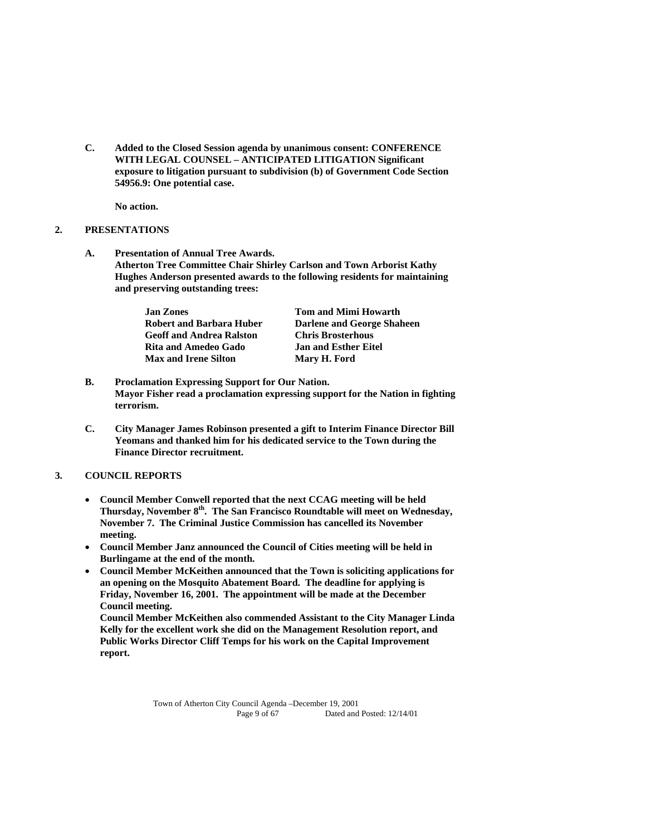**C. Added to the Closed Session agenda by unanimous consent: CONFERENCE WITH LEGAL COUNSEL – ANTICIPATED LITIGATION Significant exposure to litigation pursuant to subdivision (b) of Government Code Section 54956.9: One potential case.** 

**No action.** 

## **2. PRESENTATIONS**

**A. Presentation of Annual Tree Awards. Atherton Tree Committee Chair Shirley Carlson and Town Arborist Kathy Hughes Anderson presented awards to the following residents for maintaining and preserving outstanding trees:** 

| <b>Jan Zones</b>                | <b>Tom and Mimi Howarth</b> |
|---------------------------------|-----------------------------|
| Robert and Barbara Huber        | Darlene and George Shaheen  |
| <b>Geoff and Andrea Ralston</b> | <b>Chris Brosterhous</b>    |
| Rita and Amedeo Gado            | <b>Jan and Esther Eitel</b> |
| <b>Max and Irene Silton</b>     | Mary H. Ford                |

- **B. Proclamation Expressing Support for Our Nation. Mayor Fisher read a proclamation expressing support for the Nation in fighting terrorism.**
- **C. City Manager James Robinson presented a gift to Interim Finance Director Bill Yeomans and thanked him for his dedicated service to the Town during the Finance Director recruitment.**

## **3. COUNCIL REPORTS**

- **Council Member Conwell reported that the next CCAG meeting will be held Thursday, November 8th. The San Francisco Roundtable will meet on Wednesday, November 7. The Criminal Justice Commission has cancelled its November meeting.**
- **Council Member Janz announced the Council of Cities meeting will be held in Burlingame at the end of the month.**
- **Council Member McKeithen announced that the Town is soliciting applications for an opening on the Mosquito Abatement Board. The deadline for applying is Friday, November 16, 2001. The appointment will be made at the December Council meeting.**

**Council Member McKeithen also commended Assistant to the City Manager Linda Kelly for the excellent work she did on the Management Resolution report, and Public Works Director Cliff Temps for his work on the Capital Improvement report.**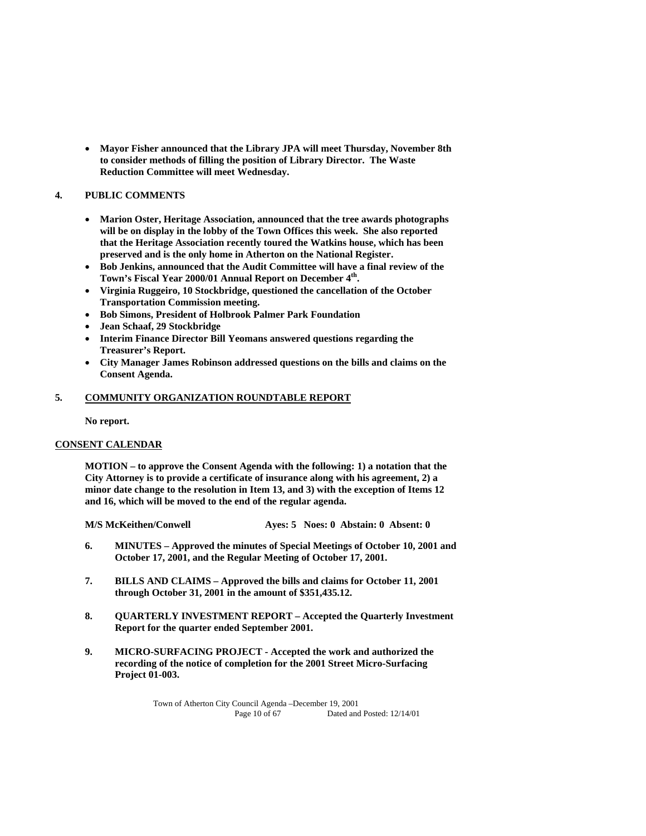**Mayor Fisher announced that the Library JPA will meet Thursday, November 8th to consider methods of filling the position of Library Director. The Waste Reduction Committee will meet Wednesday.** 

## **4. PUBLIC COMMENTS**

- **Marion Oster, Heritage Association, announced that the tree awards photographs will be on display in the lobby of the Town Offices this week. She also reported that the Heritage Association recently toured the Watkins house, which has been preserved and is the only home in Atherton on the National Register.**
- **Bob Jenkins, announced that the Audit Committee will have a final review of the Town's Fiscal Year 2000/01 Annual Report on December 4th.**
- **Virginia Ruggeiro, 10 Stockbridge, questioned the cancellation of the October Transportation Commission meeting.**
- **Bob Simons, President of Holbrook Palmer Park Foundation**
- **Jean Schaaf, 29 Stockbridge**
- **Interim Finance Director Bill Yeomans answered questions regarding the Treasurer's Report.**
- **City Manager James Robinson addressed questions on the bills and claims on the Consent Agenda.**

## **5. COMMUNITY ORGANIZATION ROUNDTABLE REPORT**

 **No report.** 

## **CONSENT CALENDAR**

 **MOTION – to approve the Consent Agenda with the following: 1) a notation that the City Attorney is to provide a certificate of insurance along with his agreement, 2) a minor date change to the resolution in Item 13, and 3) with the exception of Items 12 and 16, which will be moved to the end of the regular agenda.** 

 **M/S McKeithen/Conwell Ayes: 5 Noes: 0 Abstain: 0 Absent: 0** 

- **6. MINUTES Approved the minutes of Special Meetings of October 10, 2001 and October 17, 2001, and the Regular Meeting of October 17, 2001.**
- **7. BILLS AND CLAIMS Approved the bills and claims for October 11, 2001 through October 31, 2001 in the amount of \$351,435.12.**
- **8. QUARTERLY INVESTMENT REPORT Accepted the Quarterly Investment Report for the quarter ended September 2001.**
- **9. MICRO-SURFACING PROJECT Accepted the work and authorized the recording of the notice of completion for the 2001 Street Micro-Surfacing Project 01-003.**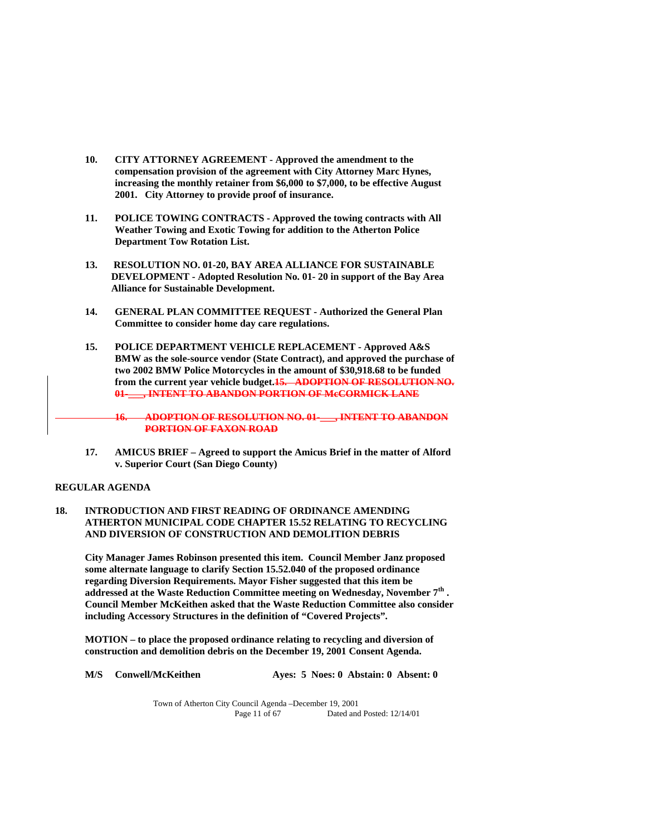- **10. CITY ATTORNEY AGREEMENT Approved the amendment to the compensation provision of the agreement with City Attorney Marc Hynes, increasing the monthly retainer from \$6,000 to \$7,000, to be effective August 2001. City Attorney to provide proof of insurance.**
- **11. POLICE TOWING CONTRACTS Approved the towing contracts with All Weather Towing and Exotic Towing for addition to the Atherton Police Department Tow Rotation List.**
- **13. RESOLUTION NO. 01-20, BAY AREA ALLIANCE FOR SUSTAINABLE DEVELOPMENT - Adopted Resolution No. 01- 20 in support of the Bay Area Alliance for Sustainable Development.**
- **14. GENERAL PLAN COMMITTEE REQUEST Authorized the General Plan Committee to consider home day care regulations.**
- **15. POLICE DEPARTMENT VEHICLE REPLACEMENT Approved A&S BMW as the sole-source vendor (State Contract), and approved the purchase of two 2002 BMW Police Motorcycles in the amount of \$30,918.68 to be funded from the current year vehicle budget.15. ADOPTION OF RESOLUTION NO. 01-\_\_\_, INTENT TO ABANDON PORTION OF McCORMICK LANE**

**16. ADOPTION OF RESOLUTION NO. 01-\_\_\_, INTENT TO ABANDON PORTION OF FAXON ROAD**

 **17. AMICUS BRIEF – Agreed to support the Amicus Brief in the matter of Alford v. Superior Court (San Diego County)** 

#### **REGULAR AGENDA**

## **18. INTRODUCTION AND FIRST READING OF ORDINANCE AMENDING ATHERTON MUNICIPAL CODE CHAPTER 15.52 RELATING TO RECYCLING AND DIVERSION OF CONSTRUCTION AND DEMOLITION DEBRIS**

 **City Manager James Robinson presented this item. Council Member Janz proposed some alternate language to clarify Section 15.52.040 of the proposed ordinance regarding Diversion Requirements. Mayor Fisher suggested that this item be addressed at the Waste Reduction Committee meeting on Wednesday, November 7th . Council Member McKeithen asked that the Waste Reduction Committee also consider including Accessory Structures in the definition of "Covered Projects".** 

 **MOTION – to place the proposed ordinance relating to recycling and diversion of construction and demolition debris on the December 19, 2001 Consent Agenda.** 

M/S Conwell/McKeithen Ayes: 5 Noes: 0 Abstain: 0 Absent: 0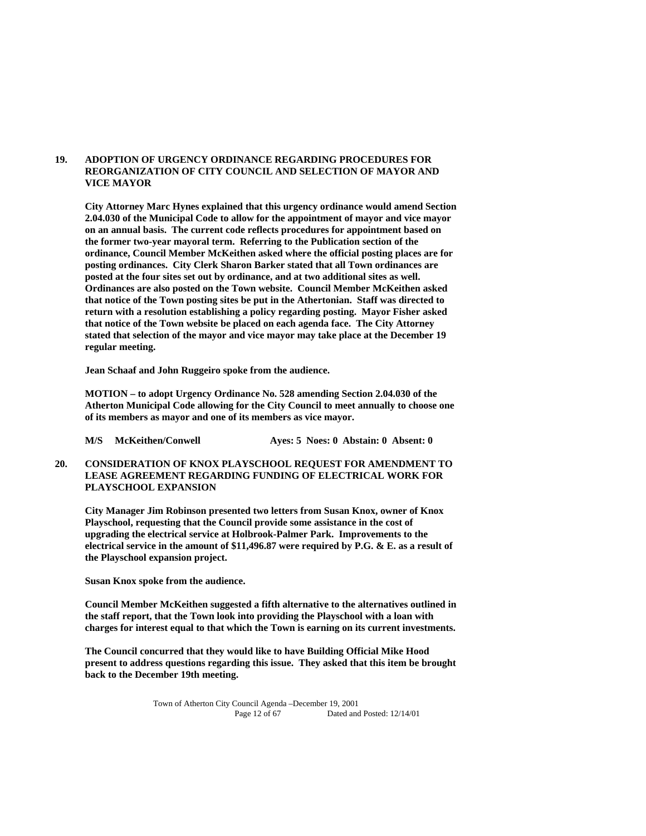## **19. ADOPTION OF URGENCY ORDINANCE REGARDING PROCEDURES FOR REORGANIZATION OF CITY COUNCIL AND SELECTION OF MAYOR AND VICE MAYOR**

 **City Attorney Marc Hynes explained that this urgency ordinance would amend Section 2.04.030 of the Municipal Code to allow for the appointment of mayor and vice mayor on an annual basis. The current code reflects procedures for appointment based on the former two-year mayoral term. Referring to the Publication section of the ordinance, Council Member McKeithen asked where the official posting places are for posting ordinances. City Clerk Sharon Barker stated that all Town ordinances are posted at the four sites set out by ordinance, and at two additional sites as well. Ordinances are also posted on the Town website. Council Member McKeithen asked that notice of the Town posting sites be put in the Athertonian. Staff was directed to return with a resolution establishing a policy regarding posting. Mayor Fisher asked that notice of the Town website be placed on each agenda face. The City Attorney stated that selection of the mayor and vice mayor may take place at the December 19 regular meeting.** 

 **Jean Schaaf and John Ruggeiro spoke from the audience.** 

**MOTION – to adopt Urgency Ordinance No. 528 amending Section 2.04.030 of the Atherton Municipal Code allowing for the City Council to meet annually to choose one of its members as mayor and one of its members as vice mayor.** 

 **M/S McKeithen/Conwell Ayes: 5 Noes: 0 Abstain: 0 Absent: 0** 

**20. CONSIDERATION OF KNOX PLAYSCHOOL REQUEST FOR AMENDMENT TO LEASE AGREEMENT REGARDING FUNDING OF ELECTRICAL WORK FOR PLAYSCHOOL EXPANSION** 

**City Manager Jim Robinson presented two letters from Susan Knox, owner of Knox Playschool, requesting that the Council provide some assistance in the cost of upgrading the electrical service at Holbrook-Palmer Park. Improvements to the electrical service in the amount of \$11,496.87 were required by P.G. & E. as a result of the Playschool expansion project.** 

**Susan Knox spoke from the audience.** 

**Council Member McKeithen suggested a fifth alternative to the alternatives outlined in the staff report, that the Town look into providing the Playschool with a loan with charges for interest equal to that which the Town is earning on its current investments.** 

**The Council concurred that they would like to have Building Official Mike Hood present to address questions regarding this issue. They asked that this item be brought back to the December 19th meeting.**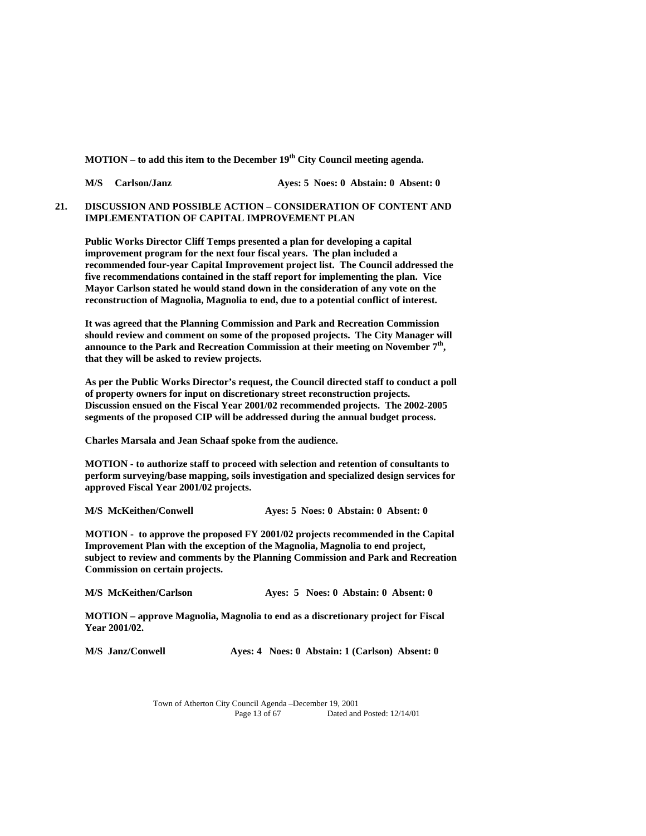**MOTION – to add this item to the December 19<sup>th</sup> City Council meeting agenda.** 

 **M/S Carlson/Janz Ayes: 5 Noes: 0 Abstain: 0 Absent: 0** 

## **21. DISCUSSION AND POSSIBLE ACTION – CONSIDERATION OF CONTENT AND IMPLEMENTATION OF CAPITAL IMPROVEMENT PLAN**

 **Public Works Director Cliff Temps presented a plan for developing a capital improvement program for the next four fiscal years. The plan included a recommended four-year Capital Improvement project list. The Council addressed the five recommendations contained in the staff report for implementing the plan. Vice Mayor Carlson stated he would stand down in the consideration of any vote on the reconstruction of Magnolia, Magnolia to end, due to a potential conflict of interest.** 

**It was agreed that the Planning Commission and Park and Recreation Commission should review and comment on some of the proposed projects. The City Manager will**  announce to the Park and Recreation Commission at their meeting on November 7<sup>th</sup>, **that they will be asked to review projects.** 

**As per the Public Works Director's request, the Council directed staff to conduct a poll of property owners for input on discretionary street reconstruction projects. Discussion ensued on the Fiscal Year 2001/02 recommended projects. The 2002-2005 segments of the proposed CIP will be addressed during the annual budget process.** 

**Charles Marsala and Jean Schaaf spoke from the audience.** 

**MOTION - to authorize staff to proceed with selection and retention of consultants to perform surveying/base mapping, soils investigation and specialized design services for approved Fiscal Year 2001/02 projects.** 

 **M/S McKeithen/Conwell Ayes: 5 Noes: 0 Abstain: 0 Absent: 0** 

**MOTION - to approve the proposed FY 2001/02 projects recommended in the Capital Improvement Plan with the exception of the Magnolia, Magnolia to end project, subject to review and comments by the Planning Commission and Park and Recreation Commission on certain projects.** 

| <b>M/S McKeithen/Carlson</b> | Aves: 5 Noes: 0 Abstain: 0 Absent: 0 |  |
|------------------------------|--------------------------------------|--|
|------------------------------|--------------------------------------|--|

**MOTION – approve Magnolia, Magnolia to end as a discretionary project for Fiscal Year 2001/02.** 

 **M/S Janz/Conwell Ayes: 4 Noes: 0 Abstain: 1 (Carlson) Absent: 0**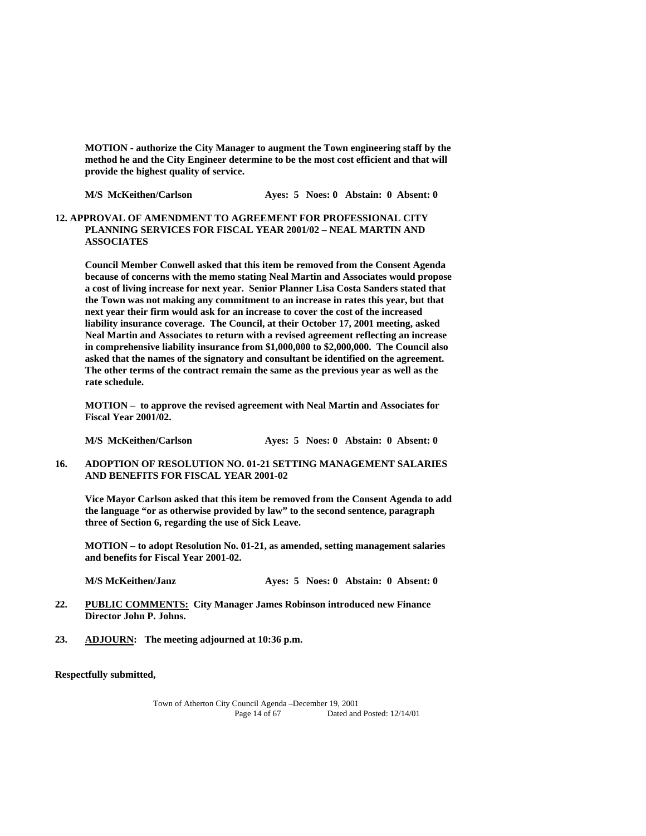**MOTION - authorize the City Manager to augment the Town engineering staff by the method he and the City Engineer determine to be the most cost efficient and that will provide the highest quality of service.** 

 **M/S McKeithen/Carlson Ayes: 5 Noes: 0 Abstain: 0 Absent: 0** 

**12. APPROVAL OF AMENDMENT TO AGREEMENT FOR PROFESSIONAL CITY PLANNING SERVICES FOR FISCAL YEAR 2001/02 – NEAL MARTIN AND ASSOCIATES** 

**Council Member Conwell asked that this item be removed from the Consent Agenda because of concerns with the memo stating Neal Martin and Associates would propose a cost of living increase for next year. Senior Planner Lisa Costa Sanders stated that the Town was not making any commitment to an increase in rates this year, but that next year their firm would ask for an increase to cover the cost of the increased liability insurance coverage. The Council, at their October 17, 2001 meeting, asked Neal Martin and Associates to return with a revised agreement reflecting an increase in comprehensive liability insurance from \$1,000,000 to \$2,000,000. The Council also asked that the names of the signatory and consultant be identified on the agreement. The other terms of the contract remain the same as the previous year as well as the rate schedule.** 

 **MOTION – to approve the revised agreement with Neal Martin and Associates for Fiscal Year 2001/02.** 

 **M/S McKeithen/Carlson Ayes: 5 Noes: 0 Abstain: 0 Absent: 0** 

**16. ADOPTION OF RESOLUTION NO. 01-21 SETTING MANAGEMENT SALARIES AND BENEFITS FOR FISCAL YEAR 2001-02** 

 **Vice Mayor Carlson asked that this item be removed from the Consent Agenda to add the language "or as otherwise provided by law" to the second sentence, paragraph three of Section 6, regarding the use of Sick Leave.** 

 **MOTION – to adopt Resolution No. 01-21, as amended, setting management salaries and benefits for Fiscal Year 2001-02.** 

 **M/S McKeithen/Janz Ayes: 5 Noes: 0 Abstain: 0 Absent: 0** 

- **22. PUBLIC COMMENTS: City Manager James Robinson introduced new Finance Director John P. Johns.**
- **23. ADJOURN: The meeting adjourned at 10:36 p.m.**

**Respectfully submitted,**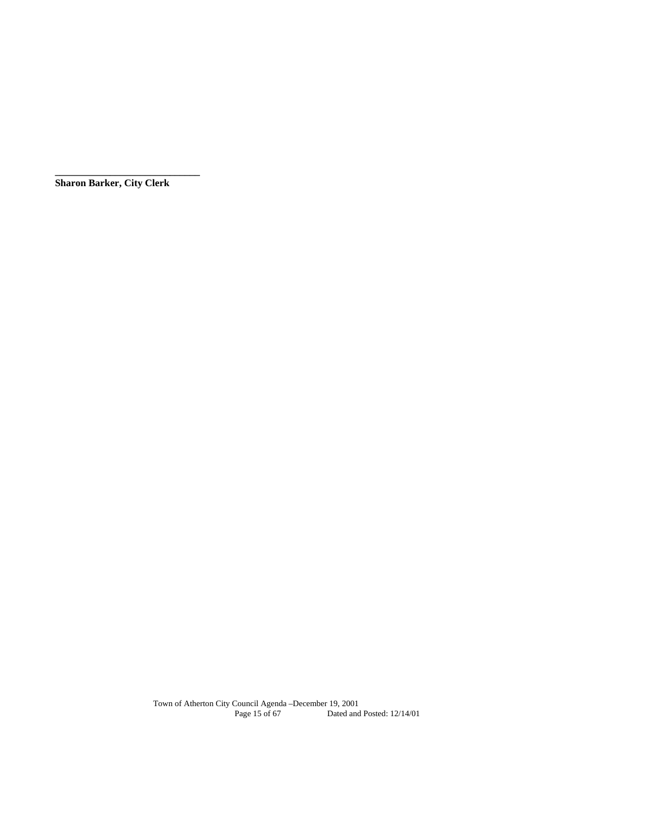**Sharon Barker, City Clerk** 

**\_\_\_\_\_\_\_\_\_\_\_\_\_\_\_\_\_\_\_\_\_\_\_\_\_\_\_\_\_**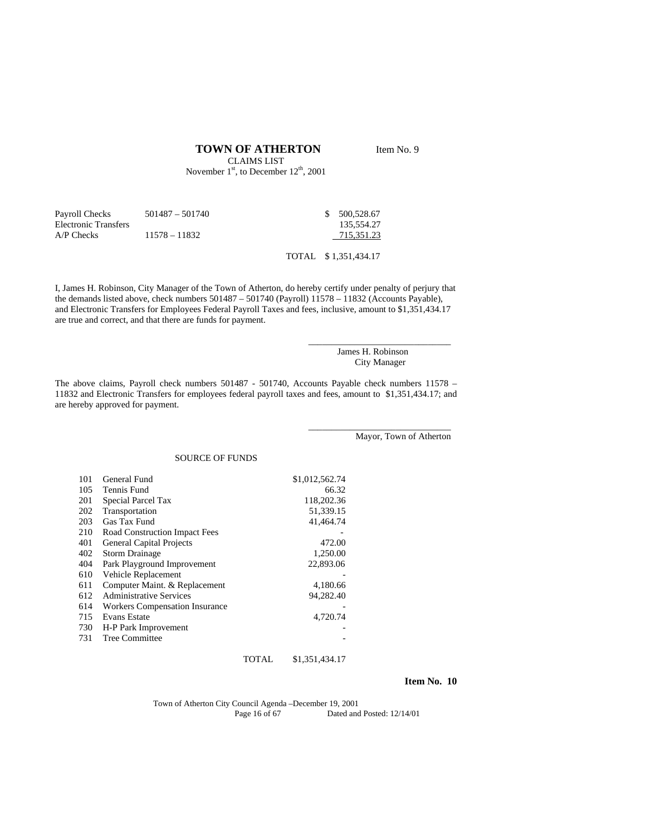## **TOWN OF ATHERTON** Item No. 9

CLAIMS LIST November  $1<sup>st</sup>$ , to December  $12<sup>th</sup>$ , 2001

| Payroll Checks       | $501487 - 501740$ | \$500.528.67 |
|----------------------|-------------------|--------------|
| Electronic Transfers |                   | 135.554.27   |
| $AP$ Checks          | $11578 - 11832$   | 715.351.23   |

TOTAL \$ 1,351,434.17

I, James H. Robinson, City Manager of the Town of Atherton, do hereby certify under penalty of perjury that the demands listed above, check numbers 501487 – 501740 (Payroll) 11578 – 11832 (Accounts Payable), and Electronic Transfers for Employees Federal Payroll Taxes and fees, inclusive, amount to \$1,351,434.17 are true and correct, and that there are funds for payment.

> James H. Robinson City Manager

\_\_\_\_\_\_\_\_\_\_\_\_\_\_\_\_\_\_\_\_\_\_\_\_\_\_\_\_\_\_\_

\_\_\_\_\_\_\_\_\_\_\_\_\_\_\_\_\_\_\_\_\_\_\_\_\_\_\_\_\_\_\_

The above claims, Payroll check numbers 501487 - 501740, Accounts Payable check numbers 11578 – 11832 and Electronic Transfers for employees federal payroll taxes and fees, amount to \$1,351,434.17; and are hereby approved for payment.

Mayor, Town of Atherton

#### SOURCE OF FUNDS

| 101 | General Fund                          | \$1,012,562.74 |
|-----|---------------------------------------|----------------|
| 105 | Tennis Fund                           | 66.32          |
| 201 | Special Parcel Tax                    | 118,202.36     |
| 202 | Transportation                        | 51.339.15      |
| 203 | Gas Tax Fund                          | 41,464.74      |
| 210 | Road Construction Impact Fees         |                |
| 401 | <b>General Capital Projects</b>       | 472.00         |
| 402 | <b>Storm Drainage</b>                 | 1,250.00       |
| 404 | Park Playground Improvement           | 22,893.06      |
| 610 | Vehicle Replacement                   |                |
| 611 | Computer Maint. & Replacement         | 4,180.66       |
| 612 | <b>Administrative Services</b>        | 94,282.40      |
| 614 | <b>Workers Compensation Insurance</b> |                |
| 715 | <b>Evans Estate</b>                   | 4,720.74       |
| 730 | H-P Park Improvement                  |                |
| 731 | Tree Committee                        |                |
|     |                                       |                |

#### TOTAL \$1,351,434.17

#### **Item No. 10**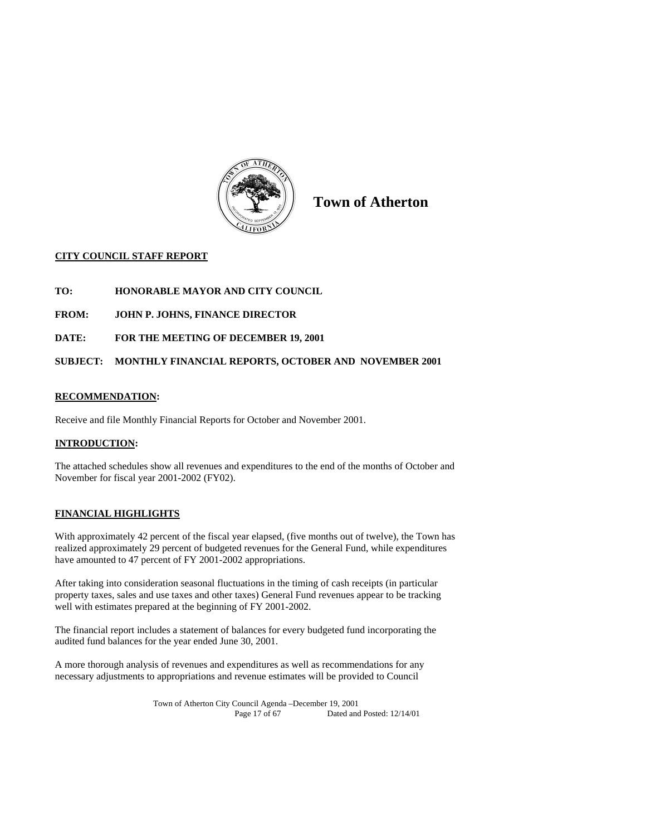

**Town of Atherton** 

## **CITY COUNCIL STAFF REPORT**

- **TO: HONORABLE MAYOR AND CITY COUNCIL**
- **FROM: JOHN P. JOHNS, FINANCE DIRECTOR**
- **DATE: FOR THE MEETING OF DECEMBER 19, 2001**

## **SUBJECT: MONTHLY FINANCIAL REPORTS, OCTOBER AND NOVEMBER 2001**

## **RECOMMENDATION:**

Receive and file Monthly Financial Reports for October and November 2001.

## **INTRODUCTION:**

The attached schedules show all revenues and expenditures to the end of the months of October and November for fiscal year 2001-2002 (FY02).

## **FINANCIAL HIGHLIGHTS**

With approximately 42 percent of the fiscal year elapsed, (five months out of twelve), the Town has realized approximately 29 percent of budgeted revenues for the General Fund, while expenditures have amounted to 47 percent of FY 2001-2002 appropriations.

After taking into consideration seasonal fluctuations in the timing of cash receipts (in particular property taxes, sales and use taxes and other taxes) General Fund revenues appear to be tracking well with estimates prepared at the beginning of FY 2001-2002.

The financial report includes a statement of balances for every budgeted fund incorporating the audited fund balances for the year ended June 30, 2001.

A more thorough analysis of revenues and expenditures as well as recommendations for any necessary adjustments to appropriations and revenue estimates will be provided to Council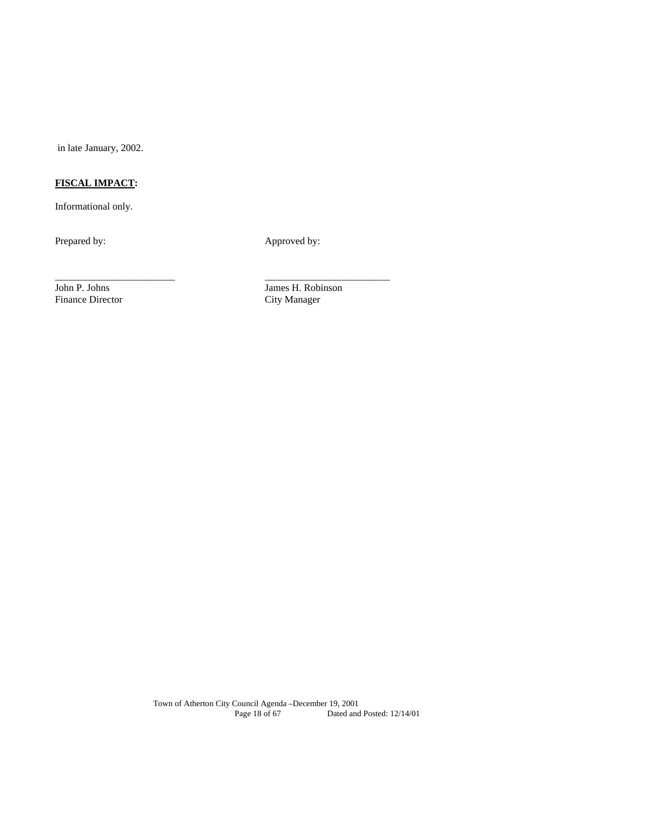in late January, 2002.

# **FISCAL IMPACT:**

Informational only.

Prepared by: Approved by:

\_\_\_\_\_\_\_\_\_\_\_\_\_\_\_\_\_\_\_\_\_\_\_\_ \_\_\_\_\_\_\_\_\_\_\_\_\_\_\_\_\_\_\_\_\_\_\_\_\_

Finance Director

John P. Johns James H. Robinson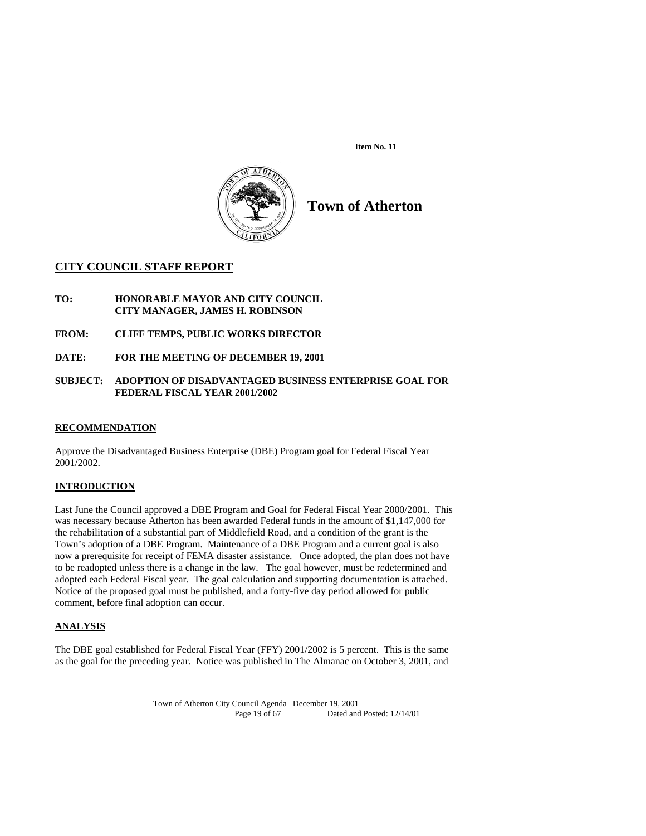**Item No. 11** 



**Town of Atherton** 

## **CITY COUNCIL STAFF REPORT**

- **TO: HONORABLE MAYOR AND CITY COUNCIL CITY MANAGER, JAMES H. ROBINSON**
- **FROM: CLIFF TEMPS, PUBLIC WORKS DIRECTOR**
- **DATE: FOR THE MEETING OF DECEMBER 19, 2001**

#### **SUBJECT: ADOPTION OF DISADVANTAGED BUSINESS ENTERPRISE GOAL FOR FEDERAL FISCAL YEAR 2001/2002**

## **RECOMMENDATION**

Approve the Disadvantaged Business Enterprise (DBE) Program goal for Federal Fiscal Year 2001/2002.

## **INTRODUCTION**

Last June the Council approved a DBE Program and Goal for Federal Fiscal Year 2000/2001. This was necessary because Atherton has been awarded Federal funds in the amount of \$1,147,000 for the rehabilitation of a substantial part of Middlefield Road, and a condition of the grant is the Town's adoption of a DBE Program. Maintenance of a DBE Program and a current goal is also now a prerequisite for receipt of FEMA disaster assistance. Once adopted, the plan does not have to be readopted unless there is a change in the law. The goal however, must be redetermined and adopted each Federal Fiscal year. The goal calculation and supporting documentation is attached. Notice of the proposed goal must be published, and a forty-five day period allowed for public comment, before final adoption can occur.

## **ANALYSIS**

The DBE goal established for Federal Fiscal Year (FFY) 2001/2002 is 5 percent. This is the same as the goal for the preceding year. Notice was published in The Almanac on October 3, 2001, and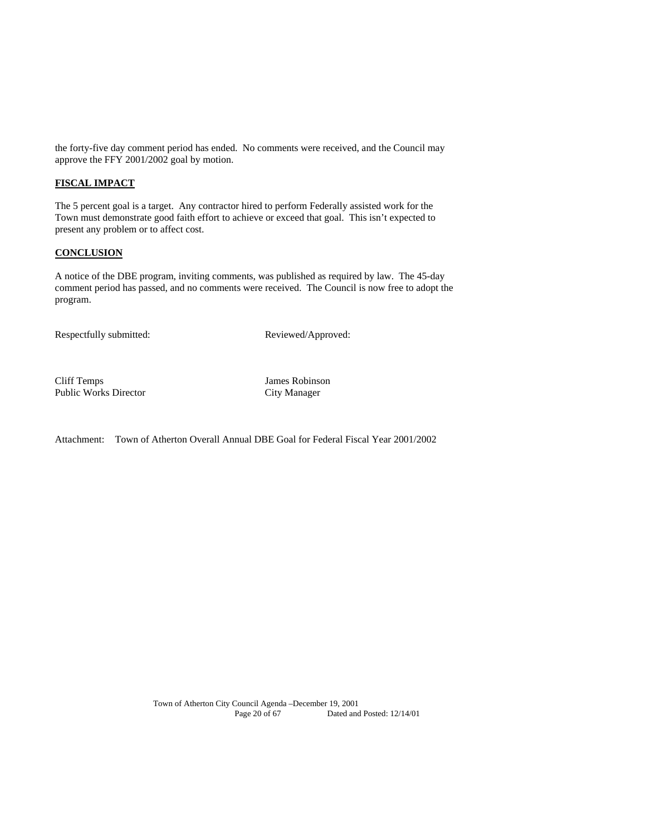the forty-five day comment period has ended. No comments were received, and the Council may approve the FFY 2001/2002 goal by motion.

## **FISCAL IMPACT**

The 5 percent goal is a target. Any contractor hired to perform Federally assisted work for the Town must demonstrate good faith effort to achieve or exceed that goal. This isn't expected to present any problem or to affect cost.

## **CONCLUSION**

A notice of the DBE program, inviting comments, was published as required by law. The 45-day comment period has passed, and no comments were received. The Council is now free to adopt the program.

Respectfully submitted: Reviewed/Approved:

Cliff Temps James Robinson Public Works Director City Manager

Attachment: Town of Atherton Overall Annual DBE Goal for Federal Fiscal Year 2001/2002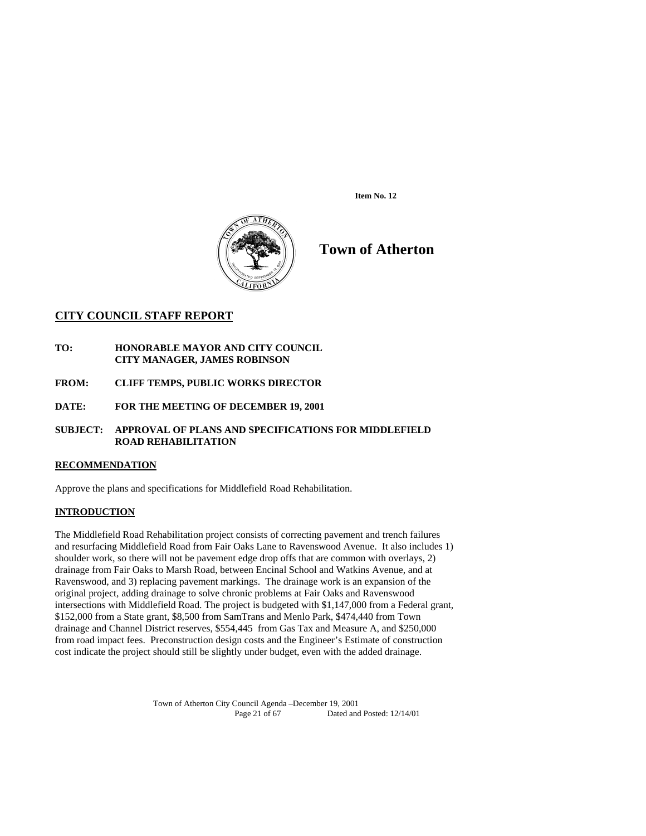**Item No. 12** 



**Town of Atherton** 

## **CITY COUNCIL STAFF REPORT**

- **TO: HONORABLE MAYOR AND CITY COUNCIL CITY MANAGER, JAMES ROBINSON**
- **FROM: CLIFF TEMPS, PUBLIC WORKS DIRECTOR**
- **DATE: FOR THE MEETING OF DECEMBER 19, 2001**
- **SUBJECT: APPROVAL OF PLANS AND SPECIFICATIONS FOR MIDDLEFIELD ROAD REHABILITATION**

## **RECOMMENDATION**

Approve the plans and specifications for Middlefield Road Rehabilitation.

## **INTRODUCTION**

The Middlefield Road Rehabilitation project consists of correcting pavement and trench failures and resurfacing Middlefield Road from Fair Oaks Lane to Ravenswood Avenue. It also includes 1) shoulder work, so there will not be pavement edge drop offs that are common with overlays, 2) drainage from Fair Oaks to Marsh Road, between Encinal School and Watkins Avenue, and at Ravenswood, and 3) replacing pavement markings. The drainage work is an expansion of the original project, adding drainage to solve chronic problems at Fair Oaks and Ravenswood intersections with Middlefield Road. The project is budgeted with \$1,147,000 from a Federal grant, \$152,000 from a State grant, \$8,500 from SamTrans and Menlo Park, \$474,440 from Town drainage and Channel District reserves, \$554,445 from Gas Tax and Measure A, and \$250,000 from road impact fees. Preconstruction design costs and the Engineer's Estimate of construction cost indicate the project should still be slightly under budget, even with the added drainage.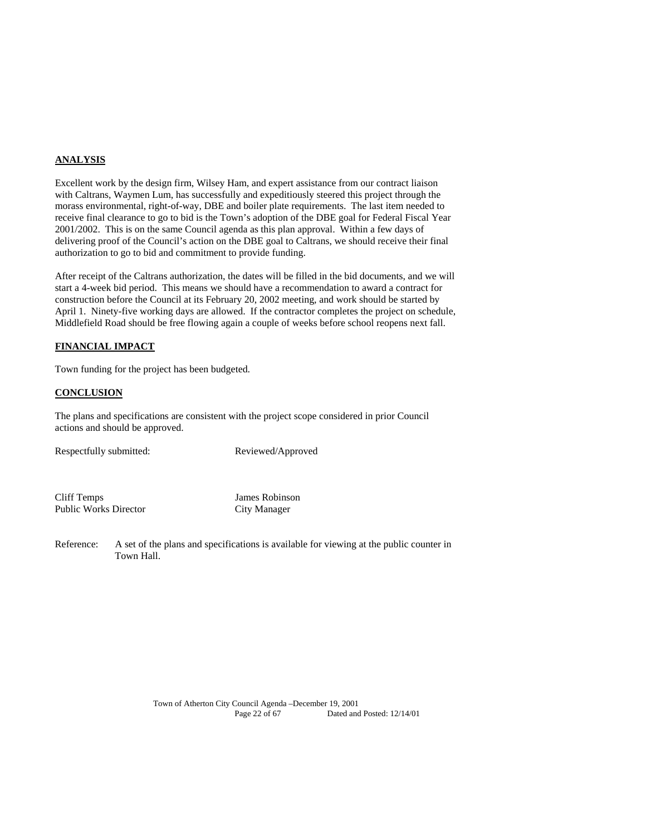## **ANALYSIS**

Excellent work by the design firm, Wilsey Ham, and expert assistance from our contract liaison with Caltrans, Waymen Lum, has successfully and expeditiously steered this project through the morass environmental, right-of-way, DBE and boiler plate requirements. The last item needed to receive final clearance to go to bid is the Town's adoption of the DBE goal for Federal Fiscal Year 2001/2002. This is on the same Council agenda as this plan approval. Within a few days of delivering proof of the Council's action on the DBE goal to Caltrans, we should receive their final authorization to go to bid and commitment to provide funding.

After receipt of the Caltrans authorization, the dates will be filled in the bid documents, and we will start a 4-week bid period. This means we should have a recommendation to award a contract for construction before the Council at its February 20, 2002 meeting, and work should be started by April 1. Ninety-five working days are allowed. If the contractor completes the project on schedule, Middlefield Road should be free flowing again a couple of weeks before school reopens next fall.

## **FINANCIAL IMPACT**

Town funding for the project has been budgeted.

## **CONCLUSION**

The plans and specifications are consistent with the project scope considered in prior Council actions and should be approved.

Respectfully submitted: Reviewed/Approved

Cliff Temps James Robinson Public Works Director City Manager

Reference: A set of the plans and specifications is available for viewing at the public counter in Town Hall.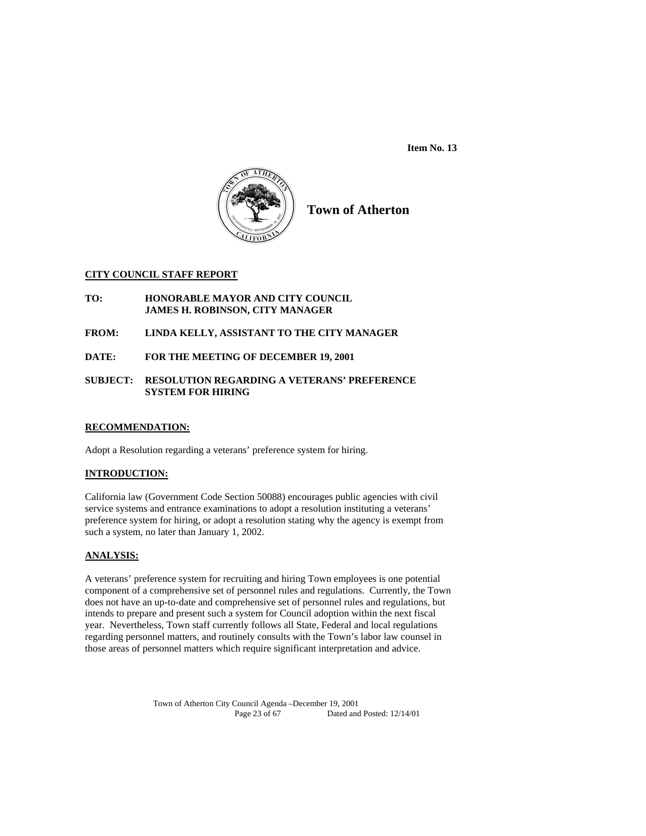**Item No. 13** 



**Town of Atherton**

## **CITY COUNCIL STAFF REPORT**

**TO: HONORABLE MAYOR AND CITY COUNCIL JAMES H. ROBINSON, CITY MANAGER** 

**FROM: LINDA KELLY, ASSISTANT TO THE CITY MANAGER** 

**DATE: FOR THE MEETING OF DECEMBER 19, 2001** 

## **SUBJECT: RESOLUTION REGARDING A VETERANS' PREFERENCE SYSTEM FOR HIRING**

## **RECOMMENDATION:**

Adopt a Resolution regarding a veterans' preference system for hiring.

## **INTRODUCTION:**

California law (Government Code Section 50088) encourages public agencies with civil service systems and entrance examinations to adopt a resolution instituting a veterans' preference system for hiring, or adopt a resolution stating why the agency is exempt from such a system, no later than January 1, 2002.

## **ANALYSIS:**

A veterans' preference system for recruiting and hiring Town employees is one potential component of a comprehensive set of personnel rules and regulations. Currently, the Town does not have an up-to-date and comprehensive set of personnel rules and regulations, but intends to prepare and present such a system for Council adoption within the next fiscal year. Nevertheless, Town staff currently follows all State, Federal and local regulations regarding personnel matters, and routinely consults with the Town's labor law counsel in those areas of personnel matters which require significant interpretation and advice.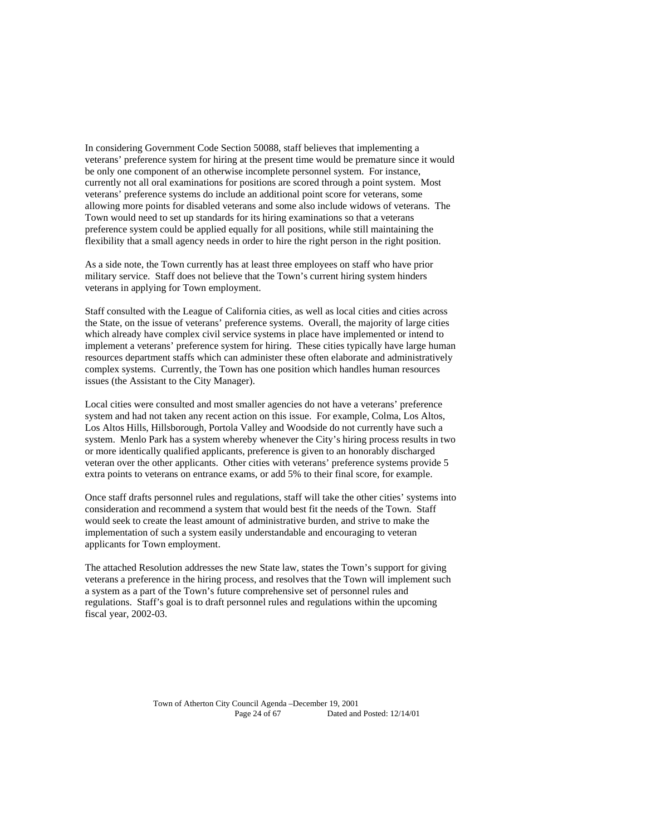In considering Government Code Section 50088, staff believes that implementing a veterans' preference system for hiring at the present time would be premature since it would be only one component of an otherwise incomplete personnel system. For instance, currently not all oral examinations for positions are scored through a point system. Most veterans' preference systems do include an additional point score for veterans, some allowing more points for disabled veterans and some also include widows of veterans. The Town would need to set up standards for its hiring examinations so that a veterans preference system could be applied equally for all positions, while still maintaining the flexibility that a small agency needs in order to hire the right person in the right position.

As a side note, the Town currently has at least three employees on staff who have prior military service. Staff does not believe that the Town's current hiring system hinders veterans in applying for Town employment.

Staff consulted with the League of California cities, as well as local cities and cities across the State, on the issue of veterans' preference systems. Overall, the majority of large cities which already have complex civil service systems in place have implemented or intend to implement a veterans' preference system for hiring. These cities typically have large human resources department staffs which can administer these often elaborate and administratively complex systems. Currently, the Town has one position which handles human resources issues (the Assistant to the City Manager).

Local cities were consulted and most smaller agencies do not have a veterans' preference system and had not taken any recent action on this issue. For example, Colma, Los Altos, Los Altos Hills, Hillsborough, Portola Valley and Woodside do not currently have such a system. Menlo Park has a system whereby whenever the City's hiring process results in two or more identically qualified applicants, preference is given to an honorably discharged veteran over the other applicants. Other cities with veterans' preference systems provide 5 extra points to veterans on entrance exams, or add 5% to their final score, for example.

Once staff drafts personnel rules and regulations, staff will take the other cities' systems into consideration and recommend a system that would best fit the needs of the Town. Staff would seek to create the least amount of administrative burden, and strive to make the implementation of such a system easily understandable and encouraging to veteran applicants for Town employment.

The attached Resolution addresses the new State law, states the Town's support for giving veterans a preference in the hiring process, and resolves that the Town will implement such a system as a part of the Town's future comprehensive set of personnel rules and regulations. Staff's goal is to draft personnel rules and regulations within the upcoming fiscal year, 2002-03.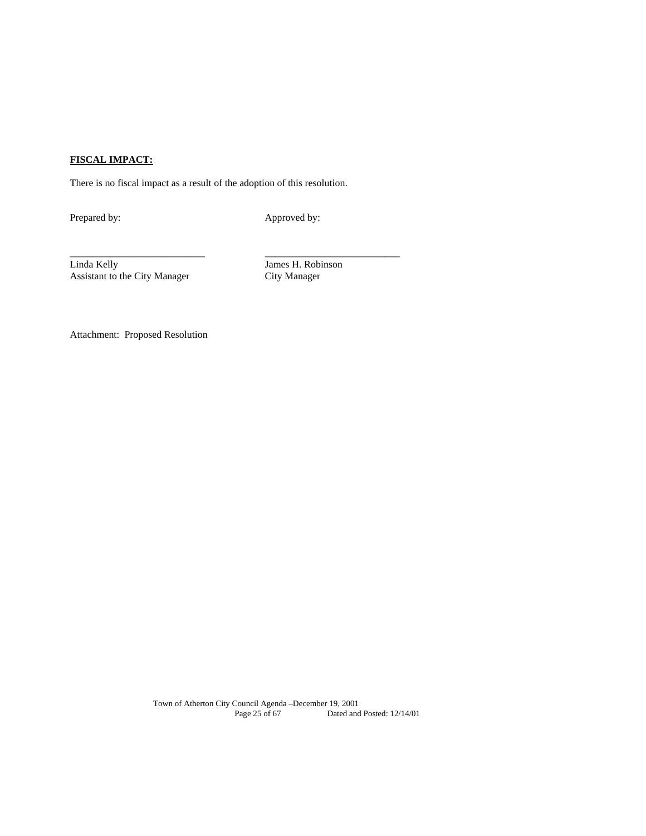## **FISCAL IMPACT:**

There is no fiscal impact as a result of the adoption of this resolution.

Prepared by: Approved by:

Linda Kelly James H. Robinson Assistant to the City Manager

\_\_\_\_\_\_\_\_\_\_\_\_\_\_\_\_\_\_\_\_\_\_\_\_\_\_\_ \_\_\_\_\_\_\_\_\_\_\_\_\_\_\_\_\_\_\_\_\_\_\_\_\_\_\_

Attachment: Proposed Resolution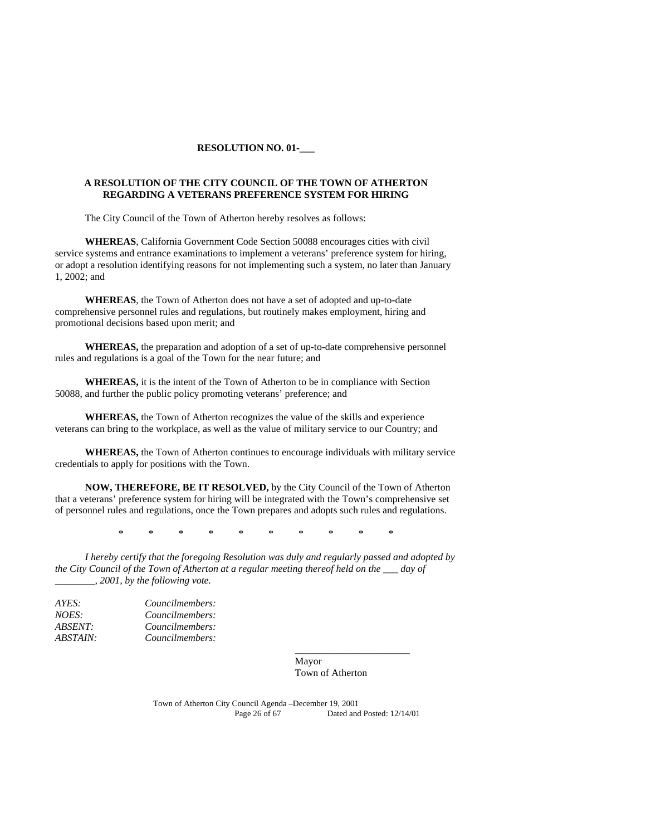#### **RESOLUTION NO. 01-\_\_\_**

#### **A RESOLUTION OF THE CITY COUNCIL OF THE TOWN OF ATHERTON REGARDING A VETERANS PREFERENCE SYSTEM FOR HIRING**

The City Council of the Town of Atherton hereby resolves as follows:

**WHEREAS**, California Government Code Section 50088 encourages cities with civil service systems and entrance examinations to implement a veterans' preference system for hiring, or adopt a resolution identifying reasons for not implementing such a system, no later than January 1, 2002; and

**WHEREAS**, the Town of Atherton does not have a set of adopted and up-to-date comprehensive personnel rules and regulations, but routinely makes employment, hiring and promotional decisions based upon merit; and

**WHEREAS,** the preparation and adoption of a set of up-to-date comprehensive personnel rules and regulations is a goal of the Town for the near future; and

**WHEREAS,** it is the intent of the Town of Atherton to be in compliance with Section 50088, and further the public policy promoting veterans' preference; and

**WHEREAS,** the Town of Atherton recognizes the value of the skills and experience veterans can bring to the workplace, as well as the value of military service to our Country; and

**WHEREAS,** the Town of Atherton continues to encourage individuals with military service credentials to apply for positions with the Town.

**NOW, THEREFORE, BE IT RESOLVED,** by the City Council of the Town of Atherton that a veterans' preference system for hiring will be integrated with the Town's comprehensive set of personnel rules and regulations, once the Town prepares and adopts such rules and regulations.

\* \* \* \* \* \* \* \* \* \*

*I hereby certify that the foregoing Resolution was duly and regularly passed and adopted by the City Council of the Town of Atherton at a regular meeting thereof held on the \_\_\_ day of \_\_\_\_\_\_\_\_, 2001, by the following vote.* 

 $\overline{\phantom{a}}$  , and the contract of the contract of the contract of the contract of the contract of the contract of the contract of the contract of the contract of the contract of the contract of the contract of the contrac

| AYES:          | Councilmembers: |
|----------------|-----------------|
| NOES:          | Councilmembers: |
| <i>ABSENT:</i> | Councilmembers: |
| ABSTAIN:       | Councilmembers: |

 Mayor Town of Atherton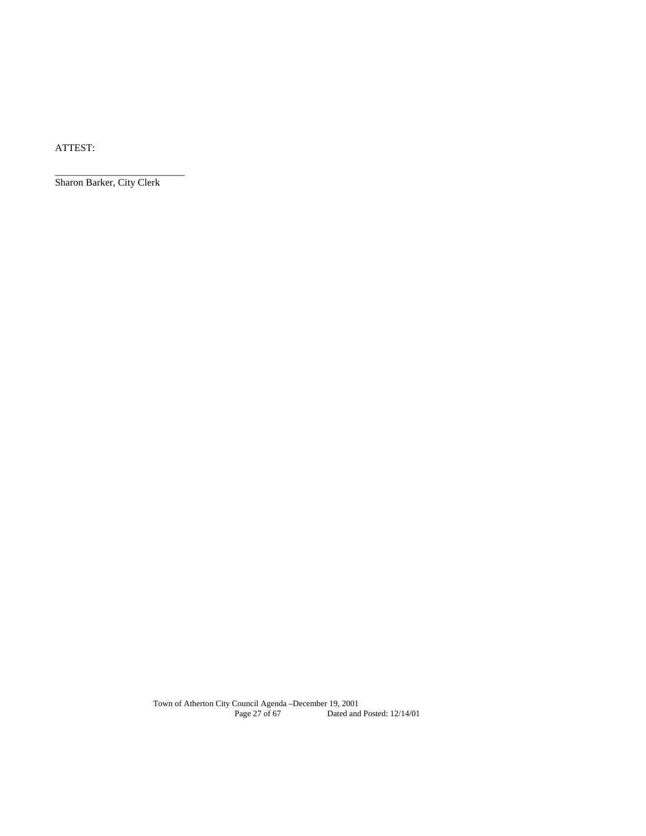ATTEST:

Sharon Barker, City Clerk

\_\_\_\_\_\_\_\_\_\_\_\_\_\_\_\_\_\_\_\_\_\_\_\_\_\_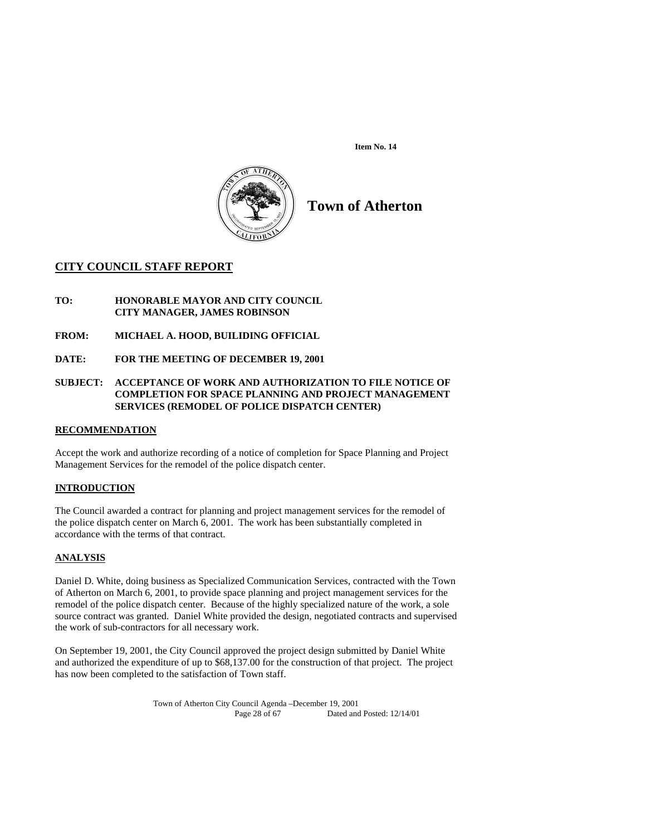**Item No. 14** 



**Town of Atherton** 

## **CITY COUNCIL STAFF REPORT**

**TO: HONORABLE MAYOR AND CITY COUNCIL CITY MANAGER, JAMES ROBINSON** 

**FROM: MICHAEL A. HOOD, BUILIDING OFFICIAL** 

**DATE: FOR THE MEETING OF DECEMBER 19, 2001** 

## **SUBJECT: ACCEPTANCE OF WORK AND AUTHORIZATION TO FILE NOTICE OF COMPLETION FOR SPACE PLANNING AND PROJECT MANAGEMENT SERVICES (REMODEL OF POLICE DISPATCH CENTER)**

## **RECOMMENDATION**

Accept the work and authorize recording of a notice of completion for Space Planning and Project Management Services for the remodel of the police dispatch center.

## **INTRODUCTION**

The Council awarded a contract for planning and project management services for the remodel of the police dispatch center on March 6, 2001. The work has been substantially completed in accordance with the terms of that contract.

## **ANALYSIS**

Daniel D. White, doing business as Specialized Communication Services, contracted with the Town of Atherton on March 6, 2001, to provide space planning and project management services for the remodel of the police dispatch center. Because of the highly specialized nature of the work, a sole source contract was granted. Daniel White provided the design, negotiated contracts and supervised the work of sub-contractors for all necessary work.

On September 19, 2001, the City Council approved the project design submitted by Daniel White and authorized the expenditure of up to \$68,137.00 for the construction of that project. The project has now been completed to the satisfaction of Town staff.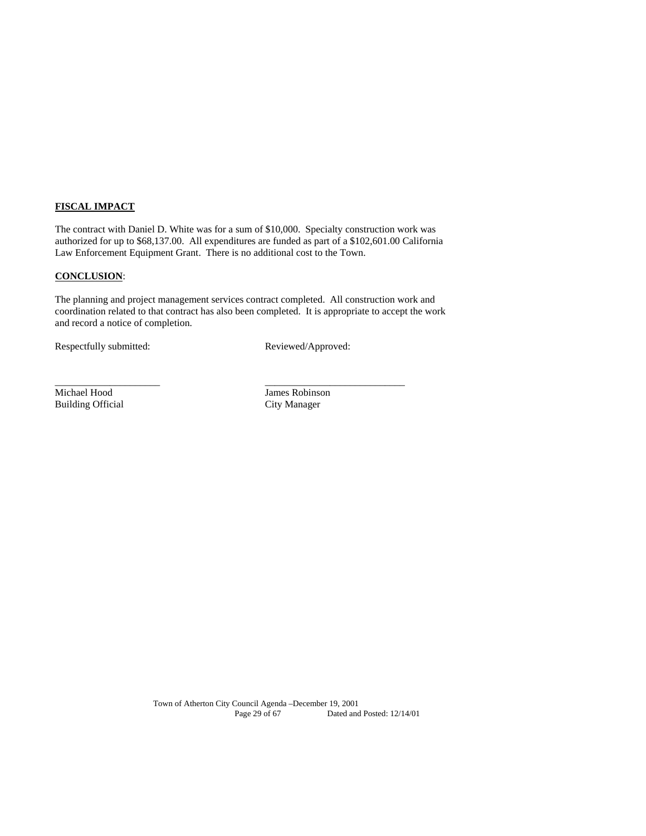## **FISCAL IMPACT**

The contract with Daniel D. White was for a sum of \$10,000. Specialty construction work was authorized for up to \$68,137.00. All expenditures are funded as part of a \$102,601.00 California Law Enforcement Equipment Grant. There is no additional cost to the Town.

## **CONCLUSION**:

The planning and project management services contract completed. All construction work and coordination related to that contract has also been completed. It is appropriate to accept the work and record a notice of completion.

\_\_\_\_\_\_\_\_\_\_\_\_\_\_\_\_\_\_\_\_\_ \_\_\_\_\_\_\_\_\_\_\_\_\_\_\_\_\_\_\_\_\_\_\_\_\_\_\_\_

Respectfully submitted: Reviewed/Approved:

Michael Hood James Robinson Building Official City Manager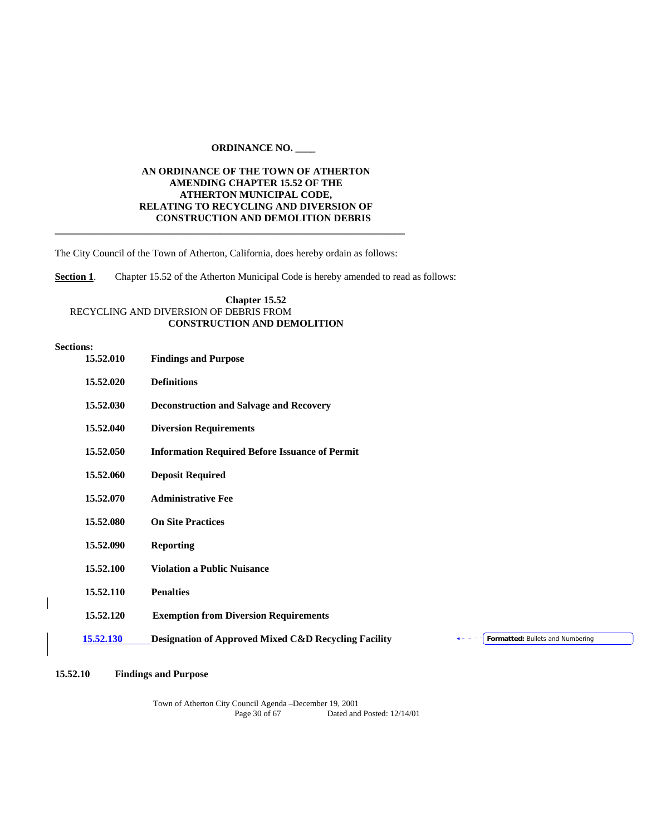## **ORDINANCE NO. \_\_\_\_**

## **AN ORDINANCE OF THE TOWN OF ATHERTON AMENDING CHAPTER 15.52 OF THE ATHERTON MUNICIPAL CODE, RELATING TO RECYCLING AND DIVERSION OF CONSTRUCTION AND DEMOLITION DEBRIS \_\_\_\_\_\_\_\_\_\_\_\_\_\_\_\_\_\_\_\_\_\_\_\_\_\_\_\_\_\_\_\_\_\_\_\_\_\_\_\_\_\_\_\_\_\_\_\_\_\_\_\_\_\_\_\_\_\_\_\_\_\_\_\_\_\_\_\_\_\_**

The City Council of the Town of Atherton, California, does hereby ordain as follows:

**Section 1**. Chapter 15.52 of the Atherton Municipal Code is hereby amended to read as follows:

## **Chapter 15.52** RECYCLING AND DIVERSION OF DEBRIS FROM **CONSTRUCTION AND DEMOLITION**

#### **Sections:**

 $\overline{\phantom{a}}$ 

| 15.52.010 | <b>Findings and Purpose</b>                                                                         |
|-----------|-----------------------------------------------------------------------------------------------------|
| 15.52.020 | <b>Definitions</b>                                                                                  |
| 15.52.030 | <b>Deconstruction and Salvage and Recovery</b>                                                      |
| 15.52.040 | <b>Diversion Requirements</b>                                                                       |
| 15.52.050 | <b>Information Required Before Issuance of Permit</b>                                               |
| 15.52.060 | <b>Deposit Required</b>                                                                             |
| 15.52.070 | <b>Administrative Fee</b>                                                                           |
| 15.52.080 | <b>On Site Practices</b>                                                                            |
| 15.52.090 | <b>Reporting</b>                                                                                    |
| 15.52.100 | <b>Violation a Public Nuisance</b>                                                                  |
| 15.52.110 | <b>Penalties</b>                                                                                    |
| 15.52.120 | <b>Exemption from Diversion Requirements</b>                                                        |
| 15.52.130 | <b>Designation of Approved Mixed C&amp;D Recycling Facility</b><br>Formatted: Bullets and Numbering |
|           |                                                                                                     |

## **15.52.10 Findings and Purpose**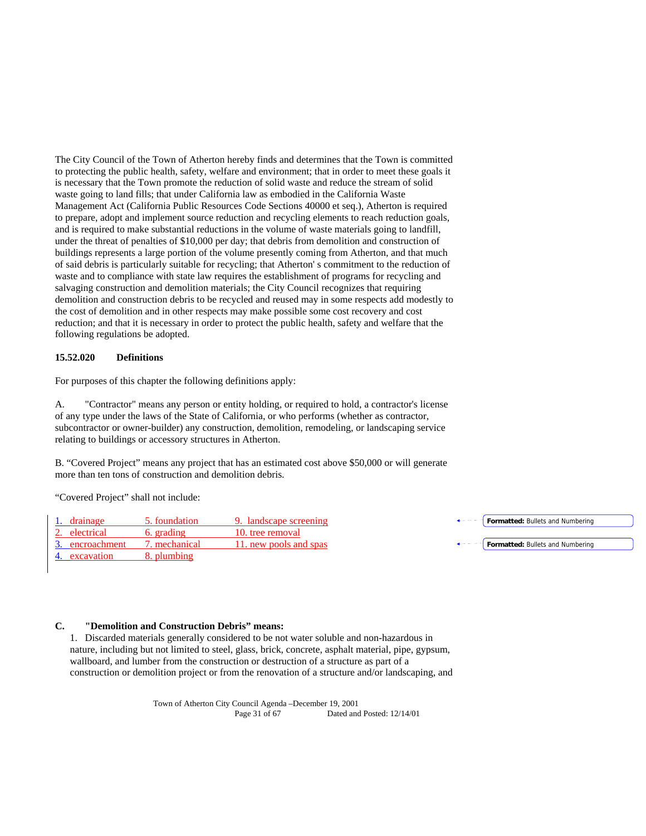The City Council of the Town of Atherton hereby finds and determines that the Town is committed to protecting the public health, safety, welfare and environment; that in order to meet these goals it is necessary that the Town promote the reduction of solid waste and reduce the stream of solid waste going to land fills; that under California law as embodied in the California Waste Management Act (California Public Resources Code Sections 40000 et seq.), Atherton is required to prepare, adopt and implement source reduction and recycling elements to reach reduction goals, and is required to make substantial reductions in the volume of waste materials going to landfill, under the threat of penalties of \$10,000 per day; that debris from demolition and construction of buildings represents a large portion of the volume presently coming from Atherton, and that much of said debris is particularly suitable for recycling; that Atherton' s commitment to the reduction of waste and to compliance with state law requires the establishment of programs for recycling and salvaging construction and demolition materials; the City Council recognizes that requiring demolition and construction debris to be recycled and reused may in some respects add modestly to the cost of demolition and in other respects may make possible some cost recovery and cost reduction; and that it is necessary in order to protect the public health, safety and welfare that the following regulations be adopted.

#### **15.52.020 Definitions**

For purposes of this chapter the following definitions apply:

A. "Contractor" means any person or entity holding, or required to hold, a contractor's license of any type under the laws of the State of California, or who performs (whether as contractor, subcontractor or owner-builder) any construction, demolition, remodeling, or landscaping service relating to buildings or accessory structures in Atherton.

B. "Covered Project" means any project that has an estimated cost above \$50,000 or will generate more than ten tons of construction and demolition debris.

"Covered Project" shall not include:

| drainage        | 5. foundation | 9. landscape screening | $\leftarrow -$ - $\leftarrow$ <b>Formatted:</b> Bullets and Numbering |
|-----------------|---------------|------------------------|-----------------------------------------------------------------------|
| 2. electrical   | 6. grading    | 10. tree removal       |                                                                       |
| 3. encroachment | '. mechanical | 11. new pools and spas | $\leftarrow - -$ <b>Formatted:</b> Bullets and Numbering              |
| 4. excavation   | 8. plumbing   |                        |                                                                       |

#### **C. "Demolition and Construction Debris" means:**

1. Discarded materials generally considered to be not water soluble and non-hazardous in nature, including but not limited to steel, glass, brick, concrete, asphalt material, pipe, gypsum, wallboard, and lumber from the construction or destruction of a structure as part of a construction or demolition project or from the renovation of a structure and/or landscaping, and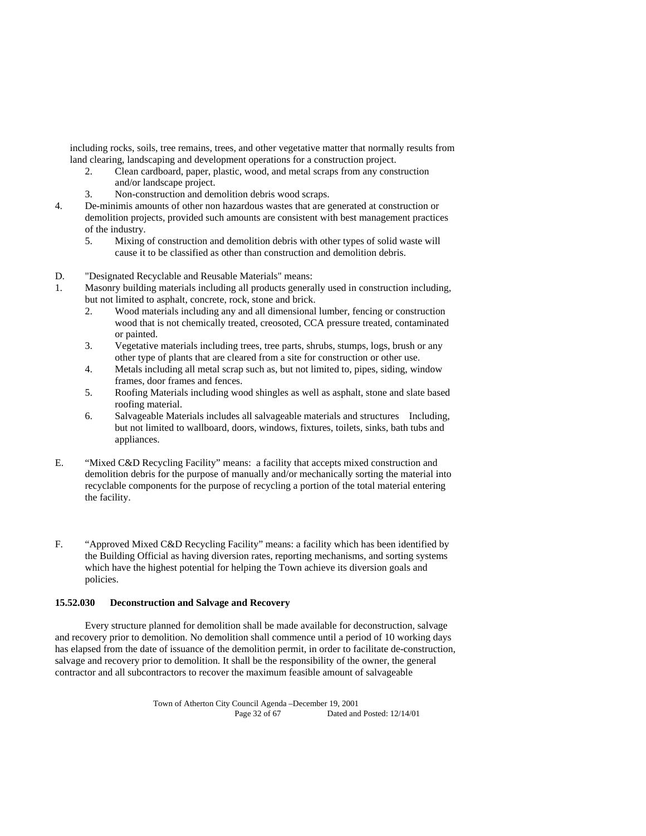including rocks, soils, tree remains, trees, and other vegetative matter that normally results from land clearing, landscaping and development operations for a construction project.

- 2. Clean cardboard, paper, plastic, wood, and metal scraps from any construction and/or landscape project.
- 3. Non-construction and demolition debris wood scraps.
- 4. De-minimis amounts of other non hazardous wastes that are generated at construction or demolition projects, provided such amounts are consistent with best management practices of the industry.
	- 5. Mixing of construction and demolition debris with other types of solid waste will cause it to be classified as other than construction and demolition debris.
- D. "Designated Recyclable and Reusable Materials" means:
- 1. Masonry building materials including all products generally used in construction including, but not limited to asphalt, concrete, rock, stone and brick.
	- 2. Wood materials including any and all dimensional lumber, fencing or construction wood that is not chemically treated, creosoted, CCA pressure treated, contaminated or painted.
	- 3. Vegetative materials including trees, tree parts, shrubs, stumps, logs, brush or any other type of plants that are cleared from a site for construction or other use.
	- 4. Metals including all metal scrap such as, but not limited to, pipes, siding, window frames, door frames and fences.
	- 5. Roofing Materials including wood shingles as well as asphalt, stone and slate based roofing material.
	- 6. Salvageable Materials includes all salvageable materials and structures Including, but not limited to wallboard, doors, windows, fixtures, toilets, sinks, bath tubs and appliances.
- E. "Mixed C&D Recycling Facility" means: a facility that accepts mixed construction and demolition debris for the purpose of manually and/or mechanically sorting the material into recyclable components for the purpose of recycling a portion of the total material entering the facility.
- F. "Approved Mixed C&D Recycling Facility" means: a facility which has been identified by the Building Official as having diversion rates, reporting mechanisms, and sorting systems which have the highest potential for helping the Town achieve its diversion goals and policies.

## **15.52.030 Deconstruction and Salvage and Recovery**

 Every structure planned for demolition shall be made available for deconstruction, salvage and recovery prior to demolition. No demolition shall commence until a period of 10 working days has elapsed from the date of issuance of the demolition permit, in order to facilitate de-construction, salvage and recovery prior to demolition. It shall be the responsibility of the owner, the general contractor and all subcontractors to recover the maximum feasible amount of salvageable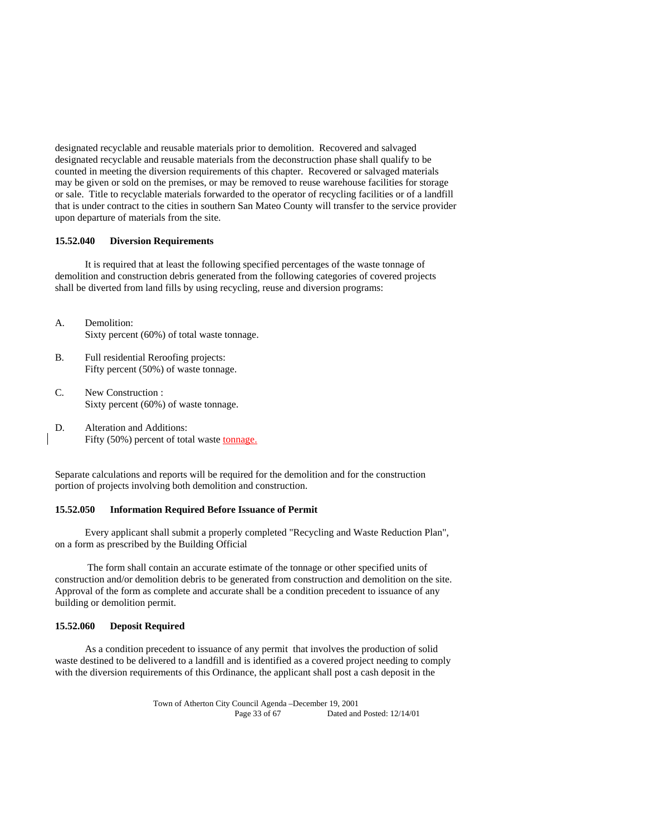designated recyclable and reusable materials prior to demolition. Recovered and salvaged designated recyclable and reusable materials from the deconstruction phase shall qualify to be counted in meeting the diversion requirements of this chapter. Recovered or salvaged materials may be given or sold on the premises, or may be removed to reuse warehouse facilities for storage or sale. Title to recyclable materials forwarded to the operator of recycling facilities or of a landfill that is under contract to the cities in southern San Mateo County will transfer to the service provider upon departure of materials from the site.

## **15.52.040 Diversion Requirements**

 It is required that at least the following specified percentages of the waste tonnage of demolition and construction debris generated from the following categories of covered projects shall be diverted from land fills by using recycling, reuse and diversion programs:

- A. Demolition: Sixty percent (60%) of total waste tonnage.
- B. Full residential Reroofing projects: Fifty percent (50%) of waste tonnage.
- C. New Construction : Sixty percent (60%) of waste tonnage.
- D. Alteration and Additions: Fifty (50%) percent of total waste tonnage.

Separate calculations and reports will be required for the demolition and for the construction portion of projects involving both demolition and construction.

#### **15.52.050 Information Required Before Issuance of Permit**

 Every applicant shall submit a properly completed "Recycling and Waste Reduction Plan", on a form as prescribed by the Building Official

 The form shall contain an accurate estimate of the tonnage or other specified units of construction and/or demolition debris to be generated from construction and demolition on the site. Approval of the form as complete and accurate shall be a condition precedent to issuance of any building or demolition permit.

## **15.52.060 Deposit Required**

 As a condition precedent to issuance of any permit that involves the production of solid waste destined to be delivered to a landfill and is identified as a covered project needing to comply with the diversion requirements of this Ordinance, the applicant shall post a cash deposit in the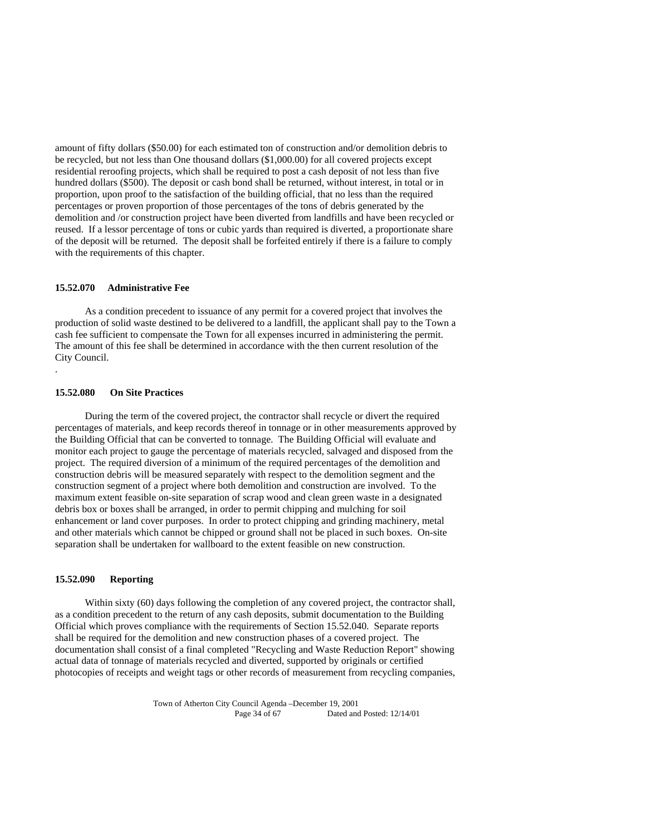amount of fifty dollars (\$50.00) for each estimated ton of construction and/or demolition debris to be recycled, but not less than One thousand dollars (\$1,000.00) for all covered projects except residential reroofing projects, which shall be required to post a cash deposit of not less than five hundred dollars (\$500). The deposit or cash bond shall be returned, without interest, in total or in proportion, upon proof to the satisfaction of the building official, that no less than the required percentages or proven proportion of those percentages of the tons of debris generated by the demolition and /or construction project have been diverted from landfills and have been recycled or reused. If a lessor percentage of tons or cubic yards than required is diverted, a proportionate share of the deposit will be returned. The deposit shall be forfeited entirely if there is a failure to comply with the requirements of this chapter.

## **15.52.070 Administrative Fee**

 As a condition precedent to issuance of any permit for a covered project that involves the production of solid waste destined to be delivered to a landfill, the applicant shall pay to the Town a cash fee sufficient to compensate the Town for all expenses incurred in administering the permit. The amount of this fee shall be determined in accordance with the then current resolution of the City Council.

#### **15.52.080 On Site Practices**

.

 During the term of the covered project, the contractor shall recycle or divert the required percentages of materials, and keep records thereof in tonnage or in other measurements approved by the Building Official that can be converted to tonnage. The Building Official will evaluate and monitor each project to gauge the percentage of materials recycled, salvaged and disposed from the project. The required diversion of a minimum of the required percentages of the demolition and construction debris will be measured separately with respect to the demolition segment and the construction segment of a project where both demolition and construction are involved. To the maximum extent feasible on-site separation of scrap wood and clean green waste in a designated debris box or boxes shall be arranged, in order to permit chipping and mulching for soil enhancement or land cover purposes. In order to protect chipping and grinding machinery, metal and other materials which cannot be chipped or ground shall not be placed in such boxes. On-site separation shall be undertaken for wallboard to the extent feasible on new construction.

#### **15.52.090 Reporting**

 Within sixty (60) days following the completion of any covered project, the contractor shall, as a condition precedent to the return of any cash deposits, submit documentation to the Building Official which proves compliance with the requirements of Section 15.52.040. Separate reports shall be required for the demolition and new construction phases of a covered project. The documentation shall consist of a final completed "Recycling and Waste Reduction Report" showing actual data of tonnage of materials recycled and diverted, supported by originals or certified photocopies of receipts and weight tags or other records of measurement from recycling companies,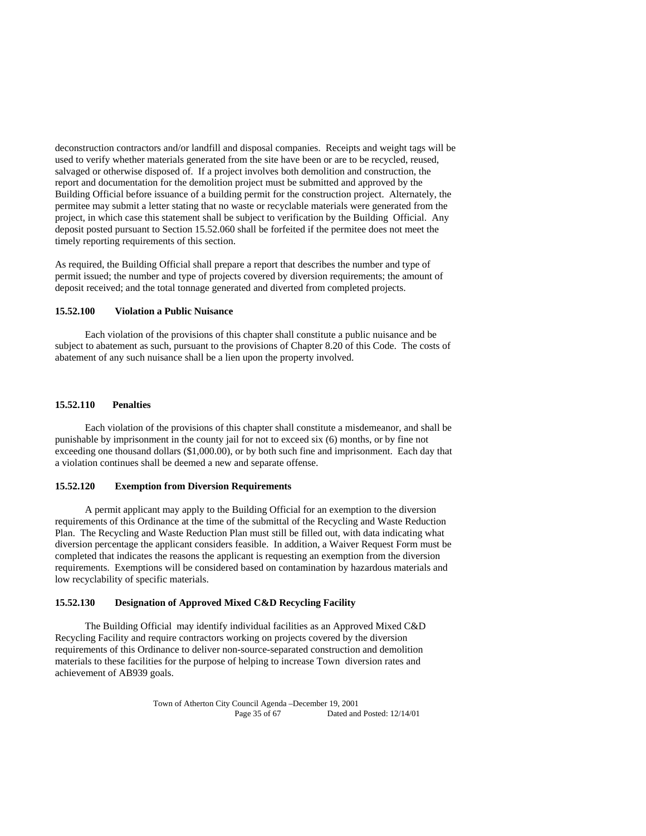deconstruction contractors and/or landfill and disposal companies. Receipts and weight tags will be used to verify whether materials generated from the site have been or are to be recycled, reused, salvaged or otherwise disposed of. If a project involves both demolition and construction, the report and documentation for the demolition project must be submitted and approved by the Building Official before issuance of a building permit for the construction project. Alternately, the permitee may submit a letter stating that no waste or recyclable materials were generated from the project, in which case this statement shall be subject to verification by the Building Official. Any deposit posted pursuant to Section 15.52.060 shall be forfeited if the permitee does not meet the timely reporting requirements of this section.

As required, the Building Official shall prepare a report that describes the number and type of permit issued; the number and type of projects covered by diversion requirements; the amount of deposit received; and the total tonnage generated and diverted from completed projects.

## **15.52.100 Violation a Public Nuisance**

 Each violation of the provisions of this chapter shall constitute a public nuisance and be subject to abatement as such, pursuant to the provisions of Chapter 8.20 of this Code. The costs of abatement of any such nuisance shall be a lien upon the property involved.

#### **15.52.110 Penalties**

 Each violation of the provisions of this chapter shall constitute a misdemeanor, and shall be punishable by imprisonment in the county jail for not to exceed six (6) months, or by fine not exceeding one thousand dollars (\$1,000.00), or by both such fine and imprisonment. Each day that a violation continues shall be deemed a new and separate offense.

#### **15.52.120 Exemption from Diversion Requirements**

 A permit applicant may apply to the Building Official for an exemption to the diversion requirements of this Ordinance at the time of the submittal of the Recycling and Waste Reduction Plan. The Recycling and Waste Reduction Plan must still be filled out, with data indicating what diversion percentage the applicant considers feasible. In addition, a Waiver Request Form must be completed that indicates the reasons the applicant is requesting an exemption from the diversion requirements. Exemptions will be considered based on contamination by hazardous materials and low recyclability of specific materials.

## **15.52.130 Designation of Approved Mixed C&D Recycling Facility**

 The Building Official may identify individual facilities as an Approved Mixed C&D Recycling Facility and require contractors working on projects covered by the diversion requirements of this Ordinance to deliver non-source-separated construction and demolition materials to these facilities for the purpose of helping to increase Town diversion rates and achievement of AB939 goals.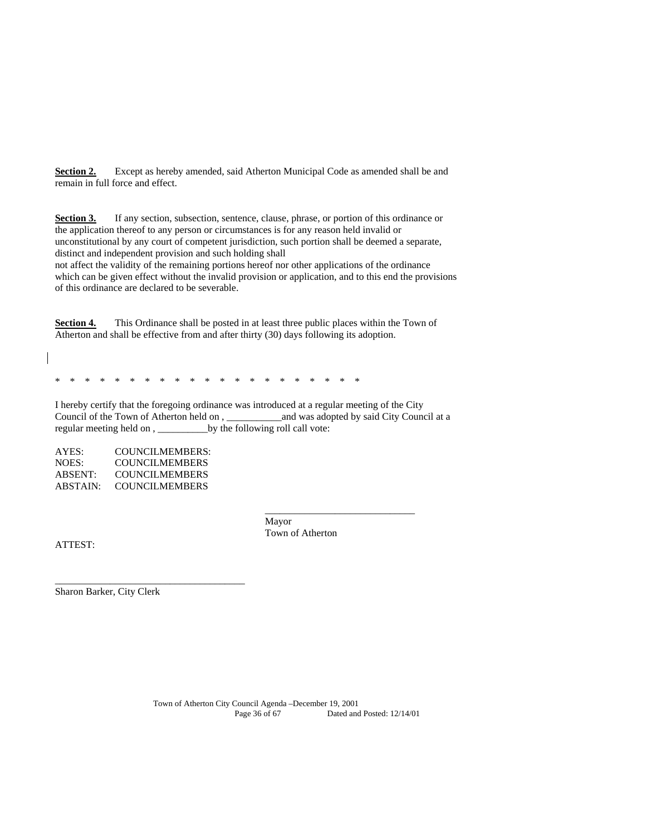**Section 2.** Except as hereby amended, said Atherton Municipal Code as amended shall be and remain in full force and effect.

**Section 3.** If any section, subsection, sentence, clause, phrase, or portion of this ordinance or the application thereof to any person or circumstances is for any reason held invalid or unconstitutional by any court of competent jurisdiction, such portion shall be deemed a separate, distinct and independent provision and such holding shall

not affect the validity of the remaining portions hereof nor other applications of the ordinance which can be given effect without the invalid provision or application, and to this end the provisions of this ordinance are declared to be severable.

**Section 4.** This Ordinance shall be posted in at least three public places within the Town of Atherton and shall be effective from and after thirty (30) days following its adoption.

\* \* \* \* \* \* \* \* \* \* \* \* \* \* \* \* \* \* \* \* \*

I hereby certify that the foregoing ordinance was introduced at a regular meeting of the City Council of the Town of Atherton held on , \_\_\_\_\_\_\_\_\_\_\_and was adopted by said City Council at a regular meeting held on , \_\_\_\_\_\_\_\_\_\_by the following roll call vote:

 $\frac{1}{\sqrt{2}}$  ,  $\frac{1}{\sqrt{2}}$  ,  $\frac{1}{\sqrt{2}}$  ,  $\frac{1}{\sqrt{2}}$  ,  $\frac{1}{\sqrt{2}}$  ,  $\frac{1}{\sqrt{2}}$  ,  $\frac{1}{\sqrt{2}}$  ,  $\frac{1}{\sqrt{2}}$  ,  $\frac{1}{\sqrt{2}}$  ,  $\frac{1}{\sqrt{2}}$  ,  $\frac{1}{\sqrt{2}}$  ,  $\frac{1}{\sqrt{2}}$  ,  $\frac{1}{\sqrt{2}}$  ,  $\frac{1}{\sqrt{2}}$  ,  $\frac{1}{\sqrt{2}}$ 

AYES: COUNCILMEMBERS: NOES: COUNCILMEMBERS ABSENT: COUNCILMEMBERS ABSTAIN: COUNCILMEMBERS

\_\_\_\_\_\_\_\_\_\_\_\_\_\_\_\_\_\_\_\_\_\_\_\_\_\_\_\_\_\_\_\_\_\_\_\_\_\_

 Mayor Town of Atherton

ATTEST:

Sharon Barker, City Clerk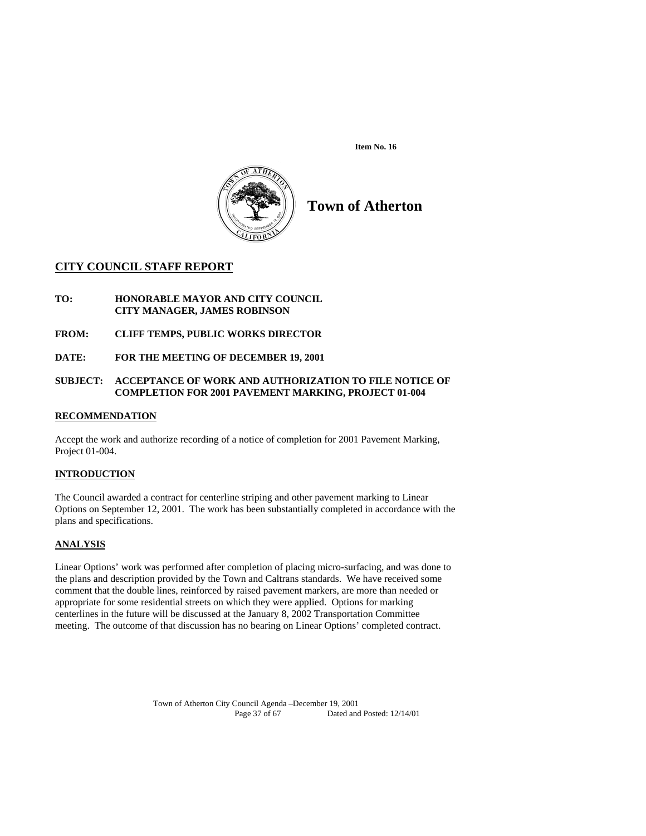**Item No. 16** 



**Town of Atherton** 

## **CITY COUNCIL STAFF REPORT**

**TO: HONORABLE MAYOR AND CITY COUNCIL CITY MANAGER, JAMES ROBINSON** 

**FROM: CLIFF TEMPS, PUBLIC WORKS DIRECTOR** 

**DATE: FOR THE MEETING OF DECEMBER 19, 2001** 

## **SUBJECT: ACCEPTANCE OF WORK AND AUTHORIZATION TO FILE NOTICE OF COMPLETION FOR 2001 PAVEMENT MARKING, PROJECT 01-004**

## **RECOMMENDATION**

Accept the work and authorize recording of a notice of completion for 2001 Pavement Marking, Project 01-004.

## **INTRODUCTION**

The Council awarded a contract for centerline striping and other pavement marking to Linear Options on September 12, 2001. The work has been substantially completed in accordance with the plans and specifications.

## **ANALYSIS**

Linear Options' work was performed after completion of placing micro-surfacing, and was done to the plans and description provided by the Town and Caltrans standards. We have received some comment that the double lines, reinforced by raised pavement markers, are more than needed or appropriate for some residential streets on which they were applied. Options for marking centerlines in the future will be discussed at the January 8, 2002 Transportation Committee meeting. The outcome of that discussion has no bearing on Linear Options' completed contract.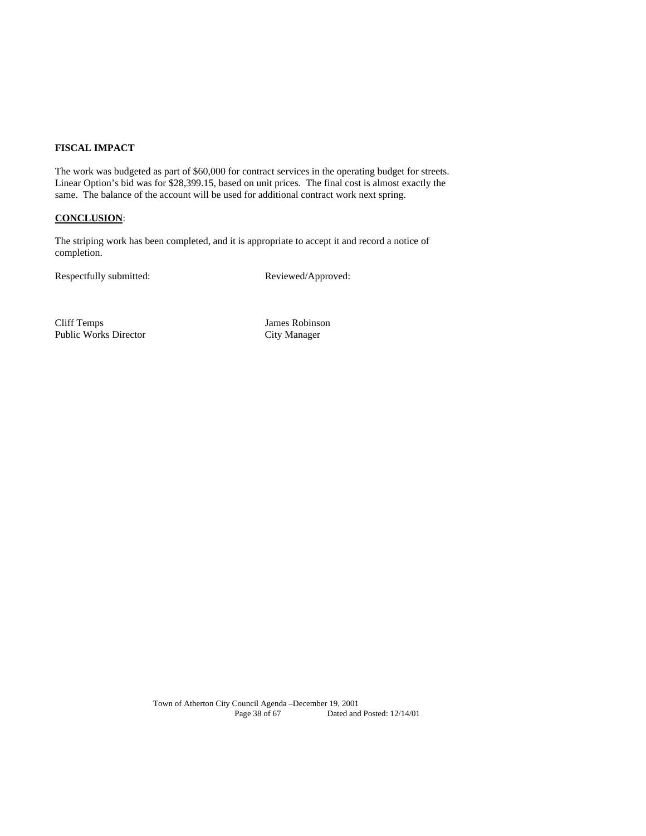## **FISCAL IMPACT**

The work was budgeted as part of \$60,000 for contract services in the operating budget for streets. Linear Option's bid was for \$28,399.15, based on unit prices. The final cost is almost exactly the same. The balance of the account will be used for additional contract work next spring.

## **CONCLUSION**:

The striping work has been completed, and it is appropriate to accept it and record a notice of completion.

Respectfully submitted: Reviewed/Approved:

Cliff Temps James Robinson Public Works Director City Manager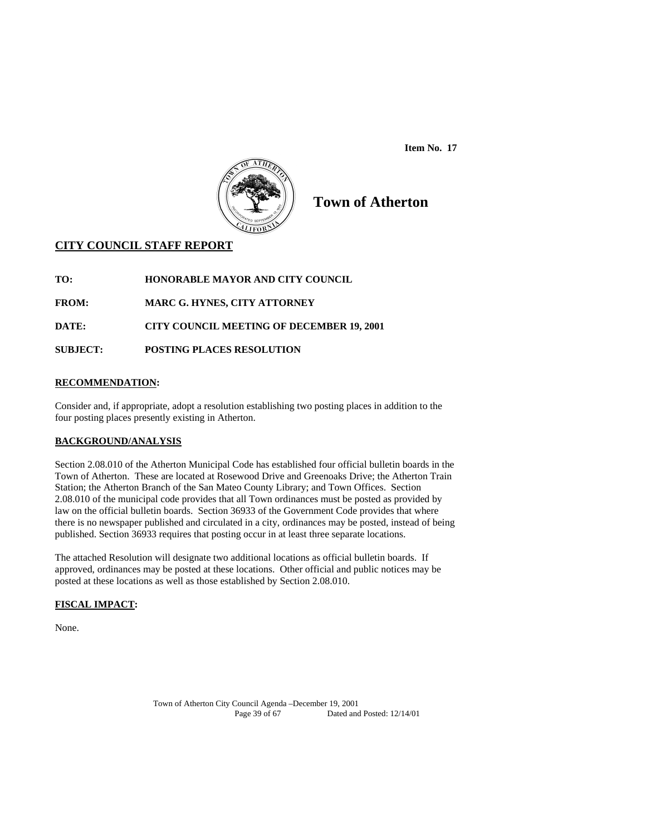**Item No. 17** 



# **Town of Atherton**

## **CITY COUNCIL STAFF REPORT**

**TO: HONORABLE MAYOR AND CITY COUNCIL** 

**FROM: MARC G. HYNES, CITY ATTORNEY** 

**DATE: CITY COUNCIL MEETING OF DECEMBER 19, 2001** 

**SUBJECT: POSTING PLACES RESOLUTION** 

## **RECOMMENDATION:**

Consider and, if appropriate, adopt a resolution establishing two posting places in addition to the four posting places presently existing in Atherton.

## **BACKGROUND/ANALYSIS**

Section 2.08.010 of the Atherton Municipal Code has established four official bulletin boards in the Town of Atherton. These are located at Rosewood Drive and Greenoaks Drive; the Atherton Train Station; the Atherton Branch of the San Mateo County Library; and Town Offices. Section 2.08.010 of the municipal code provides that all Town ordinances must be posted as provided by law on the official bulletin boards. Section 36933 of the Government Code provides that where there is no newspaper published and circulated in a city, ordinances may be posted, instead of being published. Section 36933 requires that posting occur in at least three separate locations.

The attached Resolution will designate two additional locations as official bulletin boards. If approved, ordinances may be posted at these locations. Other official and public notices may be posted at these locations as well as those established by Section 2.08.010.

## **FISCAL IMPACT:**

None.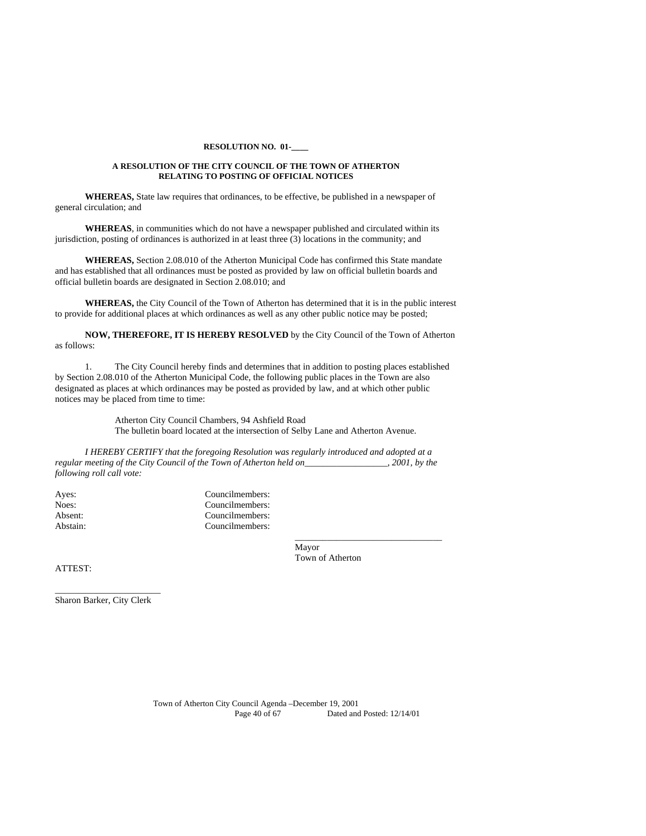#### **RESOLUTION NO. 01-\_\_\_\_**

#### **A RESOLUTION OF THE CITY COUNCIL OF THE TOWN OF ATHERTON RELATING TO POSTING OF OFFICIAL NOTICES**

 **WHEREAS,** State law requires that ordinances, to be effective, be published in a newspaper of general circulation; and

**WHEREAS**, in communities which do not have a newspaper published and circulated within its jurisdiction, posting of ordinances is authorized in at least three (3) locations in the community; and

**WHEREAS,** Section 2.08.010 of the Atherton Municipal Code has confirmed this State mandate and has established that all ordinances must be posted as provided by law on official bulletin boards and official bulletin boards are designated in Section 2.08.010; and

 **WHEREAS,** the City Council of the Town of Atherton has determined that it is in the public interest to provide for additional places at which ordinances as well as any other public notice may be posted;

**NOW, THEREFORE, IT IS HEREBY RESOLVED** by the City Council of the Town of Atherton as follows:

 1. The City Council hereby finds and determines that in addition to posting places established by Section 2.08.010 of the Atherton Municipal Code, the following public places in the Town are also designated as places at which ordinances may be posted as provided by law, and at which other public notices may be placed from time to time:

> Atherton City Council Chambers, 94 Ashfield Road The bulletin board located at the intersection of Selby Lane and Atherton Avenue.

*I HEREBY CERTIFY that the foregoing Resolution was regularly introduced and adopted at a regular meeting of the City Council of the Town of Atherton held on\_\_\_\_\_\_\_\_\_\_\_\_\_\_\_\_\_\_, 2001, by the following roll call vote:* 

 $\_$ 

Ayes: Councilmembers: Councilmembers: Councilmembers: Councilmembers: Councilmembers: Councilmembers: Council Noes: Councilmembers:<br>
Absent: Councilmembers: Councilmembers: Abstain: Councilmembers:

 Mayor Town of Atherton

ATTEST:

\_\_\_\_\_\_\_\_\_\_\_\_\_\_\_\_\_\_\_\_\_\_\_ Sharon Barker, City Clerk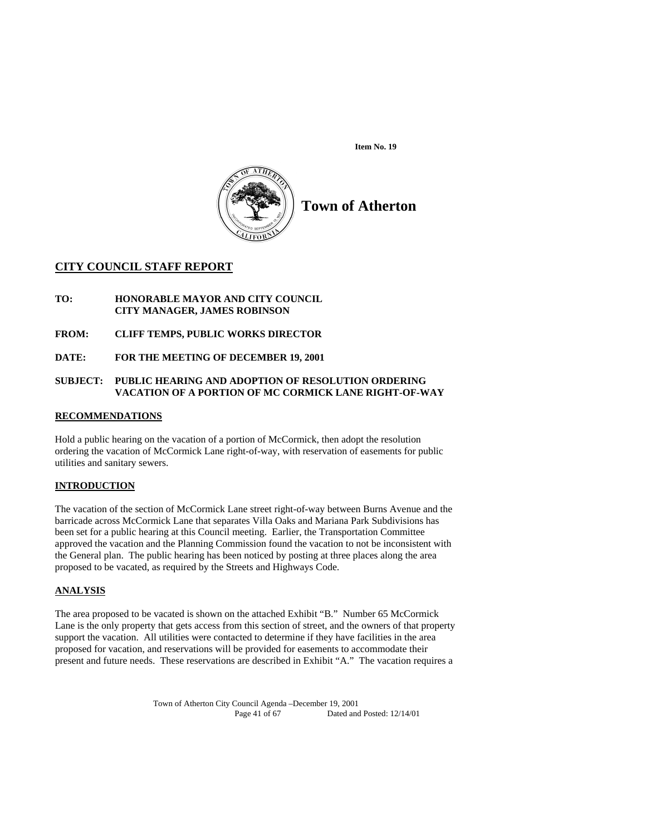**Item No. 19** 



# **Town of Atherton**

## **CITY COUNCIL STAFF REPORT**

**TO: HONORABLE MAYOR AND CITY COUNCIL CITY MANAGER, JAMES ROBINSON** 

**FROM: CLIFF TEMPS, PUBLIC WORKS DIRECTOR** 

**DATE: FOR THE MEETING OF DECEMBER 19, 2001** 

## **SUBJECT: PUBLIC HEARING AND ADOPTION OF RESOLUTION ORDERING VACATION OF A PORTION OF MC CORMICK LANE RIGHT-OF-WAY**

## **RECOMMENDATIONS**

Hold a public hearing on the vacation of a portion of McCormick, then adopt the resolution ordering the vacation of McCormick Lane right-of-way, with reservation of easements for public utilities and sanitary sewers.

## **INTRODUCTION**

The vacation of the section of McCormick Lane street right-of-way between Burns Avenue and the barricade across McCormick Lane that separates Villa Oaks and Mariana Park Subdivisions has been set for a public hearing at this Council meeting. Earlier, the Transportation Committee approved the vacation and the Planning Commission found the vacation to not be inconsistent with the General plan. The public hearing has been noticed by posting at three places along the area proposed to be vacated, as required by the Streets and Highways Code.

## **ANALYSIS**

The area proposed to be vacated is shown on the attached Exhibit "B." Number 65 McCormick Lane is the only property that gets access from this section of street, and the owners of that property support the vacation. All utilities were contacted to determine if they have facilities in the area proposed for vacation, and reservations will be provided for easements to accommodate their present and future needs. These reservations are described in Exhibit "A." The vacation requires a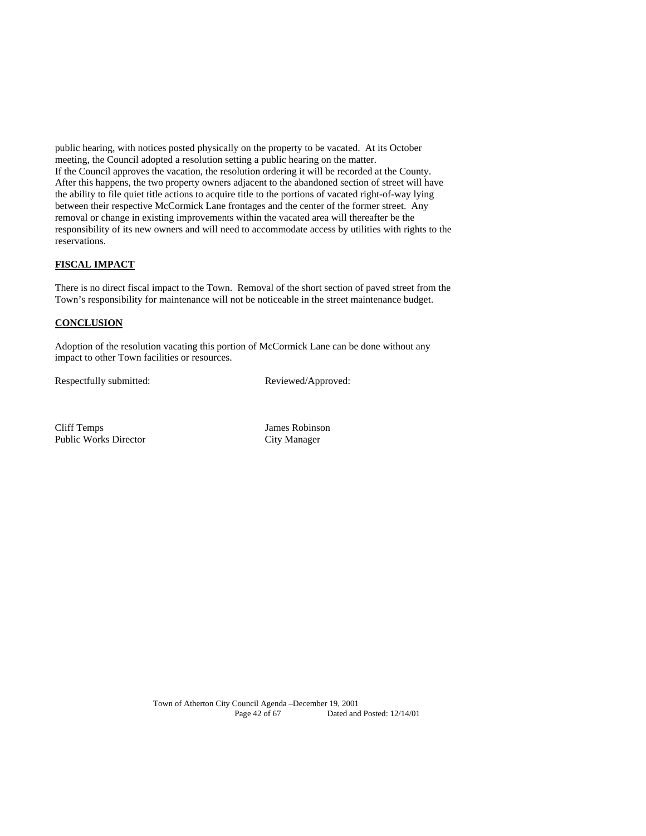public hearing, with notices posted physically on the property to be vacated. At its October meeting, the Council adopted a resolution setting a public hearing on the matter. If the Council approves the vacation, the resolution ordering it will be recorded at the County. After this happens, the two property owners adjacent to the abandoned section of street will have the ability to file quiet title actions to acquire title to the portions of vacated right-of-way lying between their respective McCormick Lane frontages and the center of the former street. Any removal or change in existing improvements within the vacated area will thereafter be the responsibility of its new owners and will need to accommodate access by utilities with rights to the reservations.

## **FISCAL IMPACT**

There is no direct fiscal impact to the Town. Removal of the short section of paved street from the Town's responsibility for maintenance will not be noticeable in the street maintenance budget.

## **CONCLUSION**

Adoption of the resolution vacating this portion of McCormick Lane can be done without any impact to other Town facilities or resources.

Respectfully submitted: Reviewed/Approved:

Cliff Temps James Robinson Public Works Director City Manager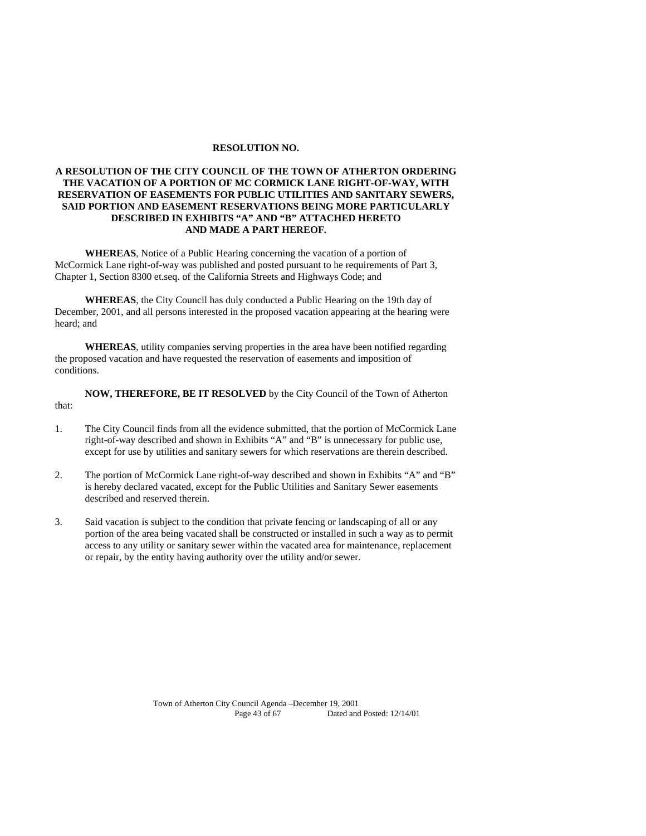#### **RESOLUTION NO.**

## **A RESOLUTION OF THE CITY COUNCIL OF THE TOWN OF ATHERTON ORDERING THE VACATION OF A PORTION OF MC CORMICK LANE RIGHT-OF-WAY, WITH RESERVATION OF EASEMENTS FOR PUBLIC UTILITIES AND SANITARY SEWERS, SAID PORTION AND EASEMENT RESERVATIONS BEING MORE PARTICULARLY DESCRIBED IN EXHIBITS "A" AND "B" ATTACHED HERETO AND MADE A PART HEREOF.**

**WHEREAS**, Notice of a Public Hearing concerning the vacation of a portion of McCormick Lane right-of-way was published and posted pursuant to he requirements of Part 3, Chapter 1, Section 8300 et.seq. of the California Streets and Highways Code; and

**WHEREAS**, the City Council has duly conducted a Public Hearing on the 19th day of December, 2001, and all persons interested in the proposed vacation appearing at the hearing were heard; and

**WHEREAS**, utility companies serving properties in the area have been notified regarding the proposed vacation and have requested the reservation of easements and imposition of conditions.

**NOW, THEREFORE, BE IT RESOLVED** by the City Council of the Town of Atherton that:

- 1. The City Council finds from all the evidence submitted, that the portion of McCormick Lane right-of-way described and shown in Exhibits "A" and "B" is unnecessary for public use, except for use by utilities and sanitary sewers for which reservations are therein described.
- 2. The portion of McCormick Lane right-of-way described and shown in Exhibits "A" and "B" is hereby declared vacated, except for the Public Utilities and Sanitary Sewer easements described and reserved therein.
- 3. Said vacation is subject to the condition that private fencing or landscaping of all or any portion of the area being vacated shall be constructed or installed in such a way as to permit access to any utility or sanitary sewer within the vacated area for maintenance, replacement or repair, by the entity having authority over the utility and/or sewer.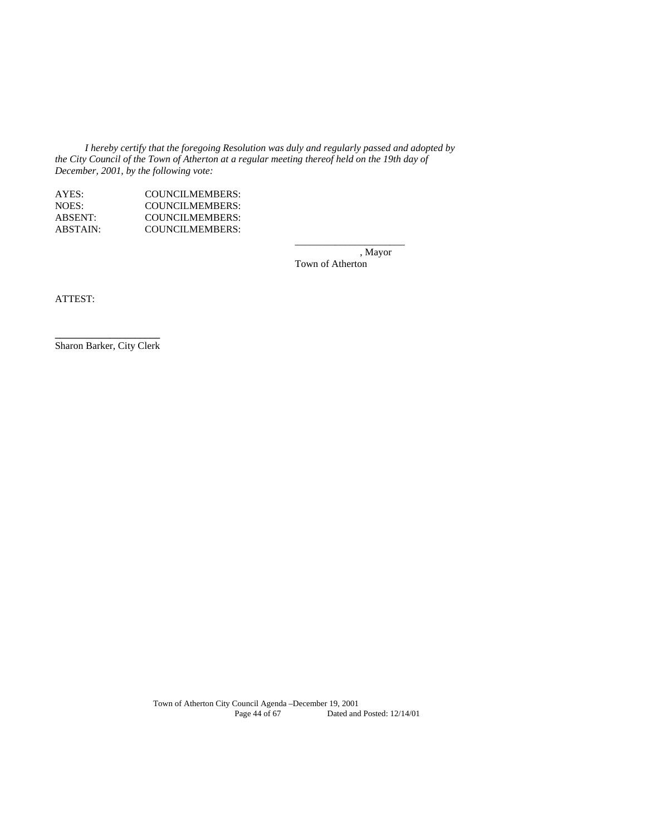*I hereby certify that the foregoing Resolution was duly and regularly passed and adopted by the City Council of the Town of Atherton at a regular meeting thereof held on the 19th day of December, 2001, by the following vote:* 

\_\_\_\_\_\_\_\_\_\_\_\_\_\_\_\_\_\_\_\_\_\_

| AYES:          | COUNCILMEMBERS:        |
|----------------|------------------------|
| NOES:          | <b>COUNCILMEMBERS:</b> |
| <b>ABSENT:</b> | COUNCILMEMBERS:        |
| ABSTAIN:       | COUNCILMEMBERS:        |

 , Mayor Town of Atherton

ATTEST:

**\_\_\_\_\_\_\_\_\_\_\_\_\_\_\_\_\_\_\_\_\_**  Sharon Barker, City Clerk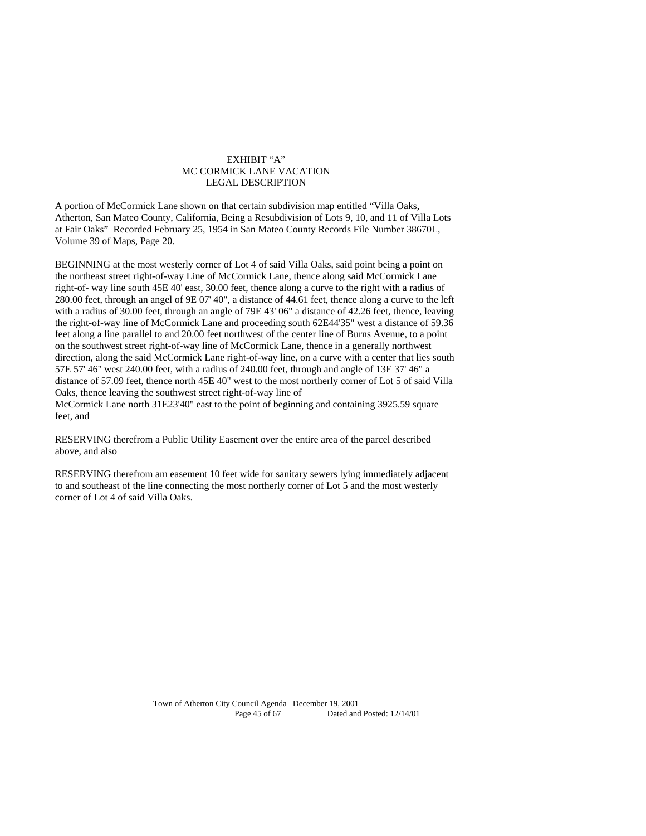#### EXHIBIT "A" MC CORMICK LANE VACATION LEGAL DESCRIPTION

A portion of McCormick Lane shown on that certain subdivision map entitled "Villa Oaks, Atherton, San Mateo County, California, Being a Resubdivision of Lots 9, 10, and 11 of Villa Lots at Fair Oaks" Recorded February 25, 1954 in San Mateo County Records File Number 38670L, Volume 39 of Maps, Page 20.

BEGINNING at the most westerly corner of Lot 4 of said Villa Oaks, said point being a point on the northeast street right-of-way Line of McCormick Lane, thence along said McCormick Lane right-of- way line south 45E 40' east, 30.00 feet, thence along a curve to the right with a radius of 280.00 feet, through an angel of 9E 07' 40", a distance of 44.61 feet, thence along a curve to the left with a radius of 30.00 feet, through an angle of 79E 43' 06" a distance of 42.26 feet, thence, leaving the right-of-way line of McCormick Lane and proceeding south 62E44'35" west a distance of 59.36 feet along a line parallel to and 20.00 feet northwest of the center line of Burns Avenue, to a point on the southwest street right-of-way line of McCormick Lane, thence in a generally northwest direction, along the said McCormick Lane right-of-way line, on a curve with a center that lies south 57E 57' 46" west 240.00 feet, with a radius of 240.00 feet, through and angle of 13E 37' 46" a distance of 57.09 feet, thence north 45E 40" west to the most northerly corner of Lot 5 of said Villa Oaks, thence leaving the southwest street right-of-way line of McCormick Lane north 31E23'40" east to the point of beginning and containing 3925.59 square feet, and

RESERVING therefrom a Public Utility Easement over the entire area of the parcel described above, and also

RESERVING therefrom am easement 10 feet wide for sanitary sewers lying immediately adjacent to and southeast of the line connecting the most northerly corner of Lot 5 and the most westerly corner of Lot 4 of said Villa Oaks.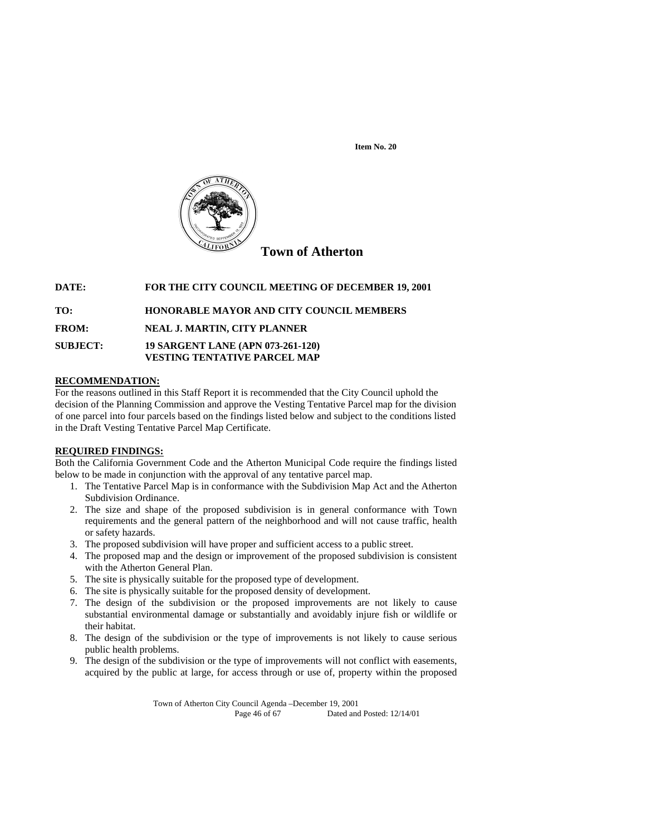**Item No. 20**



**DATE: FOR THE CITY COUNCIL MEETING OF DECEMBER 19, 2001** 

**TO: HONORABLE MAYOR AND CITY COUNCIL MEMBERS** 

**FROM: NEAL J. MARTIN, CITY PLANNER** 

**SUBJECT: 19 SARGENT LANE (APN 073-261-120) VESTING TENTATIVE PARCEL MAP** 

## **RECOMMENDATION:**

For the reasons outlined in this Staff Report it is recommended that the City Council uphold the decision of the Planning Commission and approve the Vesting Tentative Parcel map for the division of one parcel into four parcels based on the findings listed below and subject to the conditions listed in the Draft Vesting Tentative Parcel Map Certificate.

## **REQUIRED FINDINGS:**

Both the California Government Code and the Atherton Municipal Code require the findings listed below to be made in conjunction with the approval of any tentative parcel map.

- 1. The Tentative Parcel Map is in conformance with the Subdivision Map Act and the Atherton Subdivision Ordinance.
- 2. The size and shape of the proposed subdivision is in general conformance with Town requirements and the general pattern of the neighborhood and will not cause traffic, health or safety hazards.
- 3. The proposed subdivision will have proper and sufficient access to a public street.
- 4. The proposed map and the design or improvement of the proposed subdivision is consistent with the Atherton General Plan.
- 5. The site is physically suitable for the proposed type of development.
- 6. The site is physically suitable for the proposed density of development.
- 7. The design of the subdivision or the proposed improvements are not likely to cause substantial environmental damage or substantially and avoidably injure fish or wildlife or their habitat.
- 8. The design of the subdivision or the type of improvements is not likely to cause serious public health problems.
- 9. The design of the subdivision or the type of improvements will not conflict with easements, acquired by the public at large, for access through or use of, property within the proposed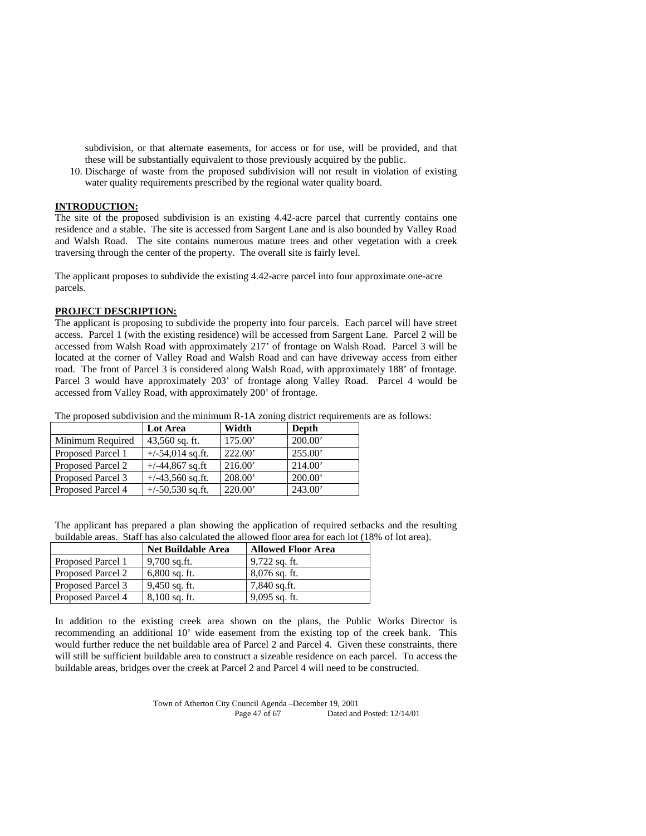subdivision, or that alternate easements, for access or for use, will be provided, and that these will be substantially equivalent to those previously acquired by the public.

10. Discharge of waste from the proposed subdivision will not result in violation of existing water quality requirements prescribed by the regional water quality board.

## **INTRODUCTION:**

The site of the proposed subdivision is an existing 4.42-acre parcel that currently contains one residence and a stable. The site is accessed from Sargent Lane and is also bounded by Valley Road and Walsh Road. The site contains numerous mature trees and other vegetation with a creek traversing through the center of the property. The overall site is fairly level.

The applicant proposes to subdivide the existing 4.42-acre parcel into four approximate one-acre parcels.

#### **PROJECT DESCRIPTION:**

The applicant is proposing to subdivide the property into four parcels. Each parcel will have street access. Parcel 1 (with the existing residence) will be accessed from Sargent Lane. Parcel 2 will be accessed from Walsh Road with approximately 217' of frontage on Walsh Road. Parcel 3 will be located at the corner of Valley Road and Walsh Road and can have driveway access from either road. The front of Parcel 3 is considered along Walsh Road, with approximately 188' of frontage. Parcel 3 would have approximately 203' of frontage along Valley Road. Parcel 4 would be accessed from Valley Road, with approximately 200' of frontage.

The proposed subdivision and the minimum R-1A zoning district requirements are as follows:

|                   | <b>Lot Area</b>    | Width   | Depth   |
|-------------------|--------------------|---------|---------|
| Minimum Required  | $43,560$ sq. ft.   | 175.00  | 200.00' |
| Proposed Parcel 1 | $+/-54,014$ sq.ft. | 222.00' | 255.00  |
| Proposed Parcel 2 | $+/-44,867$ sq.ft  | 216.00  | 214.00  |
| Proposed Parcel 3 | $+/-43,560$ sq.ft. | 208.00  | 200.00  |
| Proposed Parcel 4 | $+/-50,530$ sq.ft. | 220.00' | 243.00  |

The applicant has prepared a plan showing the application of required setbacks and the resulting buildable areas. Staff has also calculated the allowed floor area for each lot (18% of lot area).

|                   | <b>Net Buildable Area</b> | <b>Allowed Floor Area</b> |
|-------------------|---------------------------|---------------------------|
| Proposed Parcel 1 | 9,700 sq.ft.              | $9,722$ sq. ft.           |
| Proposed Parcel 2 | $6,800$ sq. ft.           | 8,076 sq. ft.             |
| Proposed Parcel 3 | $9,450$ sq. ft.           | 7,840 sq.ft.              |
| Proposed Parcel 4 | $8,100$ sq. ft.           | $9,095$ sq. ft.           |

In addition to the existing creek area shown on the plans, the Public Works Director is recommending an additional 10' wide easement from the existing top of the creek bank. This would further reduce the net buildable area of Parcel 2 and Parcel 4. Given these constraints, there will still be sufficient buildable area to construct a sizeable residence on each parcel. To access the buildable areas, bridges over the creek at Parcel 2 and Parcel 4 will need to be constructed.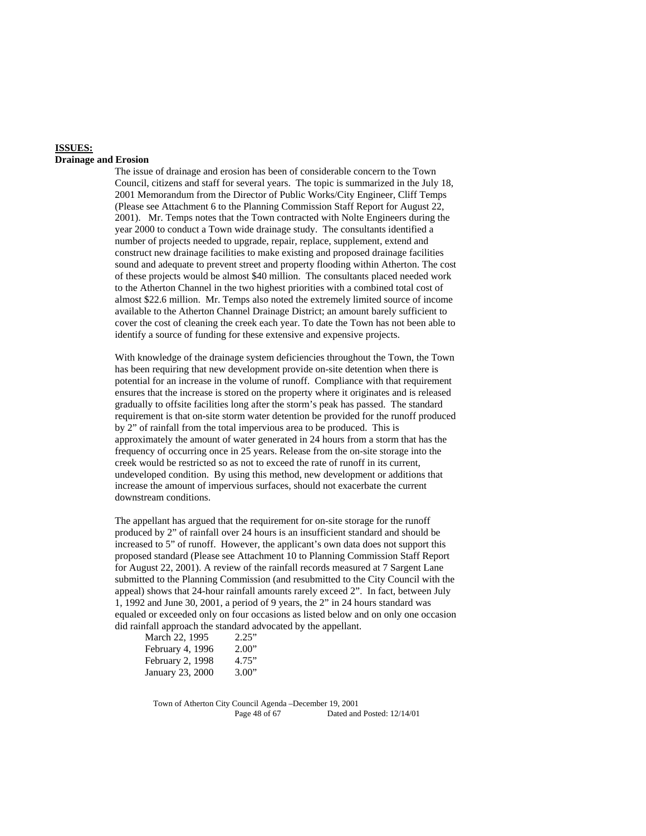## **ISSUES:**

#### **Drainage and Erosion**

The issue of drainage and erosion has been of considerable concern to the Town Council, citizens and staff for several years. The topic is summarized in the July 18, 2001 Memorandum from the Director of Public Works/City Engineer, Cliff Temps (Please see Attachment 6 to the Planning Commission Staff Report for August 22, 2001). Mr. Temps notes that the Town contracted with Nolte Engineers during the year 2000 to conduct a Town wide drainage study. The consultants identified a number of projects needed to upgrade, repair, replace, supplement, extend and construct new drainage facilities to make existing and proposed drainage facilities sound and adequate to prevent street and property flooding within Atherton. The cost of these projects would be almost \$40 million. The consultants placed needed work to the Atherton Channel in the two highest priorities with a combined total cost of almost \$22.6 million. Mr. Temps also noted the extremely limited source of income available to the Atherton Channel Drainage District; an amount barely sufficient to cover the cost of cleaning the creek each year. To date the Town has not been able to identify a source of funding for these extensive and expensive projects.

With knowledge of the drainage system deficiencies throughout the Town, the Town has been requiring that new development provide on-site detention when there is potential for an increase in the volume of runoff. Compliance with that requirement ensures that the increase is stored on the property where it originates and is released gradually to offsite facilities long after the storm's peak has passed. The standard requirement is that on-site storm water detention be provided for the runoff produced by 2" of rainfall from the total impervious area to be produced. This is approximately the amount of water generated in 24 hours from a storm that has the frequency of occurring once in 25 years. Release from the on-site storage into the creek would be restricted so as not to exceed the rate of runoff in its current, undeveloped condition. By using this method, new development or additions that increase the amount of impervious surfaces, should not exacerbate the current downstream conditions.

The appellant has argued that the requirement for on-site storage for the runoff produced by 2" of rainfall over 24 hours is an insufficient standard and should be increased to 5" of runoff. However, the applicant's own data does not support this proposed standard (Please see Attachment 10 to Planning Commission Staff Report for August 22, 2001). A review of the rainfall records measured at 7 Sargent Lane submitted to the Planning Commission (and resubmitted to the City Council with the appeal) shows that 24-hour rainfall amounts rarely exceed 2". In fact, between July 1, 1992 and June 30, 2001, a period of 9 years, the 2" in 24 hours standard was equaled or exceeded only on four occasions as listed below and on only one occasion did rainfall approach the standard advocated by the appellant.

| March 22, 1995   | 2.25" |
|------------------|-------|
| February 4, 1996 | 2.00" |
| February 2, 1998 | 4.75" |
| January 23, 2000 | 3.00" |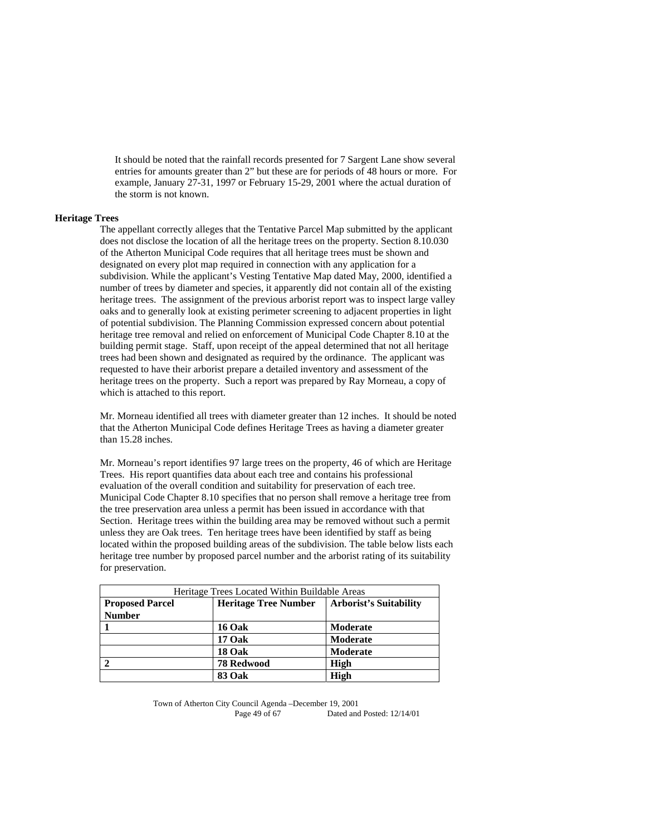It should be noted that the rainfall records presented for 7 Sargent Lane show several entries for amounts greater than 2" but these are for periods of 48 hours or more. For example, January 27-31, 1997 or February 15-29, 2001 where the actual duration of the storm is not known.

## **Heritage Trees**

The appellant correctly alleges that the Tentative Parcel Map submitted by the applicant does not disclose the location of all the heritage trees on the property. Section 8.10.030 of the Atherton Municipal Code requires that all heritage trees must be shown and designated on every plot map required in connection with any application for a subdivision. While the applicant's Vesting Tentative Map dated May, 2000, identified a number of trees by diameter and species, it apparently did not contain all of the existing heritage trees. The assignment of the previous arborist report was to inspect large valley oaks and to generally look at existing perimeter screening to adjacent properties in light of potential subdivision. The Planning Commission expressed concern about potential heritage tree removal and relied on enforcement of Municipal Code Chapter 8.10 at the building permit stage. Staff, upon receipt of the appeal determined that not all heritage trees had been shown and designated as required by the ordinance. The applicant was requested to have their arborist prepare a detailed inventory and assessment of the heritage trees on the property. Such a report was prepared by Ray Morneau, a copy of which is attached to this report.

Mr. Morneau identified all trees with diameter greater than 12 inches. It should be noted that the Atherton Municipal Code defines Heritage Trees as having a diameter greater than 15.28 inches.

Mr. Morneau's report identifies 97 large trees on the property, 46 of which are Heritage Trees. His report quantifies data about each tree and contains his professional evaluation of the overall condition and suitability for preservation of each tree. Municipal Code Chapter 8.10 specifies that no person shall remove a heritage tree from the tree preservation area unless a permit has been issued in accordance with that Section. Heritage trees within the building area may be removed without such a permit unless they are Oak trees. Ten heritage trees have been identified by staff as being located within the proposed building areas of the subdivision. The table below lists each heritage tree number by proposed parcel number and the arborist rating of its suitability for preservation.

| Heritage Trees Located Within Buildable Areas                                          |                   |          |  |
|----------------------------------------------------------------------------------------|-------------------|----------|--|
| <b>Arborist's Suitability</b><br><b>Heritage Tree Number</b><br><b>Proposed Parcel</b> |                   |          |  |
| <b>Number</b>                                                                          |                   |          |  |
|                                                                                        | <b>16 Oak</b>     | Moderate |  |
|                                                                                        | 17 Oak            | Moderate |  |
|                                                                                        | 18 Oak            | Moderate |  |
|                                                                                        | <b>78 Redwood</b> | High     |  |
|                                                                                        | <b>83 Oak</b>     | High     |  |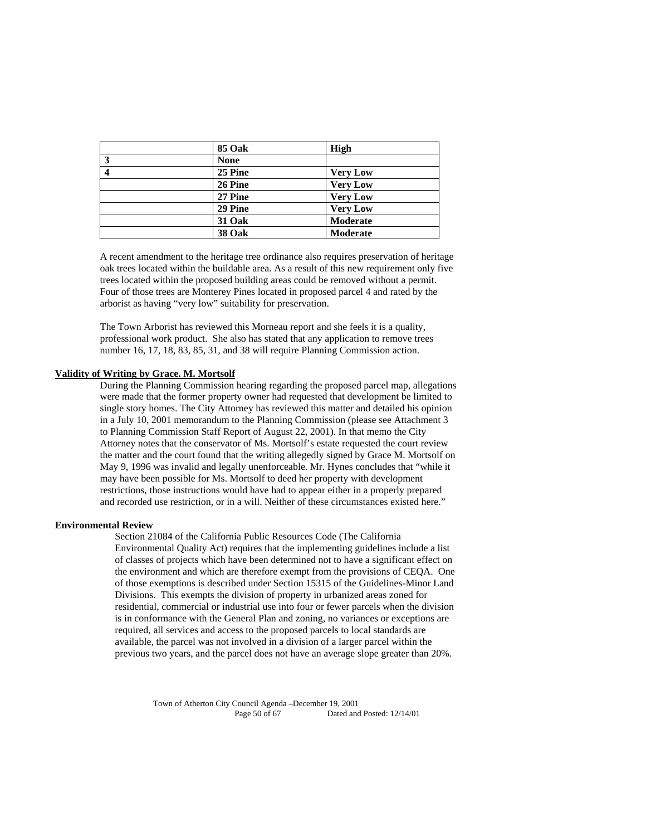| <b>85 Oak</b> | High            |
|---------------|-----------------|
| <b>None</b>   |                 |
| 25 Pine       | <b>Very Low</b> |
| 26 Pine       | <b>Very Low</b> |
| 27 Pine       | <b>Very Low</b> |
| 29 Pine       | <b>Very Low</b> |
| 31 Oak        | <b>Moderate</b> |
| <b>38 Oak</b> | <b>Moderate</b> |

A recent amendment to the heritage tree ordinance also requires preservation of heritage oak trees located within the buildable area. As a result of this new requirement only five trees located within the proposed building areas could be removed without a permit. Four of those trees are Monterey Pines located in proposed parcel 4 and rated by the arborist as having "very low" suitability for preservation.

The Town Arborist has reviewed this Morneau report and she feels it is a quality, professional work product. She also has stated that any application to remove trees number 16, 17, 18, 83, 85, 31, and 38 will require Planning Commission action.

#### **Validity of Writing by Grace. M. Mortsolf**

During the Planning Commission hearing regarding the proposed parcel map, allegations were made that the former property owner had requested that development be limited to single story homes. The City Attorney has reviewed this matter and detailed his opinion in a July 10, 2001 memorandum to the Planning Commission (please see Attachment 3 to Planning Commission Staff Report of August 22, 2001). In that memo the City Attorney notes that the conservator of Ms. Mortsolf's estate requested the court review the matter and the court found that the writing allegedly signed by Grace M. Mortsolf on May 9, 1996 was invalid and legally unenforceable. Mr. Hynes concludes that "while it may have been possible for Ms. Mortsolf to deed her property with development restrictions, those instructions would have had to appear either in a properly prepared and recorded use restriction, or in a will. Neither of these circumstances existed here."

#### **Environmental Review**

Section 21084 of the California Public Resources Code (The California Environmental Quality Act) requires that the implementing guidelines include a list of classes of projects which have been determined not to have a significant effect on the environment and which are therefore exempt from the provisions of CEQA. One of those exemptions is described under Section 15315 of the Guidelines-Minor Land Divisions. This exempts the division of property in urbanized areas zoned for residential, commercial or industrial use into four or fewer parcels when the division is in conformance with the General Plan and zoning, no variances or exceptions are required, all services and access to the proposed parcels to local standards are available, the parcel was not involved in a division of a larger parcel within the previous two years, and the parcel does not have an average slope greater than 20%.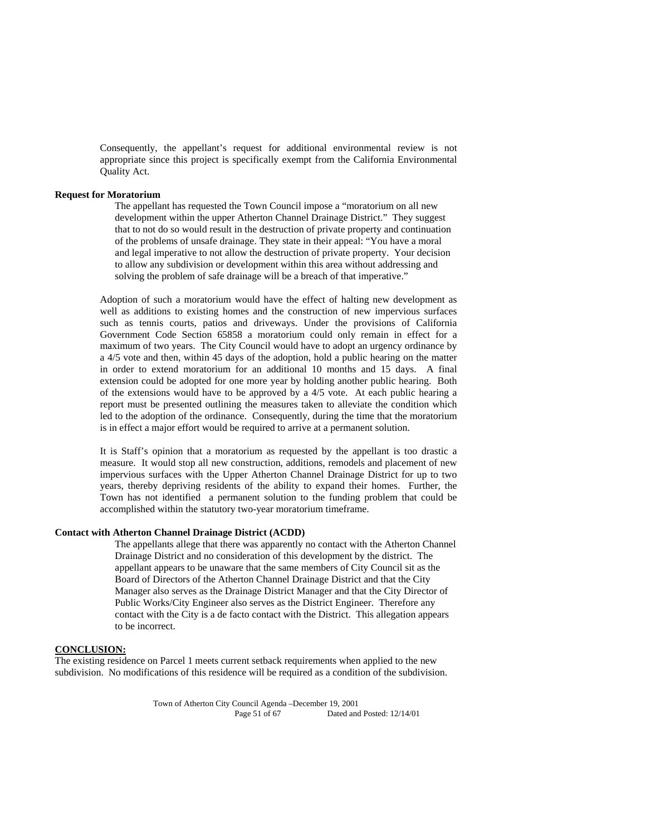Consequently, the appellant's request for additional environmental review is not appropriate since this project is specifically exempt from the California Environmental Quality Act.

#### **Request for Moratorium**

The appellant has requested the Town Council impose a "moratorium on all new development within the upper Atherton Channel Drainage District." They suggest that to not do so would result in the destruction of private property and continuation of the problems of unsafe drainage. They state in their appeal: "You have a moral and legal imperative to not allow the destruction of private property. Your decision to allow any subdivision or development within this area without addressing and solving the problem of safe drainage will be a breach of that imperative."

Adoption of such a moratorium would have the effect of halting new development as well as additions to existing homes and the construction of new impervious surfaces such as tennis courts, patios and driveways. Under the provisions of California Government Code Section 65858 a moratorium could only remain in effect for a maximum of two years. The City Council would have to adopt an urgency ordinance by a 4/5 vote and then, within 45 days of the adoption, hold a public hearing on the matter in order to extend moratorium for an additional 10 months and 15 days. A final extension could be adopted for one more year by holding another public hearing. Both of the extensions would have to be approved by a 4/5 vote. At each public hearing a report must be presented outlining the measures taken to alleviate the condition which led to the adoption of the ordinance. Consequently, during the time that the moratorium is in effect a major effort would be required to arrive at a permanent solution.

It is Staff's opinion that a moratorium as requested by the appellant is too drastic a measure. It would stop all new construction, additions, remodels and placement of new impervious surfaces with the Upper Atherton Channel Drainage District for up to two years, thereby depriving residents of the ability to expand their homes. Further, the Town has not identified a permanent solution to the funding problem that could be accomplished within the statutory two-year moratorium timeframe.

#### **Contact with Atherton Channel Drainage District (ACDD)**

The appellants allege that there was apparently no contact with the Atherton Channel Drainage District and no consideration of this development by the district. The appellant appears to be unaware that the same members of City Council sit as the Board of Directors of the Atherton Channel Drainage District and that the City Manager also serves as the Drainage District Manager and that the City Director of Public Works/City Engineer also serves as the District Engineer. Therefore any contact with the City is a de facto contact with the District. This allegation appears to be incorrect.

#### **CONCLUSION:**

The existing residence on Parcel 1 meets current setback requirements when applied to the new subdivision. No modifications of this residence will be required as a condition of the subdivision.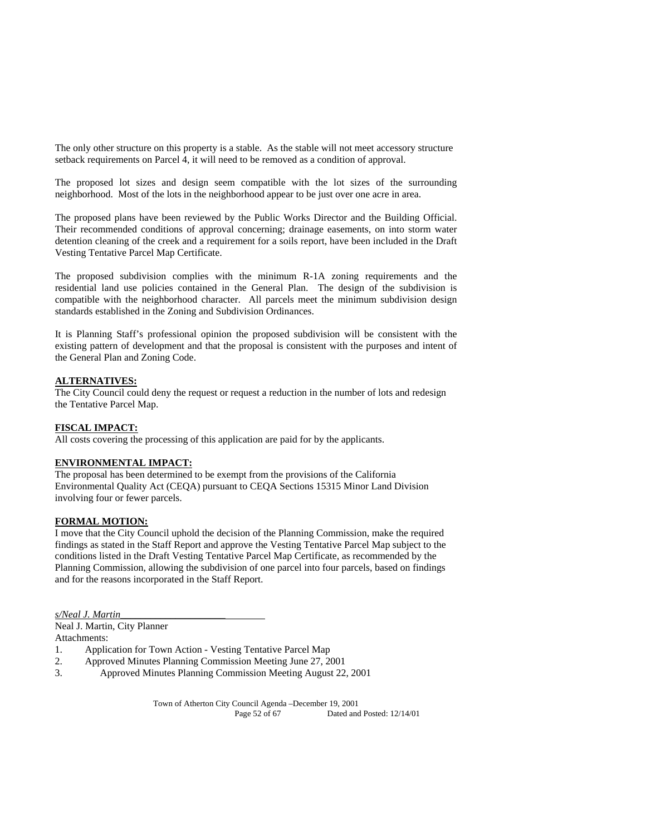The only other structure on this property is a stable. As the stable will not meet accessory structure setback requirements on Parcel 4, it will need to be removed as a condition of approval.

The proposed lot sizes and design seem compatible with the lot sizes of the surrounding neighborhood. Most of the lots in the neighborhood appear to be just over one acre in area.

The proposed plans have been reviewed by the Public Works Director and the Building Official. Their recommended conditions of approval concerning; drainage easements, on into storm water detention cleaning of the creek and a requirement for a soils report, have been included in the Draft Vesting Tentative Parcel Map Certificate.

The proposed subdivision complies with the minimum R-1A zoning requirements and the residential land use policies contained in the General Plan. The design of the subdivision is compatible with the neighborhood character. All parcels meet the minimum subdivision design standards established in the Zoning and Subdivision Ordinances.

It is Planning Staff's professional opinion the proposed subdivision will be consistent with the existing pattern of development and that the proposal is consistent with the purposes and intent of the General Plan and Zoning Code.

#### **ALTERNATIVES:**

The City Council could deny the request or request a reduction in the number of lots and redesign the Tentative Parcel Map.

## **FISCAL IMPACT:**

All costs covering the processing of this application are paid for by the applicants.

## **ENVIRONMENTAL IMPACT:**

The proposal has been determined to be exempt from the provisions of the California Environmental Quality Act (CEQA) pursuant to CEQA Sections 15315 Minor Land Division involving four or fewer parcels.

#### **FORMAL MOTION:**

I move that the City Council uphold the decision of the Planning Commission, make the required findings as stated in the Staff Report and approve the Vesting Tentative Parcel Map subject to the conditions listed in the Draft Vesting Tentative Parcel Map Certificate, as recommended by the Planning Commission, allowing the subdivision of one parcel into four parcels, based on findings and for the reasons incorporated in the Staff Report.

*s/Neal J. Martin*\_\_\_\_\_\_\_\_\_\_\_\_\_\_\_\_\_\_\_\_\_

Neal J. Martin, City Planner

Attachments:

- 1. Application for Town Action Vesting Tentative Parcel Map
- 2. Approved Minutes Planning Commission Meeting June 27, 2001<br>3. Approved Minutes Planning Commission Meeting August 22
- 3. Approved Minutes Planning Commission Meeting August 22, 2001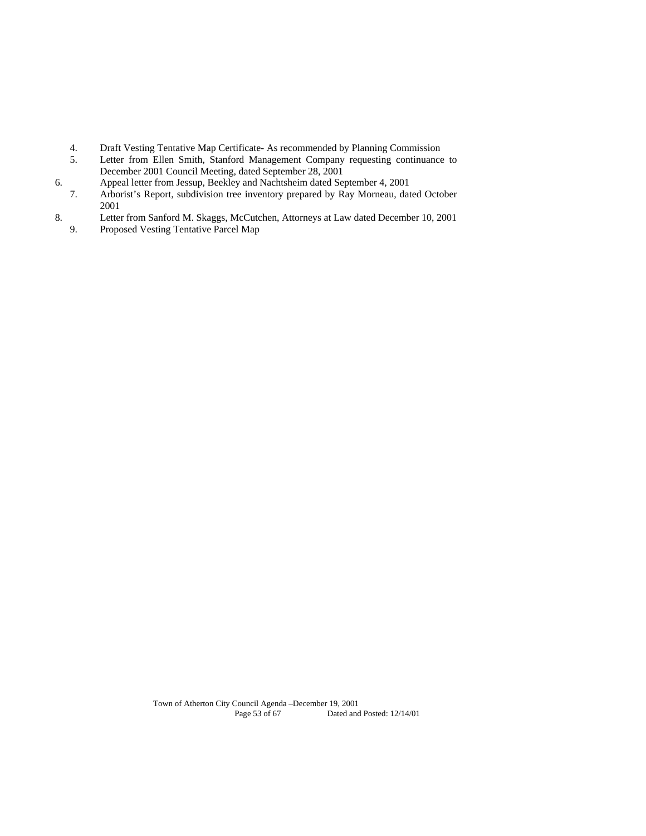- 4. Draft Vesting Tentative Map Certificate- As recommended by Planning Commission
- 5. Letter from Ellen Smith, Stanford Management Company requesting continuance to December 2001 Council Meeting, dated September 28, 2001
- 6. Appeal letter from Jessup, Beekley and Nachtsheim dated September 4, 2001<br>7. Arborist's Report, subdivision tree inventory prepared by Ray Morneau, dat
- 7. Arborist's Report, subdivision tree inventory prepared by Ray Morneau, dated October 2001
- 8. Letter from Sanford M. Skaggs, McCutchen, Attorneys at Law dated December 10, 2001<br>9. Proposed Vesting Tentative Parcel Map
- 9. Proposed Vesting Tentative Parcel Map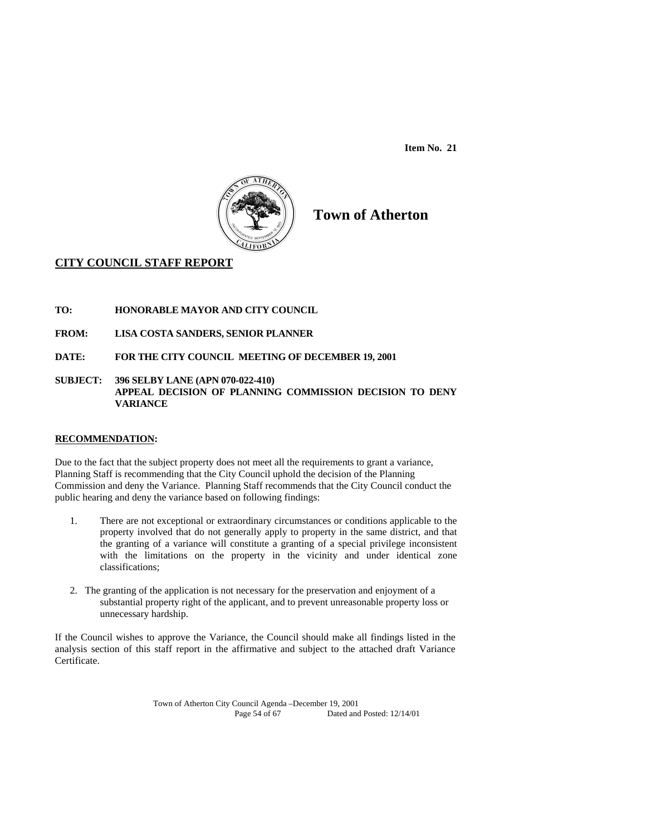**Item No. 21** 



**Town of Atherton** 

## **CITY COUNCIL STAFF REPORT**

- **TO: HONORABLE MAYOR AND CITY COUNCIL**
- **FROM: LISA COSTA SANDERS, SENIOR PLANNER**
- **DATE: FOR THE CITY COUNCIL MEETING OF DECEMBER 19, 2001**
- **SUBJECT: 396 SELBY LANE (APN 070-022-410) APPEAL DECISION OF PLANNING COMMISSION DECISION TO DENY VARIANCE**

## **RECOMMENDATION:**

Due to the fact that the subject property does not meet all the requirements to grant a variance, Planning Staff is recommending that the City Council uphold the decision of the Planning Commission and deny the Variance. Planning Staff recommends that the City Council conduct the public hearing and deny the variance based on following findings:

- 1. There are not exceptional or extraordinary circumstances or conditions applicable to the property involved that do not generally apply to property in the same district, and that the granting of a variance will constitute a granting of a special privilege inconsistent with the limitations on the property in the vicinity and under identical zone classifications;
- 2. The granting of the application is not necessary for the preservation and enjoyment of a substantial property right of the applicant, and to prevent unreasonable property loss or unnecessary hardship.

If the Council wishes to approve the Variance, the Council should make all findings listed in the analysis section of this staff report in the affirmative and subject to the attached draft Variance Certificate.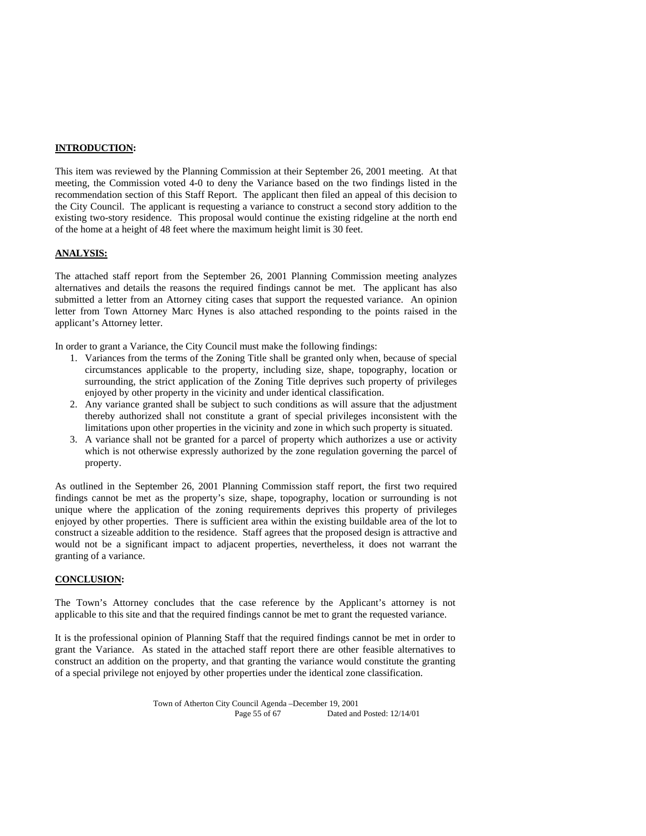#### **INTRODUCTION:**

This item was reviewed by the Planning Commission at their September 26, 2001 meeting. At that meeting, the Commission voted 4-0 to deny the Variance based on the two findings listed in the recommendation section of this Staff Report. The applicant then filed an appeal of this decision to the City Council. The applicant is requesting a variance to construct a second story addition to the existing two-story residence. This proposal would continue the existing ridgeline at the north end of the home at a height of 48 feet where the maximum height limit is 30 feet.

## **ANALYSIS:**

The attached staff report from the September 26, 2001 Planning Commission meeting analyzes alternatives and details the reasons the required findings cannot be met. The applicant has also submitted a letter from an Attorney citing cases that support the requested variance. An opinion letter from Town Attorney Marc Hynes is also attached responding to the points raised in the applicant's Attorney letter.

In order to grant a Variance, the City Council must make the following findings:

- 1. Variances from the terms of the Zoning Title shall be granted only when, because of special circumstances applicable to the property, including size, shape, topography, location or surrounding, the strict application of the Zoning Title deprives such property of privileges enjoyed by other property in the vicinity and under identical classification.
- 2. Any variance granted shall be subject to such conditions as will assure that the adjustment thereby authorized shall not constitute a grant of special privileges inconsistent with the limitations upon other properties in the vicinity and zone in which such property is situated.
- 3. A variance shall not be granted for a parcel of property which authorizes a use or activity which is not otherwise expressly authorized by the zone regulation governing the parcel of property.

As outlined in the September 26, 2001 Planning Commission staff report, the first two required findings cannot be met as the property's size, shape, topography, location or surrounding is not unique where the application of the zoning requirements deprives this property of privileges enjoyed by other properties. There is sufficient area within the existing buildable area of the lot to construct a sizeable addition to the residence. Staff agrees that the proposed design is attractive and would not be a significant impact to adjacent properties, nevertheless, it does not warrant the granting of a variance.

## **CONCLUSION:**

The Town's Attorney concludes that the case reference by the Applicant's attorney is not applicable to this site and that the required findings cannot be met to grant the requested variance.

It is the professional opinion of Planning Staff that the required findings cannot be met in order to grant the Variance. As stated in the attached staff report there are other feasible alternatives to construct an addition on the property, and that granting the variance would constitute the granting of a special privilege not enjoyed by other properties under the identical zone classification.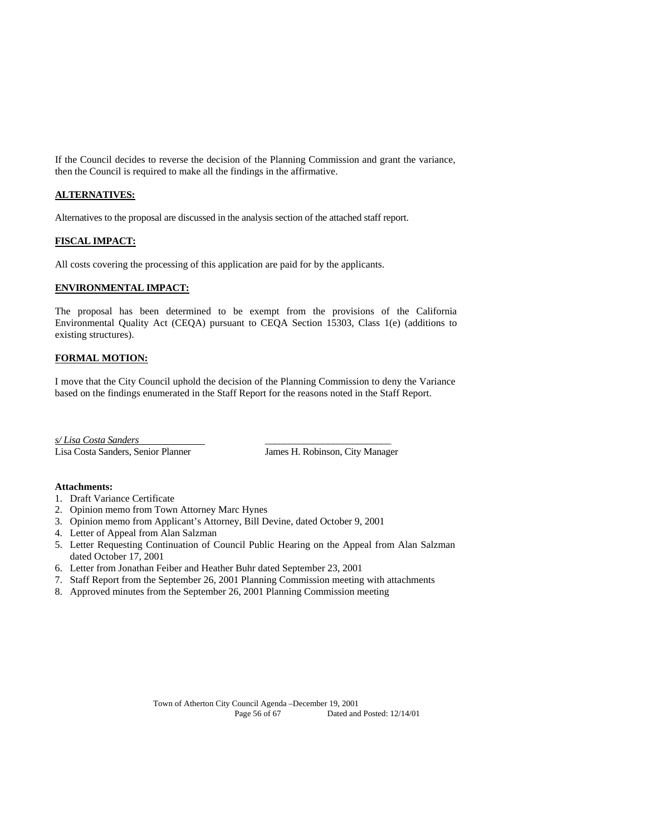If the Council decides to reverse the decision of the Planning Commission and grant the variance, then the Council is required to make all the findings in the affirmative.

## **ALTERNATIVES:**

Alternatives to the proposal are discussed in the analysis section of the attached staff report.

## **FISCAL IMPACT:**

All costs covering the processing of this application are paid for by the applicants.

## **ENVIRONMENTAL IMPACT:**

The proposal has been determined to be exempt from the provisions of the California Environmental Quality Act (CEQA) pursuant to CEQA Section 15303, Class 1(e) (additions to existing structures).

#### **FORMAL MOTION:**

I move that the City Council uphold the decision of the Planning Commission to deny the Variance based on the findings enumerated in the Staff Report for the reasons noted in the Staff Report.

*s/ Lisa Costa Sanders* \_\_\_\_\_\_\_\_\_\_\_\_\_\_\_\_\_\_\_\_\_\_\_\_\_\_

Lisa Costa Sanders, Senior Planner James H. Robinson, City Manager

#### **Attachments:**

- 1. Draft Variance Certificate
- 2. Opinion memo from Town Attorney Marc Hynes
- 3. Opinion memo from Applicant's Attorney, Bill Devine, dated October 9, 2001
- 4. Letter of Appeal from Alan Salzman
- 5. Letter Requesting Continuation of Council Public Hearing on the Appeal from Alan Salzman dated October 17, 2001
- 6. Letter from Jonathan Feiber and Heather Buhr dated September 23, 2001
- 7. Staff Report from the September 26, 2001 Planning Commission meeting with attachments
- 8. Approved minutes from the September 26, 2001 Planning Commission meeting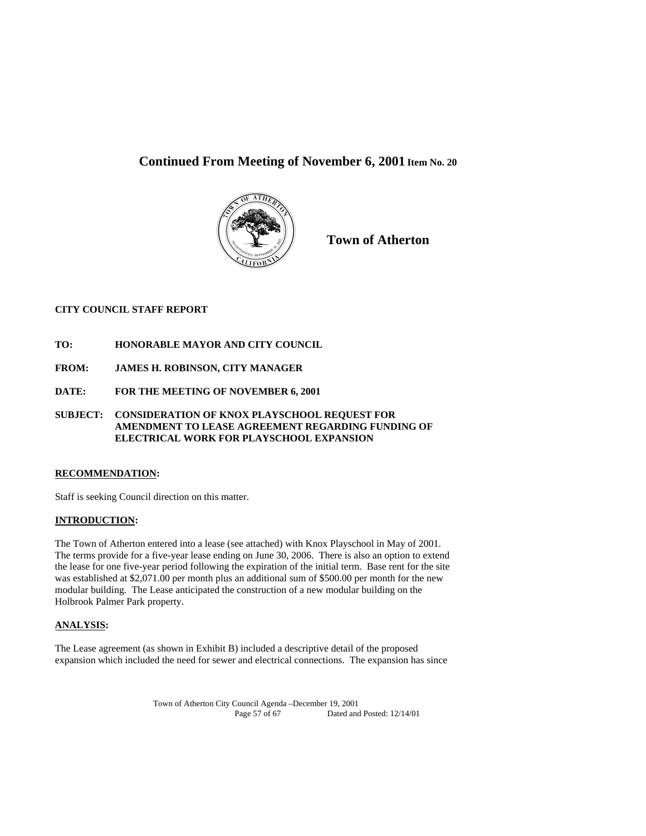# **Continued From Meeting of November 6, 2001 Item No. 20**



**Town of Atherton**

## **CITY COUNCIL STAFF REPORT**

- **TO: HONORABLE MAYOR AND CITY COUNCIL**
- **FROM: JAMES H. ROBINSON, CITY MANAGER**
- **DATE: FOR THE MEETING OF NOVEMBER 6, 2001**
- **SUBJECT: CONSIDERATION OF KNOX PLAYSCHOOL REQUEST FOR AMENDMENT TO LEASE AGREEMENT REGARDING FUNDING OF ELECTRICAL WORK FOR PLAYSCHOOL EXPANSION**

## **RECOMMENDATION:**

Staff is seeking Council direction on this matter.

## **INTRODUCTION:**

The Town of Atherton entered into a lease (see attached) with Knox Playschool in May of 2001. The terms provide for a five-year lease ending on June 30, 2006. There is also an option to extend the lease for one five-year period following the expiration of the initial term. Base rent for the site was established at \$2,071.00 per month plus an additional sum of \$500.00 per month for the new modular building. The Lease anticipated the construction of a new modular building on the Holbrook Palmer Park property.

## **ANALYSIS:**

The Lease agreement (as shown in Exhibit B) included a descriptive detail of the proposed expansion which included the need for sewer and electrical connections. The expansion has since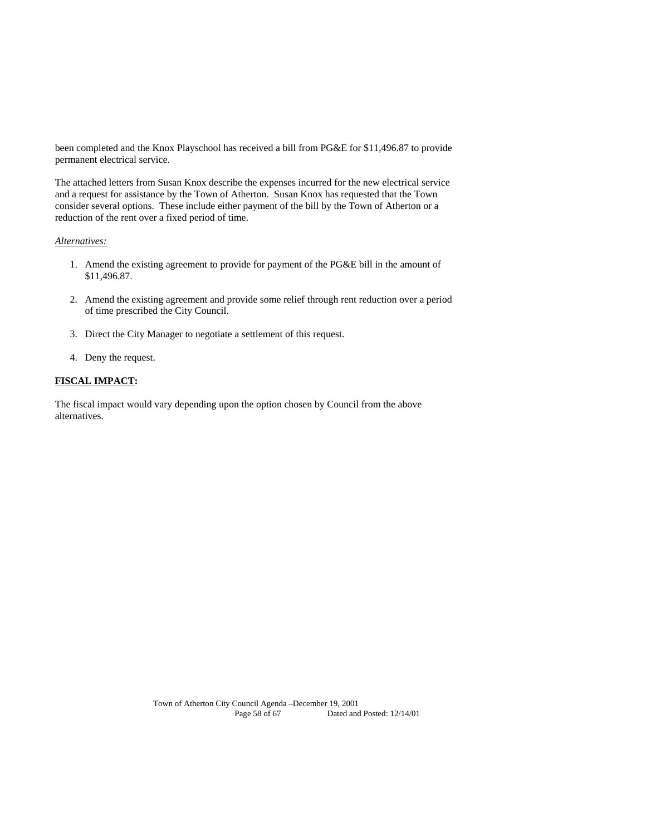been completed and the Knox Playschool has received a bill from PG&E for \$11,496.87 to provide permanent electrical service.

The attached letters from Susan Knox describe the expenses incurred for the new electrical service and a request for assistance by the Town of Atherton. Susan Knox has requested that the Town consider several options. These include either payment of the bill by the Town of Atherton or a reduction of the rent over a fixed period of time.

## *Alternatives:*

- 1. Amend the existing agreement to provide for payment of the PG&E bill in the amount of \$11,496.87.
- 2. Amend the existing agreement and provide some relief through rent reduction over a period of time prescribed the City Council.
- 3. Direct the City Manager to negotiate a settlement of this request.
- 4. Deny the request.

#### **FISCAL IMPACT:**

The fiscal impact would vary depending upon the option chosen by Council from the above alternatives.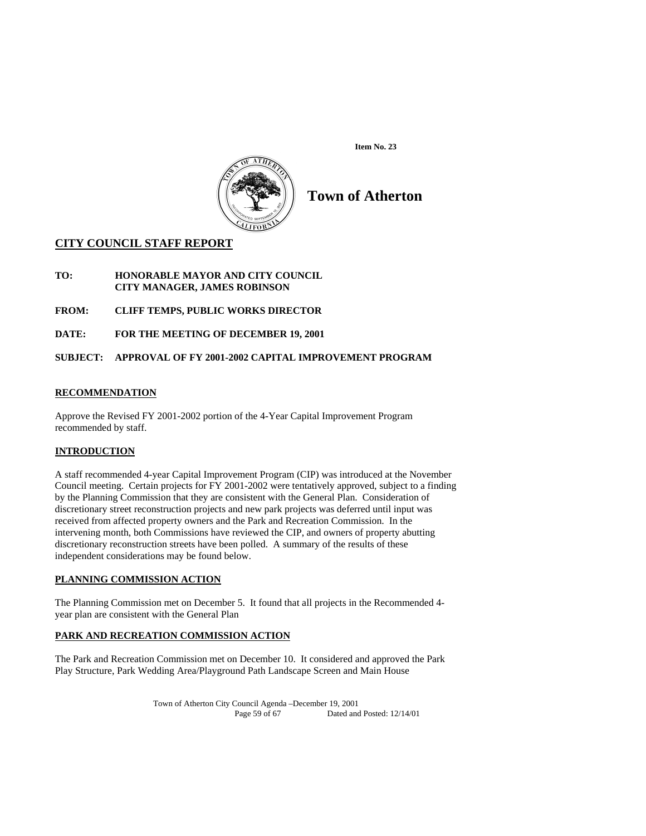



# **Town of Atherton**

## **CITY COUNCIL STAFF REPORT**

- **TO: HONORABLE MAYOR AND CITY COUNCIL CITY MANAGER, JAMES ROBINSON**
- **FROM: CLIFF TEMPS, PUBLIC WORKS DIRECTOR**
- **DATE: FOR THE MEETING OF DECEMBER 19, 2001**

## **SUBJECT: APPROVAL OF FY 2001-2002 CAPITAL IMPROVEMENT PROGRAM**

## **RECOMMENDATION**

Approve the Revised FY 2001-2002 portion of the 4-Year Capital Improvement Program recommended by staff.

## **INTRODUCTION**

A staff recommended 4-year Capital Improvement Program (CIP) was introduced at the November Council meeting. Certain projects for FY 2001-2002 were tentatively approved, subject to a finding by the Planning Commission that they are consistent with the General Plan. Consideration of discretionary street reconstruction projects and new park projects was deferred until input was received from affected property owners and the Park and Recreation Commission. In the intervening month, both Commissions have reviewed the CIP, and owners of property abutting discretionary reconstruction streets have been polled. A summary of the results of these independent considerations may be found below.

## **PLANNING COMMISSION ACTION**

The Planning Commission met on December 5. It found that all projects in the Recommended 4 year plan are consistent with the General Plan

## **PARK AND RECREATION COMMISSION ACTION**

The Park and Recreation Commission met on December 10. It considered and approved the Park Play Structure, Park Wedding Area/Playground Path Landscape Screen and Main House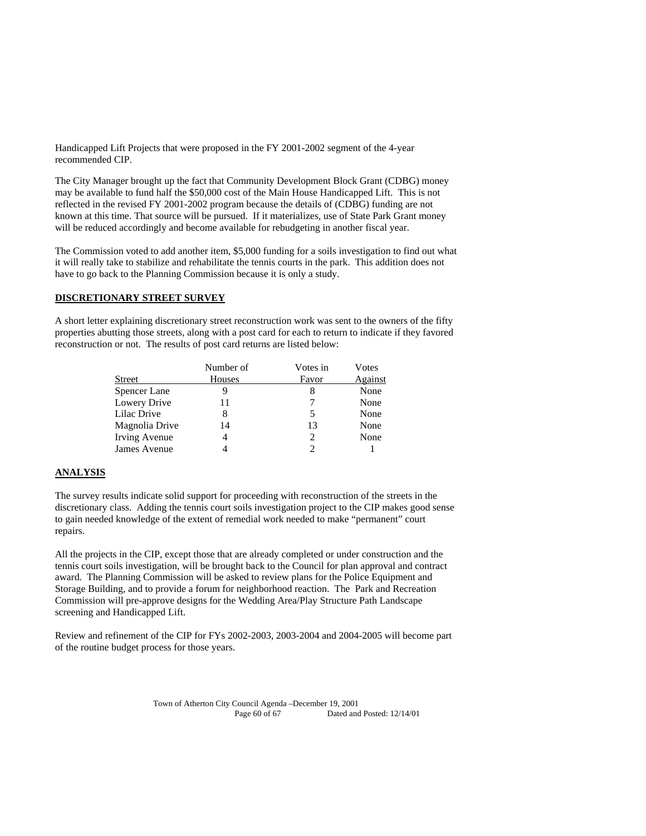Handicapped Lift Projects that were proposed in the FY 2001-2002 segment of the 4-year recommended CIP.

The City Manager brought up the fact that Community Development Block Grant (CDBG) money may be available to fund half the \$50,000 cost of the Main House Handicapped Lift. This is not reflected in the revised FY 2001-2002 program because the details of (CDBG) funding are not known at this time. That source will be pursued. If it materializes, use of State Park Grant money will be reduced accordingly and become available for rebudgeting in another fiscal year.

The Commission voted to add another item, \$5,000 funding for a soils investigation to find out what it will really take to stabilize and rehabilitate the tennis courts in the park. This addition does not have to go back to the Planning Commission because it is only a study.

## **DISCRETIONARY STREET SURVEY**

A short letter explaining discretionary street reconstruction work was sent to the owners of the fifty properties abutting those streets, along with a post card for each to return to indicate if they favored reconstruction or not. The results of post card returns are listed below:

|                | Number of | Votes in | Votes   |
|----------------|-----------|----------|---------|
| <b>Street</b>  | Houses    | Favor    | Against |
| Spencer Lane   |           | 8        | None    |
| Lowery Drive   | 11        |          | None    |
| Lilac Drive    | 8         |          | None    |
| Magnolia Drive | 14        | 13       | None    |
| Irving Avenue  | 4         | 2        | None    |
| James Avenue   |           |          |         |

## **ANALYSIS**

The survey results indicate solid support for proceeding with reconstruction of the streets in the discretionary class. Adding the tennis court soils investigation project to the CIP makes good sense to gain needed knowledge of the extent of remedial work needed to make "permanent" court repairs.

All the projects in the CIP, except those that are already completed or under construction and the tennis court soils investigation, will be brought back to the Council for plan approval and contract award. The Planning Commission will be asked to review plans for the Police Equipment and Storage Building, and to provide a forum for neighborhood reaction. The Park and Recreation Commission will pre-approve designs for the Wedding Area/Play Structure Path Landscape screening and Handicapped Lift.

Review and refinement of the CIP for FYs 2002-2003, 2003-2004 and 2004-2005 will become part of the routine budget process for those years.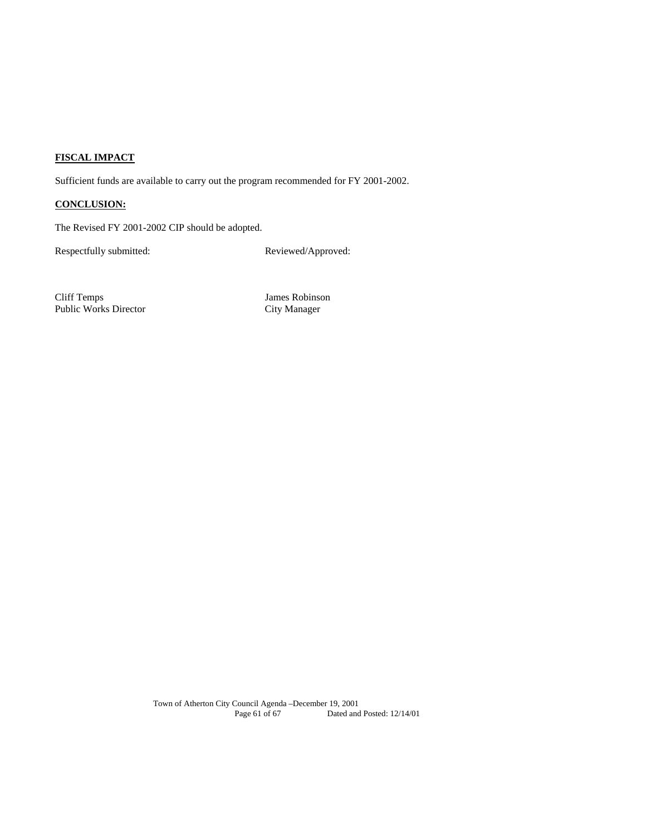## **FISCAL IMPACT**

Sufficient funds are available to carry out the program recommended for FY 2001-2002.

## **CONCLUSION:**

The Revised FY 2001-2002 CIP should be adopted.

Respectfully submitted: Reviewed/Approved:

Cliff Temps James Robinson Public Works Director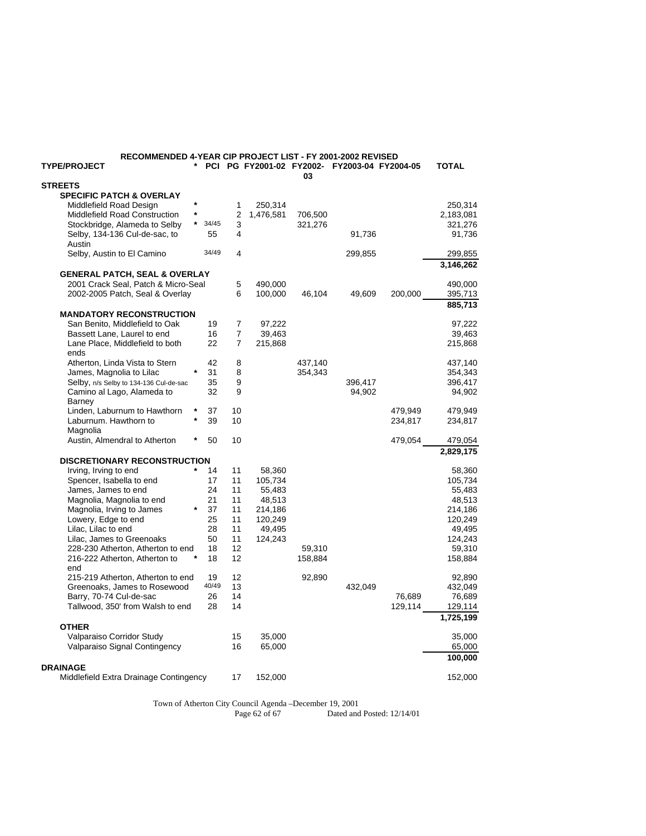| RECOMMENDED 4-YEAR CIP PROJECT LIST - FY 2001-2002 REVISED<br><b>TYPE/PROJECT</b> |                  |                |                   |         | PCI PG FY2001-02 FY2002- FY2003-04 FY2004-05 |         | <b>TOTAL</b>      |
|-----------------------------------------------------------------------------------|------------------|----------------|-------------------|---------|----------------------------------------------|---------|-------------------|
| <b>STREETS</b>                                                                    |                  |                |                   | 03      |                                              |         |                   |
| <b>SPECIFIC PATCH &amp; OVERLAY</b>                                               |                  |                |                   |         |                                              |         |                   |
| Middlefield Road Design                                                           | $\star$          | 1              | 250,314           |         |                                              |         | 250,314           |
| Middlefield Road Construction                                                     | *                | 2              | 1,476,581         | 706,500 |                                              |         | 2,183,081         |
| Stockbridge, Alameda to Selby                                                     | $\star$<br>34/45 | 3              |                   | 321,276 |                                              |         | 321,276           |
| Selby, 134-136 Cul-de-sac, to                                                     | 55               | 4              |                   |         | 91,736                                       |         | 91,736            |
| Austin                                                                            |                  |                |                   |         |                                              |         |                   |
| Selby, Austin to El Camino                                                        | 34/49            | 4              |                   |         | 299,855                                      |         | 299,855           |
|                                                                                   |                  |                |                   |         |                                              |         | 3,146,262         |
| <b>GENERAL PATCH, SEAL &amp; OVERLAY</b>                                          |                  |                |                   |         |                                              |         |                   |
| 2001 Crack Seal, Patch & Micro-Seal                                               |                  | 5              | 490,000           |         |                                              |         | 490,000           |
| 2002-2005 Patch, Seal & Overlay                                                   |                  | 6              | 100,000           | 46,104  | 49,609                                       | 200,000 | 395,713           |
|                                                                                   |                  |                |                   |         |                                              |         | 885,713           |
| <b>MANDATORY RECONSTRUCTION</b>                                                   |                  |                |                   |         |                                              |         |                   |
| San Benito, Middlefield to Oak                                                    | 19               | 7              | 97,222            |         |                                              |         | 97,222            |
| Bassett Lane, Laurel to end                                                       | 16               | 7              | 39,463            |         |                                              |         | 39,463            |
| Lane Place, Middlefield to both                                                   | 22               | $\overline{7}$ | 215,868           |         |                                              |         | 215,868           |
| ends                                                                              |                  |                |                   |         |                                              |         |                   |
| Atherton, Linda Vista to Stern                                                    | 42               | 8              |                   | 437,140 |                                              |         | 437,140           |
| James, Magnolia to Lilac                                                          | 31               | 8              |                   | 354,343 |                                              |         | 354,343           |
| Selby, n/s Selby to 134-136 Cul-de-sac                                            | 35               | 9              |                   |         | 396,417                                      |         | 396,417           |
| Camino al Lago, Alameda to                                                        | 32               | 9              |                   |         | 94,902                                       |         | 94,902            |
| <b>Barney</b>                                                                     |                  |                |                   |         |                                              |         |                   |
| Linden, Laburnum to Hawthorn                                                      | *<br>37          | 10             |                   |         |                                              | 479,949 | 479,949           |
| Laburnum. Hawthorn to                                                             | 39               | 10             |                   |         |                                              | 234,817 | 234,817           |
| Magnolia                                                                          |                  |                |                   |         |                                              |         |                   |
| Austin, Almendral to Atherton                                                     | 50               | 10             |                   |         |                                              | 479,054 | 479,054           |
|                                                                                   |                  |                |                   |         |                                              |         | 2,829,175         |
| <b>DISCRETIONARY RECONSTRUCTION</b>                                               |                  |                |                   |         |                                              |         |                   |
| Irving, Irving to end                                                             | 14               | 11             | 58,360            |         |                                              |         | 58,360            |
| Spencer, Isabella to end                                                          | 17               | 11             | 105,734           |         |                                              |         | 105,734           |
| James, James to end                                                               | 24               | 11             | 55,483            |         |                                              |         | 55,483            |
| Magnolia, Magnolia to end                                                         | 21               | 11             | 48,513            |         |                                              |         | 48,513            |
| Magnolia, Irving to James<br>Lowery, Edge to end                                  | 37               | 11<br>11       | 214,186           |         |                                              |         | 214,186           |
| Lilac, Lilac to end                                                               | 25<br>28         | 11             | 120,249<br>49,495 |         |                                              |         | 120,249<br>49,495 |
|                                                                                   | 50               | 11             | 124,243           |         |                                              |         |                   |
| Lilac, James to Greenoaks<br>228-230 Atherton, Atherton to end                    | 18               | 12             |                   | 59,310  |                                              |         | 124,243<br>59,310 |
| 216-222 Atherton, Atherton to                                                     | 18               | 12             |                   | 158,884 |                                              |         | 158,884           |
| end                                                                               |                  |                |                   |         |                                              |         |                   |
| 215-219 Atherton, Atherton to end                                                 | 19               | 12             |                   | 92,890  |                                              |         | 92,890            |
| Greenoaks, James to Rosewood                                                      | 40/49            | 13             |                   |         | 432,049                                      |         | 432,049           |
| Barry, 70-74 Cul-de-sac                                                           | 26               | 14             |                   |         |                                              | 76,689  | 76,689            |
| Tallwood, 350' from Walsh to end                                                  | 28               | 14             |                   |         |                                              | 129,114 | 129,114           |
|                                                                                   |                  |                |                   |         |                                              |         | 1,725,199         |
| <b>OTHER</b>                                                                      |                  |                |                   |         |                                              |         |                   |
| Valparaiso Corridor Study                                                         |                  | 15             | 35,000            |         |                                              |         | 35,000            |
| Valparaiso Signal Contingency                                                     |                  | 16             | 65,000            |         |                                              |         | 65,000            |
|                                                                                   |                  |                |                   |         |                                              |         | 100,000           |
| <b>DRAINAGE</b>                                                                   |                  |                |                   |         |                                              |         |                   |
| Middlefield Extra Drainage Contingency                                            |                  | 17             | 152,000           |         |                                              |         | 152,000           |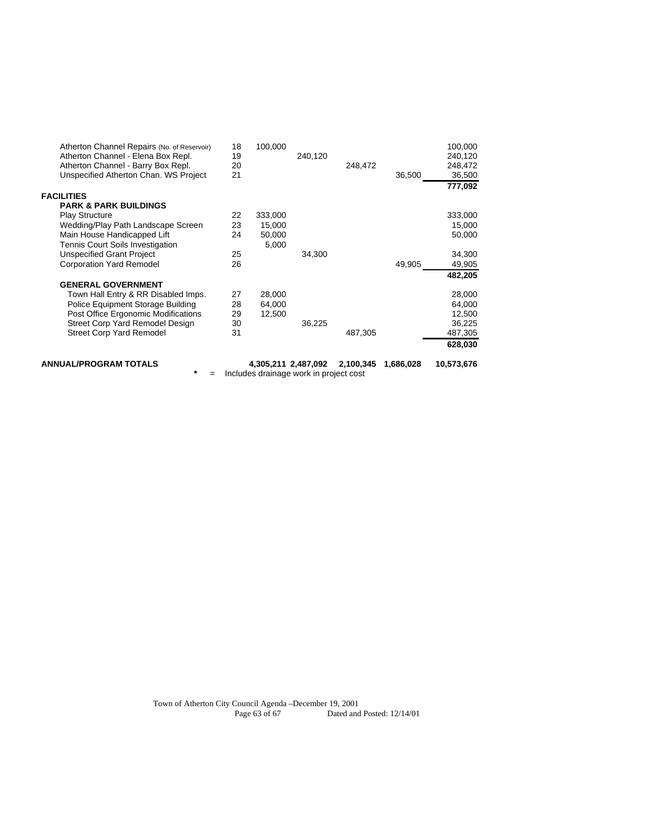| ANNUAL/PROGRAM TOTALS<br>*                                       |    | 4,305,211 2,487,092<br>Includes drainage work in project cost |         | 2,100,345 | 1,686,028 | 10,573,676 |
|------------------------------------------------------------------|----|---------------------------------------------------------------|---------|-----------|-----------|------------|
|                                                                  |    |                                                               |         |           |           | 628,030    |
| <b>Street Corp Yard Remodel</b>                                  | 31 |                                                               |         | 487,305   |           | 487,305    |
| Street Corp Yard Remodel Design                                  | 30 |                                                               | 36,225  |           |           | 36,225     |
| Post Office Ergonomic Modifications                              | 29 | 12,500                                                        |         |           |           | 12,500     |
| Police Equipment Storage Building                                | 28 | 64,000                                                        |         |           |           | 64,000     |
| <b>GENERAL GOVERNMENT</b><br>Town Hall Entry & RR Disabled Imps. | 27 | 28,000                                                        |         |           |           | 28,000     |
|                                                                  |    |                                                               |         |           |           | 482,205    |
| <b>Corporation Yard Remodel</b>                                  | 26 |                                                               |         |           | 49,905    | 49,905     |
| Unspecified Grant Project                                        | 25 |                                                               | 34,300  |           |           | 34,300     |
| Tennis Court Soils Investigation                                 |    | 5,000                                                         |         |           |           |            |
| Main House Handicapped Lift                                      | 24 | 50,000                                                        |         |           |           | 50,000     |
| Wedding/Play Path Landscape Screen                               | 23 | 15,000                                                        |         |           |           | 15,000     |
| <b>PARK &amp; PARK BUILDINGS</b><br><b>Play Structure</b>        | 22 | 333,000                                                       |         |           |           | 333,000    |
| <b>FACILITIES</b>                                                |    |                                                               |         |           |           |            |
|                                                                  |    |                                                               |         |           |           | 777,092    |
| Unspecified Atherton Chan. WS Project                            | 21 |                                                               |         |           | 36,500    | 36,500     |
| Atherton Channel - Barry Box Repl.                               | 20 |                                                               |         | 248,472   |           | 248,472    |
| Atherton Channel - Elena Box Repl.                               | 19 |                                                               | 240,120 |           |           | 240,120    |
| Atherton Channel Repairs (No. of Reservoir)                      | 18 | 100,000                                                       |         |           |           | 100,000    |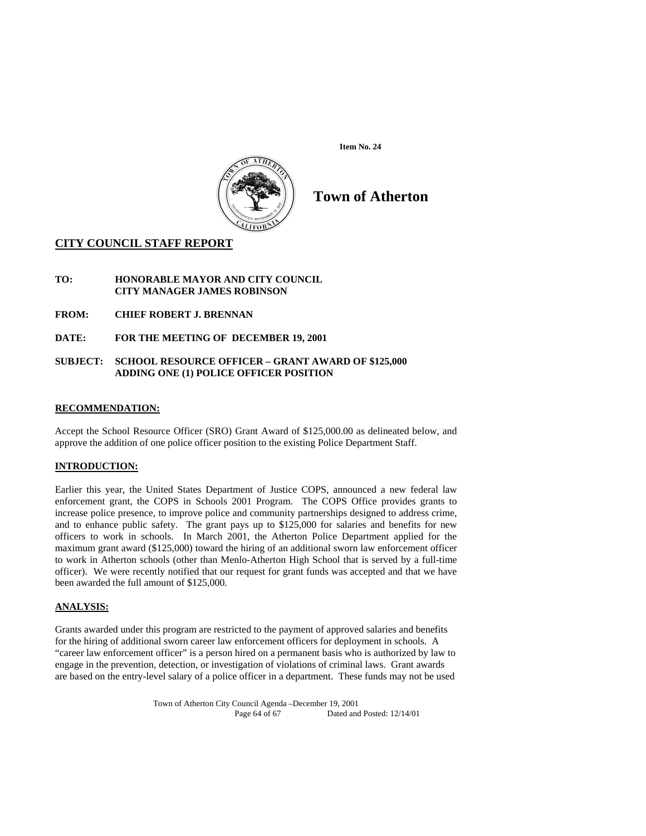



# **Town of Atherton**

## **CITY COUNCIL STAFF REPORT**

## **TO: HONORABLE MAYOR AND CITY COUNCIL CITY MANAGER JAMES ROBINSON**

- **FROM: CHIEF ROBERT J. BRENNAN**
- **DATE: FOR THE MEETING OF DECEMBER 19, 2001**

#### **SUBJECT: SCHOOL RESOURCE OFFICER – GRANT AWARD OF \$125,000 ADDING ONE (1) POLICE OFFICER POSITION**

## **RECOMMENDATION:**

Accept the School Resource Officer (SRO) Grant Award of \$125,000.00 as delineated below, and approve the addition of one police officer position to the existing Police Department Staff.

## **INTRODUCTION:**

Earlier this year, the United States Department of Justice COPS, announced a new federal law enforcement grant, the COPS in Schools 2001 Program. The COPS Office provides grants to increase police presence, to improve police and community partnerships designed to address crime, and to enhance public safety. The grant pays up to \$125,000 for salaries and benefits for new officers to work in schools. In March 2001, the Atherton Police Department applied for the maximum grant award (\$125,000) toward the hiring of an additional sworn law enforcement officer to work in Atherton schools (other than Menlo-Atherton High School that is served by a full-time officer). We were recently notified that our request for grant funds was accepted and that we have been awarded the full amount of \$125,000.

## **ANALYSIS:**

Grants awarded under this program are restricted to the payment of approved salaries and benefits for the hiring of additional sworn career law enforcement officers for deployment in schools. A "career law enforcement officer" is a person hired on a permanent basis who is authorized by law to engage in the prevention, detection, or investigation of violations of criminal laws. Grant awards are based on the entry-level salary of a police officer in a department. These funds may not be used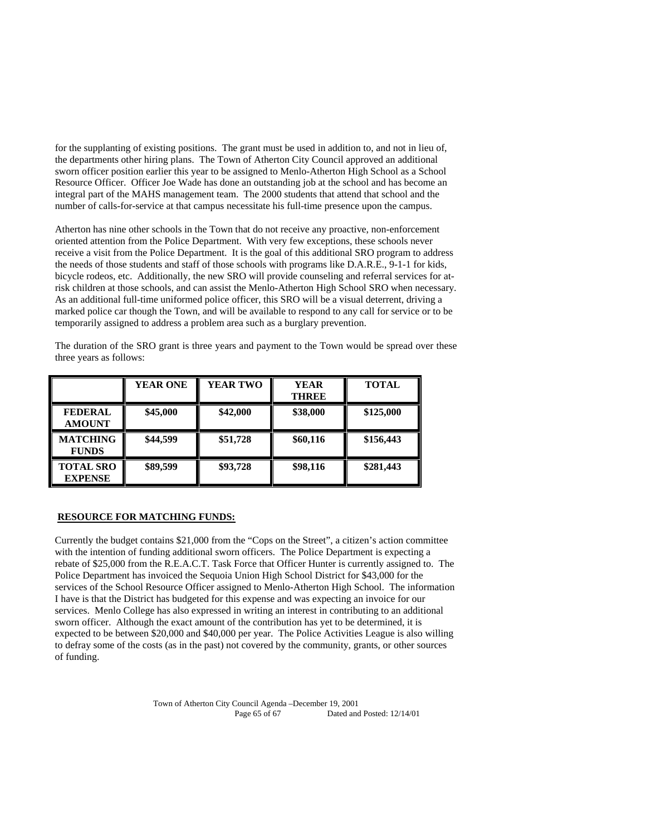for the supplanting of existing positions. The grant must be used in addition to, and not in lieu of, the departments other hiring plans. The Town of Atherton City Council approved an additional sworn officer position earlier this year to be assigned to Menlo-Atherton High School as a School Resource Officer. Officer Joe Wade has done an outstanding job at the school and has become an integral part of the MAHS management team. The 2000 students that attend that school and the number of calls-for-service at that campus necessitate his full-time presence upon the campus.

Atherton has nine other schools in the Town that do not receive any proactive, non-enforcement oriented attention from the Police Department. With very few exceptions, these schools never receive a visit from the Police Department. It is the goal of this additional SRO program to address the needs of those students and staff of those schools with programs like D.A.R.E., 9-1-1 for kids, bicycle rodeos, etc. Additionally, the new SRO will provide counseling and referral services for atrisk children at those schools, and can assist the Menlo-Atherton High School SRO when necessary. As an additional full-time uniformed police officer, this SRO will be a visual deterrent, driving a marked police car though the Town, and will be available to respond to any call for service or to be temporarily assigned to address a problem area such as a burglary prevention.

The duration of the SRO grant is three years and payment to the Town would be spread over these three years as follows:

|                                    | <b>YEAR ONE</b> | <b>YEAR TWO</b> | <b>YEAR</b><br><b>THREE</b> | <b>TOTAL</b> |
|------------------------------------|-----------------|-----------------|-----------------------------|--------------|
| <b>FEDERAL</b><br><b>AMOUNT</b>    | \$45,000        | \$42,000        | \$38,000                    | \$125,000    |
| <b>MATCHING</b><br><b>FUNDS</b>    | \$44,599        | \$51,728        | \$60,116                    | \$156,443    |
| <b>TOTAL SRO</b><br><b>EXPENSE</b> | \$89,599        | \$93,728        | \$98,116                    | \$281,443    |

## **RESOURCE FOR MATCHING FUNDS:**

Currently the budget contains \$21,000 from the "Cops on the Street", a citizen's action committee with the intention of funding additional sworn officers. The Police Department is expecting a rebate of \$25,000 from the R.E.A.C.T. Task Force that Officer Hunter is currently assigned to. The Police Department has invoiced the Sequoia Union High School District for \$43,000 for the services of the School Resource Officer assigned to Menlo-Atherton High School. The information I have is that the District has budgeted for this expense and was expecting an invoice for our services. Menlo College has also expressed in writing an interest in contributing to an additional sworn officer. Although the exact amount of the contribution has yet to be determined, it is expected to be between \$20,000 and \$40,000 per year. The Police Activities League is also willing to defray some of the costs (as in the past) not covered by the community, grants, or other sources of funding.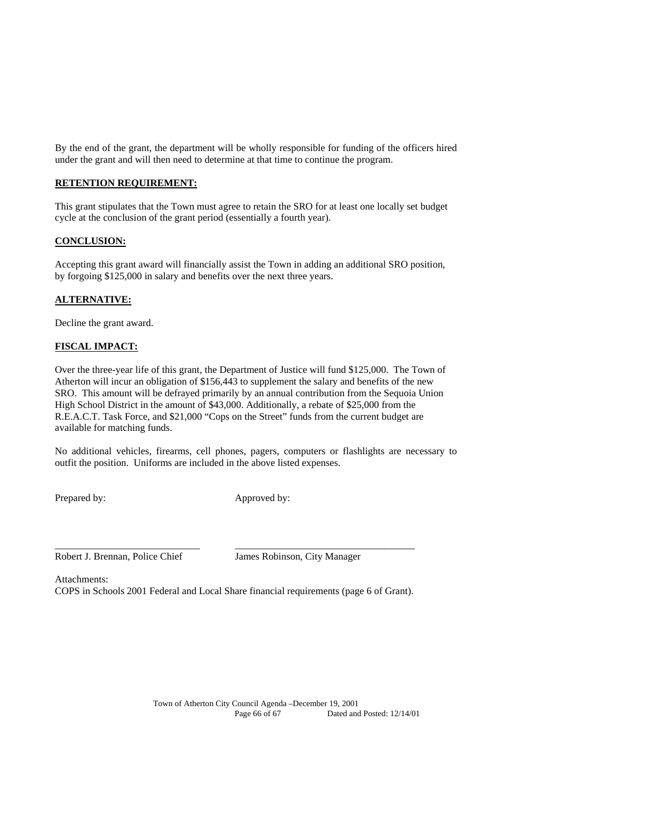By the end of the grant, the department will be wholly responsible for funding of the officers hired under the grant and will then need to determine at that time to continue the program.

## **RETENTION REQUIREMENT:**

This grant stipulates that the Town must agree to retain the SRO for at least one locally set budget cycle at the conclusion of the grant period (essentially a fourth year).

## **CONCLUSION:**

Accepting this grant award will financially assist the Town in adding an additional SRO position, by forgoing \$125,000 in salary and benefits over the next three years.

## **ALTERNATIVE:**

Decline the grant award.

#### **FISCAL IMPACT:**

Over the three-year life of this grant, the Department of Justice will fund \$125,000. The Town of Atherton will incur an obligation of \$156,443 to supplement the salary and benefits of the new SRO. This amount will be defrayed primarily by an annual contribution from the Sequoia Union High School District in the amount of \$43,000. Additionally, a rebate of \$25,000 from the R.E.A.C.T. Task Force, and \$21,000 "Cops on the Street" funds from the current budget are available for matching funds.

No additional vehicles, firearms, cell phones, pagers, computers or flashlights are necessary to outfit the position. Uniforms are included in the above listed expenses.

Prepared by: Approved by:

Robert J. Brennan, Police Chief James Robinson, City Manager

Attachments:

COPS in Schools 2001 Federal and Local Share financial requirements (page 6 of Grant).

 $\overline{\phantom{a}}$  , and the contract of the contract of the contract of the contract of the contract of the contract of the contract of the contract of the contract of the contract of the contract of the contract of the contrac